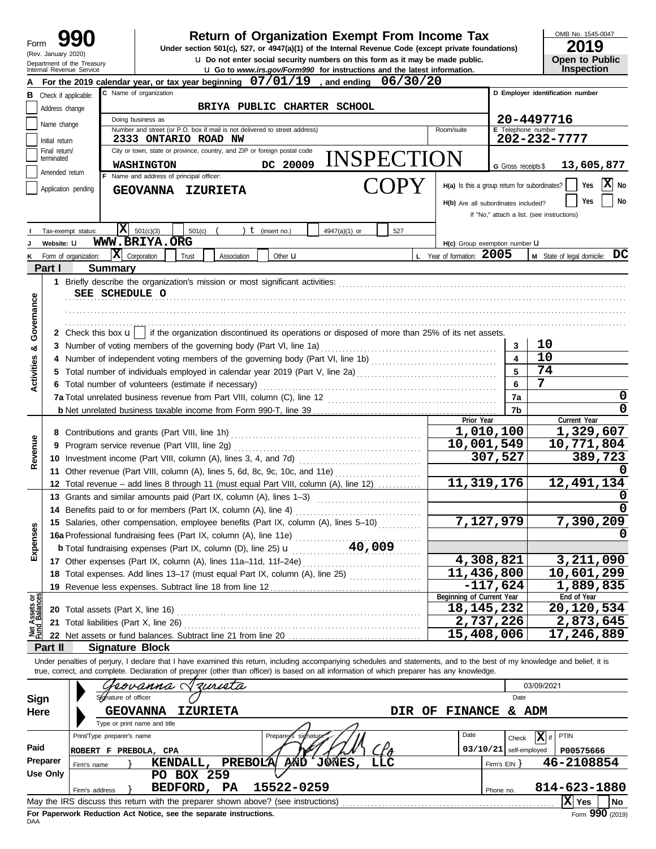| Form                           | (Rev. January 2020)         | Department of the Treasury<br>Internal Revenue Service | <b>Return of Organization Exempt From Income Tax</b><br>Under section 501(c), 527, or 4947(a)(1) of the Internal Revenue Code (except private foundations)<br>La Do not enter social security numbers on this form as it may be made public.<br><b>u</b> Go to www.irs.gov/Form990 for instructions and the latest information. |                           |                                     | OMB No. 1545-0047<br>2019<br><b>Open to Public</b><br>Inspection |
|--------------------------------|-----------------------------|--------------------------------------------------------|---------------------------------------------------------------------------------------------------------------------------------------------------------------------------------------------------------------------------------------------------------------------------------------------------------------------------------|---------------------------|-------------------------------------|------------------------------------------------------------------|
|                                |                             |                                                        | For the 2019 calendar year, or tax year beginning $07/01/19$ , and ending<br>06/30/20                                                                                                                                                                                                                                           |                           |                                     |                                                                  |
|                                |                             | <b>B</b> Check if applicable:                          | C Name of organization                                                                                                                                                                                                                                                                                                          |                           |                                     | D Emplover identification number                                 |
|                                | Address change              |                                                        | BRIYA PUBLIC CHARTER SCHOOL                                                                                                                                                                                                                                                                                                     |                           |                                     |                                                                  |
|                                |                             |                                                        | Doing business as                                                                                                                                                                                                                                                                                                               |                           |                                     | 20-4497716                                                       |
|                                | Name change                 |                                                        | Number and street (or P.O. box if mail is not delivered to street address)<br>Room/suite                                                                                                                                                                                                                                        |                           | E Telephone number                  |                                                                  |
|                                | Initial return              |                                                        | 2333 ONTARIO ROAD NW                                                                                                                                                                                                                                                                                                            |                           |                                     | 202-232-7777                                                     |
|                                | Final return/<br>terminated |                                                        | City or town, state or province, country, and ZIP or foreign postal code<br><b>INSPECTION</b>                                                                                                                                                                                                                                   |                           |                                     |                                                                  |
|                                | Amended return              |                                                        | DC 20009<br><b>WASHINGTON</b>                                                                                                                                                                                                                                                                                                   |                           | G Gross receipts \$                 | 13,605,877                                                       |
|                                |                             |                                                        | F Name and address of principal officer:<br>OPY)                                                                                                                                                                                                                                                                                |                           |                                     | X No<br>H(a) Is this a group return for subordinates?<br>Yes     |
|                                |                             | Application pending                                    | <b>GEOVANNA</b><br><b>IZURIETA</b>                                                                                                                                                                                                                                                                                              |                           | H(b) Are all subordinates included? | No<br>Yes<br>If "No," attach a list. (see instructions)          |
|                                |                             | Tax-exempt status:                                     | X<br>$t$ (insert no.)<br>501(c)(3)<br>501(c)<br>4947(a)(1) or<br>527                                                                                                                                                                                                                                                            |                           |                                     |                                                                  |
|                                | Website: U                  |                                                        | <b>WWW.BRIYA.ORG</b>                                                                                                                                                                                                                                                                                                            |                           | H(c) Group exemption number LI      |                                                                  |
| ĸ                              |                             | Form of organization:                                  | $ \mathbf{X} $ Corporation<br>L Year of formation: 2005<br>Other <b>u</b><br>Trust<br>Association                                                                                                                                                                                                                               |                           |                                     | DC<br>M State of legal domicile:                                 |
|                                | Part I                      |                                                        | <b>Summary</b>                                                                                                                                                                                                                                                                                                                  |                           |                                     |                                                                  |
| Governance                     |                             |                                                        | SEE SCHEDULE O<br>2 Check this box $\mathbf{u}$   if the organization discontinued its operations or disposed of more than 25% of its net assets.<br>3 Number of voting members of the governing body (Part VI, line 1a)                                                                                                        |                           | 3                                   | 10                                                               |
| ಯ                              |                             |                                                        |                                                                                                                                                                                                                                                                                                                                 |                           |                                     | 10                                                               |
|                                | 5.                          |                                                        |                                                                                                                                                                                                                                                                                                                                 |                           |                                     | 74                                                               |
| Activities                     |                             |                                                        | 6 Total number of volunteers (estimate if necessary)                                                                                                                                                                                                                                                                            |                           | 6                                   | 7                                                                |
|                                |                             |                                                        |                                                                                                                                                                                                                                                                                                                                 |                           | 7a                                  | 0                                                                |
|                                |                             |                                                        |                                                                                                                                                                                                                                                                                                                                 |                           | 7b                                  |                                                                  |
|                                |                             |                                                        |                                                                                                                                                                                                                                                                                                                                 | Prior Year                |                                     | Current Year                                                     |
|                                | 8                           |                                                        |                                                                                                                                                                                                                                                                                                                                 | 1,010,100                 |                                     | 1,329,607                                                        |
|                                | 9                           |                                                        | Program service revenue (Part VIII, line 2g)                                                                                                                                                                                                                                                                                    | 10,001,549                |                                     | 10,771,804                                                       |
| Revenue                        |                             |                                                        | 10 Investment income (Part VIII, column (A), lines 3, 4, and 7d)                                                                                                                                                                                                                                                                |                           | 307,527                             | 389,723                                                          |
|                                |                             |                                                        | 11 Other revenue (Part VIII, column (A), lines 5, 6d, 8c, 9c, 10c, and 11e)                                                                                                                                                                                                                                                     |                           |                                     |                                                                  |
|                                |                             |                                                        | 12 Total revenue - add lines 8 through 11 (must equal Part VIII, column (A), line 12)                                                                                                                                                                                                                                           | 11,319,176                |                                     | 12,491,134                                                       |
|                                |                             |                                                        | 13 Grants and similar amounts paid (Part IX, column (A), lines 1-3)                                                                                                                                                                                                                                                             |                           |                                     | 0                                                                |
|                                |                             |                                                        | 14 Benefits paid to or for members (Part IX, column (A), line 4)                                                                                                                                                                                                                                                                |                           |                                     | 0                                                                |
|                                |                             |                                                        | 15 Salaries, other compensation, employee benefits (Part IX, column (A), lines 5-10)                                                                                                                                                                                                                                            | 7,127,979                 |                                     | 7,390,209                                                        |
| Expenses                       |                             |                                                        | 16a Professional fundraising fees (Part IX, column (A), line 11e)                                                                                                                                                                                                                                                               |                           |                                     |                                                                  |
|                                |                             |                                                        | 40,009<br><b>b</b> Total fundraising expenses (Part IX, column (D), line 25) <b>u</b>                                                                                                                                                                                                                                           |                           |                                     |                                                                  |
|                                |                             |                                                        | 17 Other expenses (Part IX, column (A), lines 11a-11d, 11f-24e)                                                                                                                                                                                                                                                                 | 4,308,821                 |                                     | 3,211,090                                                        |
|                                |                             |                                                        | 18 Total expenses. Add lines 13-17 (must equal Part IX, column (A), line 25)                                                                                                                                                                                                                                                    | 11,436,800                |                                     | $\overline{10}$ , 601, 299                                       |
|                                |                             |                                                        |                                                                                                                                                                                                                                                                                                                                 |                           | $-117,624$                          | 1,889,835                                                        |
|                                |                             |                                                        |                                                                                                                                                                                                                                                                                                                                 | Beginning of Current Year |                                     | End of Year                                                      |
| Net Assets or<br>Fund Balances |                             |                                                        | <b>20</b> Total assets (Part X, line 16)                                                                                                                                                                                                                                                                                        | 18, 145, 232              |                                     | 20,120,534                                                       |
|                                |                             |                                                        |                                                                                                                                                                                                                                                                                                                                 | 2,737,226                 |                                     | 2,873,645                                                        |
|                                |                             |                                                        | 22 Net assets or fund balances. Subtract line 21 from line 20                                                                                                                                                                                                                                                                   | 15,408,006                |                                     | 17,246,889                                                       |
|                                | Part II                     |                                                        | <b>Signature Block</b>                                                                                                                                                                                                                                                                                                          |                           |                                     |                                                                  |
|                                |                             |                                                        | Under penalties of perjury, I declare that I have examined this return, including accompanying schedules and statements, and to the best of my knowledge and belief, it is<br>true, correct, and complete. Declaration of preparer (other than officer) is based on all information of which preparer has any knowledge.        |                           |                                     |                                                                  |
|                                |                             |                                                        | zurieta<br>rovanna c                                                                                                                                                                                                                                                                                                            |                           |                                     | 03/09/2021                                                       |
| <b>Sign</b><br>Here            |                             |                                                        | Signature of officer<br><b>IZURIETA</b><br><b>GEOVANNA</b><br>DIR OF                                                                                                                                                                                                                                                            | <b>FINANCE</b>            | Date<br>& ADM                       |                                                                  |
|                                |                             |                                                        | Type or print name and title                                                                                                                                                                                                                                                                                                    |                           |                                     |                                                                  |
|                                |                             |                                                        | Print/Type preparer's name<br>Prepare <sub>s</sub><br>signatu                                                                                                                                                                                                                                                                   | Date                      | Check                               | $\sqrt{X}$ if<br>PTIN                                            |
| Paid                           |                             |                                                        | ROBERT F PREBOLA, CPA                                                                                                                                                                                                                                                                                                           | 03/10/21                  | self-employed                       | P00575666                                                        |
|                                | Preparer                    | Firm's name                                            | <b>PREBOLA</b><br>LLC<br>KENDALL,<br><b>JONES</b><br>AND                                                                                                                                                                                                                                                                        |                           | Firm's $EIN$ }                      | 46-2108854                                                       |
|                                | <b>Use Only</b>             |                                                        | <b>PO BOX 259</b>                                                                                                                                                                                                                                                                                                               |                           |                                     |                                                                  |
|                                |                             | Firm's address                                         | 15522-0259<br>BEDFORD,<br>PA                                                                                                                                                                                                                                                                                                    |                           | Phone no.                           | 814-623-1880                                                     |
|                                |                             |                                                        | May the IRS discuss this return with the preparer shown above? (see instructions)                                                                                                                                                                                                                                               |                           |                                     | $X$ Yes<br>No                                                    |

|          |                            | Type or print name and title |                                                                                   |    |                |                   |       |     |      |            |                          |              |            |        |    |
|----------|----------------------------|------------------------------|-----------------------------------------------------------------------------------|----|----------------|-------------------|-------|-----|------|------------|--------------------------|--------------|------------|--------|----|
|          | Print/Type preparer's name |                              |                                                                                   |    |                | Prepare signature |       |     | Date |            | Check                    |              | PTIN       |        |    |
| Paid     | ROBERT F                   | PREBOLA,                     | CPA                                                                               |    |                |                   |       |     |      |            | $03/10/21$ self-employed |              | P00575666  |        |    |
| Preparer | Firm's name                |                              | KENDALL,                                                                          |    | <b>PREBOLA</b> | AND               | JONES | LLC |      | Firm's EIN |                          |              | 46-2108854 |        |    |
| Use Only |                            |                              | <b>BOX 259</b><br>PO.                                                             |    |                |                   |       |     |      |            |                          |              |            |        |    |
|          | Firm's address             |                              | BEDFORD,                                                                          | PA |                | 15522-0259        |       |     |      | Phone no.  |                          | 814-623-1880 |            |        |    |
|          |                            |                              | May the IRS discuss this return with the preparer shown above? (see instructions) |    |                |                   |       |     |      |            |                          |              | Yes        |        | No |
|          |                            |                              | Fee Benemical Bedisaten Aat Nation, and the expense instrumine                    |    |                |                   |       |     |      |            |                          |              |            | $\sim$ |    |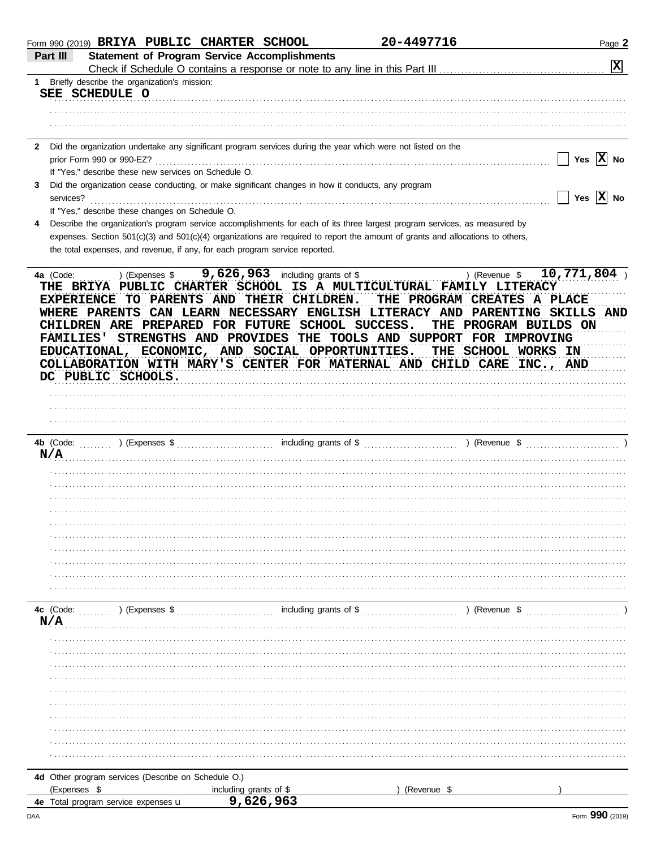|              | Form 990 (2019) BRIYA PUBLIC CHARTER SCHOOL                                                                                                                                                                                                                                                                                                                                                                                                |                        | 20-4497716                                                         | Page 2                                       |
|--------------|--------------------------------------------------------------------------------------------------------------------------------------------------------------------------------------------------------------------------------------------------------------------------------------------------------------------------------------------------------------------------------------------------------------------------------------------|------------------------|--------------------------------------------------------------------|----------------------------------------------|
|              | <b>Statement of Program Service Accomplishments</b><br>Part III                                                                                                                                                                                                                                                                                                                                                                            |                        |                                                                    |                                              |
|              |                                                                                                                                                                                                                                                                                                                                                                                                                                            |                        |                                                                    | $\boxed{\mathbf{x}}$                         |
| 1            | Briefly describe the organization's mission:                                                                                                                                                                                                                                                                                                                                                                                               |                        |                                                                    |                                              |
|              | SEE SCHEDULE O                                                                                                                                                                                                                                                                                                                                                                                                                             |                        |                                                                    |                                              |
|              |                                                                                                                                                                                                                                                                                                                                                                                                                                            |                        |                                                                    |                                              |
|              |                                                                                                                                                                                                                                                                                                                                                                                                                                            |                        |                                                                    |                                              |
|              |                                                                                                                                                                                                                                                                                                                                                                                                                                            |                        |                                                                    |                                              |
| $\mathbf{2}$ | Did the organization undertake any significant program services during the year which were not listed on the                                                                                                                                                                                                                                                                                                                               |                        |                                                                    | Yes $ \mathbf{X} $ No                        |
|              | If "Yes," describe these new services on Schedule O.                                                                                                                                                                                                                                                                                                                                                                                       |                        |                                                                    |                                              |
| 3            | Did the organization cease conducting, or make significant changes in how it conducts, any program                                                                                                                                                                                                                                                                                                                                         |                        |                                                                    |                                              |
|              | services?                                                                                                                                                                                                                                                                                                                                                                                                                                  |                        |                                                                    | $\Box$ Yes $\boxed{\mathbf{X}}$ No           |
|              | If "Yes," describe these changes on Schedule O.                                                                                                                                                                                                                                                                                                                                                                                            |                        |                                                                    |                                              |
| 4            | Describe the organization's program service accomplishments for each of its three largest program services, as measured by                                                                                                                                                                                                                                                                                                                 |                        |                                                                    |                                              |
|              | expenses. Section 501(c)(3) and 501(c)(4) organizations are required to report the amount of grants and allocations to others,                                                                                                                                                                                                                                                                                                             |                        |                                                                    |                                              |
|              | the total expenses, and revenue, if any, for each program service reported.                                                                                                                                                                                                                                                                                                                                                                |                        |                                                                    |                                              |
|              | ) (Expenses \$                                                                                                                                                                                                                                                                                                                                                                                                                             |                        |                                                                    | 10,771,804                                   |
|              | THE BRIYA PUBLIC CHARTER SCHOOL IS A MULTICULTURAL FAMILY LITERACY<br>EXPERIENCE TO PARENTS AND THEIR CHILDREN.<br>WHERE PARENTS CAN LEARN NECESSARY ENGLISH LITERACY AND PARENTING SKILLS AND<br>CHILDREN ARE PREPARED FOR FUTURE SCHOOL SUCCESS.<br>FAMILIES' STRENGTHS AND PROVIDES<br>EDUCATIONAL, ECONOMIC, AND SOCIAL OPPORTUNITIES.<br>COLLABORATION WITH MARY'S CENTER FOR MATERNAL AND CHILD CARE INC., AND<br>DC PUBLIC SCHOOLS. |                        | THE PROGRAM CREATES A PLACE<br>THE TOOLS AND SUPPORT FOR IMPROVING | THE PROGRAM BUILDS ON<br>THE SCHOOL WORKS IN |
|              |                                                                                                                                                                                                                                                                                                                                                                                                                                            |                        |                                                                    |                                              |
|              |                                                                                                                                                                                                                                                                                                                                                                                                                                            |                        |                                                                    |                                              |
|              |                                                                                                                                                                                                                                                                                                                                                                                                                                            |                        |                                                                    |                                              |
|              |                                                                                                                                                                                                                                                                                                                                                                                                                                            |                        |                                                                    |                                              |
|              | 4b (Code:                                                                                                                                                                                                                                                                                                                                                                                                                                  |                        |                                                                    |                                              |
|              | N/A                                                                                                                                                                                                                                                                                                                                                                                                                                        |                        |                                                                    |                                              |
|              |                                                                                                                                                                                                                                                                                                                                                                                                                                            |                        |                                                                    |                                              |
|              |                                                                                                                                                                                                                                                                                                                                                                                                                                            |                        |                                                                    |                                              |
|              |                                                                                                                                                                                                                                                                                                                                                                                                                                            |                        |                                                                    |                                              |
|              |                                                                                                                                                                                                                                                                                                                                                                                                                                            |                        |                                                                    |                                              |
|              |                                                                                                                                                                                                                                                                                                                                                                                                                                            |                        |                                                                    |                                              |
|              |                                                                                                                                                                                                                                                                                                                                                                                                                                            |                        |                                                                    |                                              |
|              |                                                                                                                                                                                                                                                                                                                                                                                                                                            |                        |                                                                    |                                              |
|              |                                                                                                                                                                                                                                                                                                                                                                                                                                            |                        |                                                                    |                                              |
|              |                                                                                                                                                                                                                                                                                                                                                                                                                                            |                        |                                                                    |                                              |
|              |                                                                                                                                                                                                                                                                                                                                                                                                                                            |                        |                                                                    |                                              |
|              | 4c (Code:<br>) (Expenses \$                                                                                                                                                                                                                                                                                                                                                                                                                | including grants of \$ | ) (Revenue \$                                                      |                                              |
|              | N/A                                                                                                                                                                                                                                                                                                                                                                                                                                        |                        |                                                                    |                                              |
|              |                                                                                                                                                                                                                                                                                                                                                                                                                                            |                        |                                                                    |                                              |
|              |                                                                                                                                                                                                                                                                                                                                                                                                                                            |                        |                                                                    |                                              |
|              |                                                                                                                                                                                                                                                                                                                                                                                                                                            |                        |                                                                    |                                              |
|              |                                                                                                                                                                                                                                                                                                                                                                                                                                            |                        |                                                                    |                                              |
|              |                                                                                                                                                                                                                                                                                                                                                                                                                                            |                        |                                                                    |                                              |
|              |                                                                                                                                                                                                                                                                                                                                                                                                                                            |                        |                                                                    |                                              |
|              |                                                                                                                                                                                                                                                                                                                                                                                                                                            |                        |                                                                    |                                              |
|              |                                                                                                                                                                                                                                                                                                                                                                                                                                            |                        |                                                                    |                                              |
|              |                                                                                                                                                                                                                                                                                                                                                                                                                                            |                        |                                                                    |                                              |
|              |                                                                                                                                                                                                                                                                                                                                                                                                                                            |                        |                                                                    |                                              |
|              | 4d Other program services (Describe on Schedule O.)                                                                                                                                                                                                                                                                                                                                                                                        |                        |                                                                    |                                              |
|              | (Expenses \$                                                                                                                                                                                                                                                                                                                                                                                                                               | including grants of \$ | (Revenue \$                                                        |                                              |
|              | 4e Total program service expenses u                                                                                                                                                                                                                                                                                                                                                                                                        | 9,626,963              |                                                                    |                                              |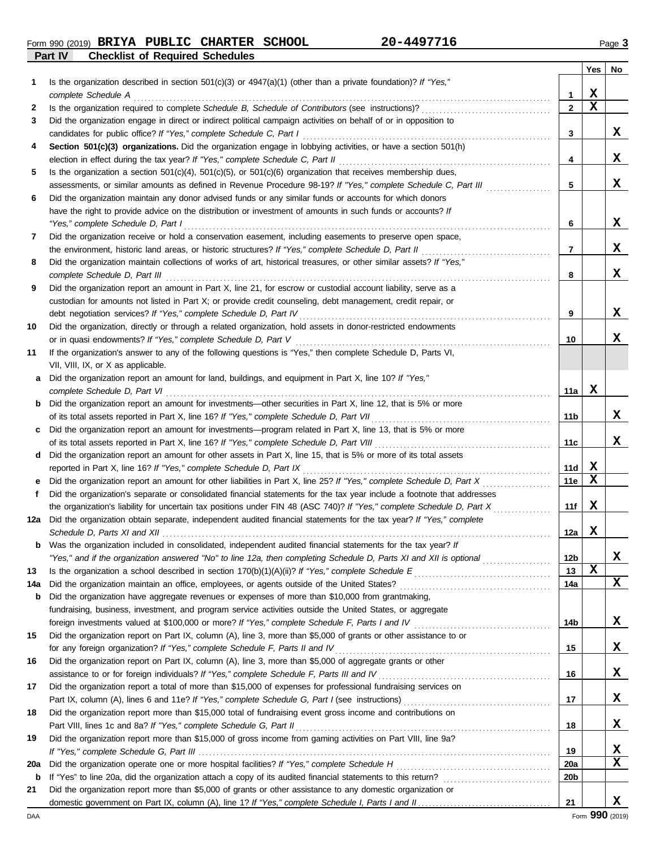**Part IV Checklist of Required Schedules Form 990 (2019) BRIYA PUBLIC CHARTER SCHOOL 20-4497716** Page 3

|     |                                                                                                                                                                                                           |                 | Yes         | No |
|-----|-----------------------------------------------------------------------------------------------------------------------------------------------------------------------------------------------------------|-----------------|-------------|----|
| 1   | Is the organization described in section $501(c)(3)$ or $4947(a)(1)$ (other than a private foundation)? If "Yes,"<br>complete Schedule A                                                                  | 1               | X           |    |
| 2   |                                                                                                                                                                                                           | $\overline{2}$  | $\mathbf x$ |    |
| 3   | Did the organization engage in direct or indirect political campaign activities on behalf of or in opposition to                                                                                          |                 |             |    |
|     | candidates for public office? If "Yes," complete Schedule C, Part I                                                                                                                                       | 3               |             | X  |
| 4   | Section 501(c)(3) organizations. Did the organization engage in lobbying activities, or have a section 501(h)                                                                                             |                 |             | X  |
| 5   | election in effect during the tax year? If "Yes," complete Schedule C, Part II<br>Is the organization a section $501(c)(4)$ , $501(c)(5)$ , or $501(c)(6)$ organization that receives membership dues,    | 4               |             |    |
|     | assessments, or similar amounts as defined in Revenue Procedure 98-19? If "Yes," complete Schedule C, Part III                                                                                            | 5               |             | x  |
| 6   | Did the organization maintain any donor advised funds or any similar funds or accounts for which donors                                                                                                   |                 |             |    |
|     | have the right to provide advice on the distribution or investment of amounts in such funds or accounts? If                                                                                               |                 |             |    |
|     | "Yes," complete Schedule D, Part I                                                                                                                                                                        | 6               |             | X  |
| 7   | Did the organization receive or hold a conservation easement, including easements to preserve open space,                                                                                                 |                 |             |    |
|     | the environment, historic land areas, or historic structures? If "Yes," complete Schedule D, Part II                                                                                                      | $\overline{7}$  |             | X  |
| 8   | Did the organization maintain collections of works of art, historical treasures, or other similar assets? If "Yes,"                                                                                       |                 |             |    |
|     | complete Schedule D, Part III                                                                                                                                                                             | 8               |             | X  |
| 9   | Did the organization report an amount in Part X, line 21, for escrow or custodial account liability, serve as a                                                                                           |                 |             |    |
|     | custodian for amounts not listed in Part X; or provide credit counseling, debt management, credit repair, or                                                                                              |                 |             |    |
|     | debt negotiation services? If "Yes," complete Schedule D, Part IV                                                                                                                                         | 9               |             | x  |
| 10  | Did the organization, directly or through a related organization, hold assets in donor-restricted endowments                                                                                              |                 |             |    |
|     | or in quasi endowments? If "Yes," complete Schedule D, Part V                                                                                                                                             | 10              |             | х  |
| 11  | If the organization's answer to any of the following questions is "Yes," then complete Schedule D, Parts VI,                                                                                              |                 |             |    |
|     | VII, VIII, IX, or X as applicable.                                                                                                                                                                        |                 |             |    |
| a   | Did the organization report an amount for land, buildings, and equipment in Part X, line 10? If "Yes,"                                                                                                    |                 |             |    |
|     | complete Schedule D, Part VI                                                                                                                                                                              | 11a             | х           |    |
| b   | Did the organization report an amount for investments—other securities in Part X, line 12, that is 5% or more<br>of its total assets reported in Part X, line 16? If "Yes," complete Schedule D, Part VII | 11b             |             | x  |
|     | Did the organization report an amount for investments—program related in Part X, line 13, that is 5% or more                                                                                              |                 |             |    |
|     | of its total assets reported in Part X, line 16? If "Yes," complete Schedule D, Part VIII                                                                                                                 | 11c             |             | х  |
| d   | Did the organization report an amount for other assets in Part X, line 15, that is 5% or more of its total assets                                                                                         |                 |             |    |
|     | reported in Part X, line 16? If "Yes," complete Schedule D, Part IX                                                                                                                                       | 11d             | X           |    |
| е   |                                                                                                                                                                                                           | 11e             | X           |    |
| f   | Did the organization's separate or consolidated financial statements for the tax year include a footnote that addresses                                                                                   |                 |             |    |
|     | the organization's liability for uncertain tax positions under FIN 48 (ASC 740)? If "Yes," complete Schedule D, Part X [[[[[[[[[[[[[[[[[[[[[[[[[[[]]]]]]]]]                                               | 11f             | X           |    |
| 12a | Did the organization obtain separate, independent audited financial statements for the tax year? If "Yes," complete                                                                                       |                 |             |    |
|     |                                                                                                                                                                                                           | 12a             | X           |    |
|     | <b>b</b> Was the organization included in consolidated, independent audited financial statements for the tax year? If                                                                                     |                 |             |    |
|     | "Yes," and if the organization answered "No" to line 12a, then completing Schedule D, Parts XI and XII is optional                                                                                        | 12 <sub>b</sub> |             | X  |
| 13  |                                                                                                                                                                                                           | 13              | X           |    |
| 14a |                                                                                                                                                                                                           | 14a             |             | x  |
| b   | Did the organization have aggregate revenues or expenses of more than \$10,000 from grantmaking,                                                                                                          |                 |             |    |
|     | fundraising, business, investment, and program service activities outside the United States, or aggregate                                                                                                 |                 |             | X  |
| 15  | Did the organization report on Part IX, column (A), line 3, more than \$5,000 of grants or other assistance to or                                                                                         | 14b             |             |    |
|     | for any foreign organization? If "Yes," complete Schedule F, Parts II and IV                                                                                                                              | 15              |             | X  |
| 16  | Did the organization report on Part IX, column (A), line 3, more than \$5,000 of aggregate grants or other                                                                                                |                 |             |    |
|     | assistance to or for foreign individuals? If "Yes," complete Schedule F, Parts III and IV [[[[[[[[[[[[[[[[[[[                                                                                             | 16              |             | X  |
| 17  | Did the organization report a total of more than \$15,000 of expenses for professional fundraising services on                                                                                            |                 |             |    |
|     |                                                                                                                                                                                                           | 17              |             | X  |
| 18  | Did the organization report more than \$15,000 total of fundraising event gross income and contributions on                                                                                               |                 |             |    |
|     |                                                                                                                                                                                                           | 18              |             | X  |
| 19  | Did the organization report more than \$15,000 of gross income from gaming activities on Part VIII, line 9a?                                                                                              |                 |             |    |
|     |                                                                                                                                                                                                           | 19              |             | X  |
| 20a |                                                                                                                                                                                                           | <b>20a</b>      |             | X  |
| b   |                                                                                                                                                                                                           | 20 <sub>b</sub> |             |    |
| 21  | Did the organization report more than \$5,000 of grants or other assistance to any domestic organization or                                                                                               |                 |             |    |
|     |                                                                                                                                                                                                           | 21              |             | X  |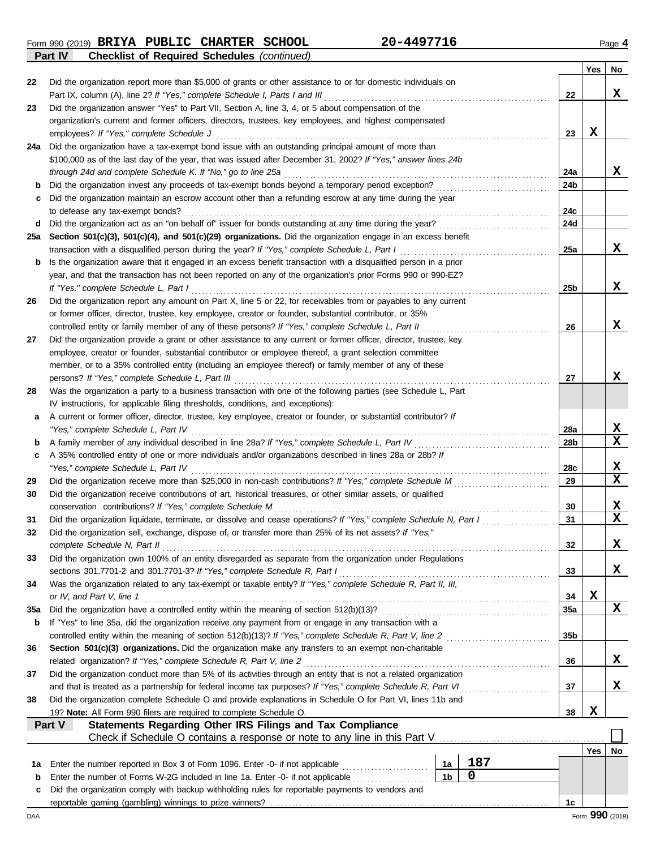**Form 990 (2019) BRIYA PUBLIC CHARTER SCHOOL 20-4497716** Page 4 **Part IV Checklist of Required Schedules** *(continued)*

| Did the organization report more than \$5,000 of grants or other assistance to or for domestic individuals on<br>22<br>x<br>Part IX, column (A), line 2? If "Yes," complete Schedule I, Parts I and III<br>22<br>Did the organization answer "Yes" to Part VII, Section A, line 3, 4, or 5 about compensation of the<br>23<br>organization's current and former officers, directors, trustees, key employees, and highest compensated<br>х<br>employees? If "Yes," complete Schedule J<br>23<br>Did the organization have a tax-exempt bond issue with an outstanding principal amount of more than<br>24a<br>\$100,000 as of the last day of the year, that was issued after December 31, 2002? If "Yes," answer lines 24b<br>x<br>through 24d and complete Schedule K. If "No," go to line 25a<br>24a<br>Did the organization invest any proceeds of tax-exempt bonds beyond a temporary period exception?<br>24b<br>b<br>Did the organization maintain an escrow account other than a refunding escrow at any time during the year<br>c<br>24c<br>to defease any tax-exempt bonds?<br>Did the organization act as an "on behalf of" issuer for bonds outstanding at any time during the year?<br>24d<br>d<br>Section 501(c)(3), 501(c)(4), and 501(c)(29) organizations. Did the organization engage in an excess benefit<br>25a<br>X<br>transaction with a disqualified person during the year? If "Yes," complete Schedule L, Part I<br>25a<br>Is the organization aware that it engaged in an excess benefit transaction with a disqualified person in a prior<br>b<br>year, and that the transaction has not been reported on any of the organization's prior Forms 990 or 990-EZ?<br>x<br>If "Yes," complete Schedule L, Part I<br>25 <sub>b</sub><br>Did the organization report any amount on Part X, line 5 or 22, for receivables from or payables to any current<br>26<br>or former officer, director, trustee, key employee, creator or founder, substantial contributor, or 35%<br>x<br>controlled entity or family member of any of these persons? If "Yes," complete Schedule L, Part II<br>26<br>Did the organization provide a grant or other assistance to any current or former officer, director, trustee, key<br>27<br>employee, creator or founder, substantial contributor or employee thereof, a grant selection committee<br>member, or to a 35% controlled entity (including an employee thereof) or family member of any of these<br>x<br>persons? If "Yes," complete Schedule L, Part III<br>27<br>Was the organization a party to a business transaction with one of the following parties (see Schedule L, Part<br>28<br>IV instructions, for applicable filing thresholds, conditions, and exceptions):<br>A current or former officer, director, trustee, key employee, creator or founder, or substantial contributor? If<br>a<br>X<br>"Yes," complete Schedule L, Part IV<br>28a<br>X<br>A family member of any individual described in line 28a? If "Yes," complete Schedule L, Part IV [[[[[[[[[[[[[<br>28b<br>b<br>A 35% controlled entity of one or more individuals and/or organizations described in lines 28a or 28b? If<br>c<br>x<br>"Yes," complete Schedule L, Part IV<br>28c<br>X<br>29<br>29<br>Did the organization receive contributions of art, historical treasures, or other similar assets, or qualified<br>30<br>x<br>conservation contributions? If "Yes," complete Schedule M<br>30<br>X<br>Did the organization liquidate, terminate, or dissolve and cease operations? If "Yes," complete Schedule N, Part I<br>31<br>31<br>Did the organization sell, exchange, dispose of, or transfer more than 25% of its net assets? If "Yes,"<br>32<br>X<br>complete Schedule N, Part II<br>32<br>Did the organization own 100% of an entity disregarded as separate from the organization under Regulations<br>33<br>x<br>sections 301.7701-2 and 301.7701-3? If "Yes," complete Schedule R, Part I<br>33<br>Was the organization related to any tax-exempt or taxable entity? If "Yes," complete Schedule R, Part II, III,<br>34<br>x<br>or IV, and Part V, line 1<br>34<br>x<br>35a<br>35a<br>If "Yes" to line 35a, did the organization receive any payment from or engage in any transaction with a<br>b<br>35 <sub>b</sub><br>Section 501(c)(3) organizations. Did the organization make any transfers to an exempt non-charitable<br>36<br>x<br>related organization? If "Yes," complete Schedule R, Part V, line 2<br>36<br>Did the organization conduct more than 5% of its activities through an entity that is not a related organization<br>37<br>x<br>37<br>Did the organization complete Schedule O and provide explanations in Schedule O for Part VI, lines 11b and<br>38<br>X<br>19? Note: All Form 990 filers are required to complete Schedule O.<br>38<br>Statements Regarding Other IRS Filings and Tax Compliance<br>Part V<br>Check if Schedule O contains a response or note to any line in this Part V<br>Yes<br>No<br>187<br>Enter the number reported in Box 3 of Form 1096. Enter -0- if not applicable<br>1a<br>1а<br>0<br>Enter the number of Forms W-2G included in line 1a. Enter -0- if not applicable<br>1 <sub>b</sub><br>$\mathbf b$<br>Did the organization comply with backup withholding rules for reportable payments to vendors and<br>c<br>1c |  | Yes | No |
|------------------------------------------------------------------------------------------------------------------------------------------------------------------------------------------------------------------------------------------------------------------------------------------------------------------------------------------------------------------------------------------------------------------------------------------------------------------------------------------------------------------------------------------------------------------------------------------------------------------------------------------------------------------------------------------------------------------------------------------------------------------------------------------------------------------------------------------------------------------------------------------------------------------------------------------------------------------------------------------------------------------------------------------------------------------------------------------------------------------------------------------------------------------------------------------------------------------------------------------------------------------------------------------------------------------------------------------------------------------------------------------------------------------------------------------------------------------------------------------------------------------------------------------------------------------------------------------------------------------------------------------------------------------------------------------------------------------------------------------------------------------------------------------------------------------------------------------------------------------------------------------------------------------------------------------------------------------------------------------------------------------------------------------------------------------------------------------------------------------------------------------------------------------------------------------------------------------------------------------------------------------------------------------------------------------------------------------------------------------------------------------------------------------------------------------------------------------------------------------------------------------------------------------------------------------------------------------------------------------------------------------------------------------------------------------------------------------------------------------------------------------------------------------------------------------------------------------------------------------------------------------------------------------------------------------------------------------------------------------------------------------------------------------------------------------------------------------------------------------------------------------------------------------------------------------------------------------------------------------------------------------------------------------------------------------------------------------------------------------------------------------------------------------------------------------------------------------------------------------------------------------------------------------------------------------------------------------------------------------------------------------------------------------------------------------------------------------------------------------------------------------------------------------------------------------------------------------------------------------------------------------------------------------------------------------------------------------------------------------------------------------------------------------------------------------------------------------------------------------------------------------------------------------------------------------------------------------------------------------------------------------------------------------------------------------------------------------------------------------------------------------------------------------------------------------------------------------------------------------------------------------------------------------------------------------------------------------------------------------------------------------------------------------------------------------------------------------------------------------------------------------------------------------------------------------------------------------------------------------------------------------------------------------------------------------------------------------------------------------------------------------------------------------------------------------------------------------------------------------------------------------------------------------------------------------------------------------------------------------------------------------------------------------------------------------------------------------|--|-----|----|
|                                                                                                                                                                                                                                                                                                                                                                                                                                                                                                                                                                                                                                                                                                                                                                                                                                                                                                                                                                                                                                                                                                                                                                                                                                                                                                                                                                                                                                                                                                                                                                                                                                                                                                                                                                                                                                                                                                                                                                                                                                                                                                                                                                                                                                                                                                                                                                                                                                                                                                                                                                                                                                                                                                                                                                                                                                                                                                                                                                                                                                                                                                                                                                                                                                                                                                                                                                                                                                                                                                                                                                                                                                                                                                                                                                                                                                                                                                                                                                                                                                                                                                                                                                                                                                                                                                                                                                                                                                                                                                                                                                                                                                                                                                                                                                                                                                                                                                                                                                                                                                                                                                                                                                                                                                                                                                                                          |  |     |    |
|                                                                                                                                                                                                                                                                                                                                                                                                                                                                                                                                                                                                                                                                                                                                                                                                                                                                                                                                                                                                                                                                                                                                                                                                                                                                                                                                                                                                                                                                                                                                                                                                                                                                                                                                                                                                                                                                                                                                                                                                                                                                                                                                                                                                                                                                                                                                                                                                                                                                                                                                                                                                                                                                                                                                                                                                                                                                                                                                                                                                                                                                                                                                                                                                                                                                                                                                                                                                                                                                                                                                                                                                                                                                                                                                                                                                                                                                                                                                                                                                                                                                                                                                                                                                                                                                                                                                                                                                                                                                                                                                                                                                                                                                                                                                                                                                                                                                                                                                                                                                                                                                                                                                                                                                                                                                                                                                          |  |     |    |
|                                                                                                                                                                                                                                                                                                                                                                                                                                                                                                                                                                                                                                                                                                                                                                                                                                                                                                                                                                                                                                                                                                                                                                                                                                                                                                                                                                                                                                                                                                                                                                                                                                                                                                                                                                                                                                                                                                                                                                                                                                                                                                                                                                                                                                                                                                                                                                                                                                                                                                                                                                                                                                                                                                                                                                                                                                                                                                                                                                                                                                                                                                                                                                                                                                                                                                                                                                                                                                                                                                                                                                                                                                                                                                                                                                                                                                                                                                                                                                                                                                                                                                                                                                                                                                                                                                                                                                                                                                                                                                                                                                                                                                                                                                                                                                                                                                                                                                                                                                                                                                                                                                                                                                                                                                                                                                                                          |  |     |    |
|                                                                                                                                                                                                                                                                                                                                                                                                                                                                                                                                                                                                                                                                                                                                                                                                                                                                                                                                                                                                                                                                                                                                                                                                                                                                                                                                                                                                                                                                                                                                                                                                                                                                                                                                                                                                                                                                                                                                                                                                                                                                                                                                                                                                                                                                                                                                                                                                                                                                                                                                                                                                                                                                                                                                                                                                                                                                                                                                                                                                                                                                                                                                                                                                                                                                                                                                                                                                                                                                                                                                                                                                                                                                                                                                                                                                                                                                                                                                                                                                                                                                                                                                                                                                                                                                                                                                                                                                                                                                                                                                                                                                                                                                                                                                                                                                                                                                                                                                                                                                                                                                                                                                                                                                                                                                                                                                          |  |     |    |
|                                                                                                                                                                                                                                                                                                                                                                                                                                                                                                                                                                                                                                                                                                                                                                                                                                                                                                                                                                                                                                                                                                                                                                                                                                                                                                                                                                                                                                                                                                                                                                                                                                                                                                                                                                                                                                                                                                                                                                                                                                                                                                                                                                                                                                                                                                                                                                                                                                                                                                                                                                                                                                                                                                                                                                                                                                                                                                                                                                                                                                                                                                                                                                                                                                                                                                                                                                                                                                                                                                                                                                                                                                                                                                                                                                                                                                                                                                                                                                                                                                                                                                                                                                                                                                                                                                                                                                                                                                                                                                                                                                                                                                                                                                                                                                                                                                                                                                                                                                                                                                                                                                                                                                                                                                                                                                                                          |  |     |    |
|                                                                                                                                                                                                                                                                                                                                                                                                                                                                                                                                                                                                                                                                                                                                                                                                                                                                                                                                                                                                                                                                                                                                                                                                                                                                                                                                                                                                                                                                                                                                                                                                                                                                                                                                                                                                                                                                                                                                                                                                                                                                                                                                                                                                                                                                                                                                                                                                                                                                                                                                                                                                                                                                                                                                                                                                                                                                                                                                                                                                                                                                                                                                                                                                                                                                                                                                                                                                                                                                                                                                                                                                                                                                                                                                                                                                                                                                                                                                                                                                                                                                                                                                                                                                                                                                                                                                                                                                                                                                                                                                                                                                                                                                                                                                                                                                                                                                                                                                                                                                                                                                                                                                                                                                                                                                                                                                          |  |     |    |
|                                                                                                                                                                                                                                                                                                                                                                                                                                                                                                                                                                                                                                                                                                                                                                                                                                                                                                                                                                                                                                                                                                                                                                                                                                                                                                                                                                                                                                                                                                                                                                                                                                                                                                                                                                                                                                                                                                                                                                                                                                                                                                                                                                                                                                                                                                                                                                                                                                                                                                                                                                                                                                                                                                                                                                                                                                                                                                                                                                                                                                                                                                                                                                                                                                                                                                                                                                                                                                                                                                                                                                                                                                                                                                                                                                                                                                                                                                                                                                                                                                                                                                                                                                                                                                                                                                                                                                                                                                                                                                                                                                                                                                                                                                                                                                                                                                                                                                                                                                                                                                                                                                                                                                                                                                                                                                                                          |  |     |    |
|                                                                                                                                                                                                                                                                                                                                                                                                                                                                                                                                                                                                                                                                                                                                                                                                                                                                                                                                                                                                                                                                                                                                                                                                                                                                                                                                                                                                                                                                                                                                                                                                                                                                                                                                                                                                                                                                                                                                                                                                                                                                                                                                                                                                                                                                                                                                                                                                                                                                                                                                                                                                                                                                                                                                                                                                                                                                                                                                                                                                                                                                                                                                                                                                                                                                                                                                                                                                                                                                                                                                                                                                                                                                                                                                                                                                                                                                                                                                                                                                                                                                                                                                                                                                                                                                                                                                                                                                                                                                                                                                                                                                                                                                                                                                                                                                                                                                                                                                                                                                                                                                                                                                                                                                                                                                                                                                          |  |     |    |
|                                                                                                                                                                                                                                                                                                                                                                                                                                                                                                                                                                                                                                                                                                                                                                                                                                                                                                                                                                                                                                                                                                                                                                                                                                                                                                                                                                                                                                                                                                                                                                                                                                                                                                                                                                                                                                                                                                                                                                                                                                                                                                                                                                                                                                                                                                                                                                                                                                                                                                                                                                                                                                                                                                                                                                                                                                                                                                                                                                                                                                                                                                                                                                                                                                                                                                                                                                                                                                                                                                                                                                                                                                                                                                                                                                                                                                                                                                                                                                                                                                                                                                                                                                                                                                                                                                                                                                                                                                                                                                                                                                                                                                                                                                                                                                                                                                                                                                                                                                                                                                                                                                                                                                                                                                                                                                                                          |  |     |    |
|                                                                                                                                                                                                                                                                                                                                                                                                                                                                                                                                                                                                                                                                                                                                                                                                                                                                                                                                                                                                                                                                                                                                                                                                                                                                                                                                                                                                                                                                                                                                                                                                                                                                                                                                                                                                                                                                                                                                                                                                                                                                                                                                                                                                                                                                                                                                                                                                                                                                                                                                                                                                                                                                                                                                                                                                                                                                                                                                                                                                                                                                                                                                                                                                                                                                                                                                                                                                                                                                                                                                                                                                                                                                                                                                                                                                                                                                                                                                                                                                                                                                                                                                                                                                                                                                                                                                                                                                                                                                                                                                                                                                                                                                                                                                                                                                                                                                                                                                                                                                                                                                                                                                                                                                                                                                                                                                          |  |     |    |
|                                                                                                                                                                                                                                                                                                                                                                                                                                                                                                                                                                                                                                                                                                                                                                                                                                                                                                                                                                                                                                                                                                                                                                                                                                                                                                                                                                                                                                                                                                                                                                                                                                                                                                                                                                                                                                                                                                                                                                                                                                                                                                                                                                                                                                                                                                                                                                                                                                                                                                                                                                                                                                                                                                                                                                                                                                                                                                                                                                                                                                                                                                                                                                                                                                                                                                                                                                                                                                                                                                                                                                                                                                                                                                                                                                                                                                                                                                                                                                                                                                                                                                                                                                                                                                                                                                                                                                                                                                                                                                                                                                                                                                                                                                                                                                                                                                                                                                                                                                                                                                                                                                                                                                                                                                                                                                                                          |  |     |    |
|                                                                                                                                                                                                                                                                                                                                                                                                                                                                                                                                                                                                                                                                                                                                                                                                                                                                                                                                                                                                                                                                                                                                                                                                                                                                                                                                                                                                                                                                                                                                                                                                                                                                                                                                                                                                                                                                                                                                                                                                                                                                                                                                                                                                                                                                                                                                                                                                                                                                                                                                                                                                                                                                                                                                                                                                                                                                                                                                                                                                                                                                                                                                                                                                                                                                                                                                                                                                                                                                                                                                                                                                                                                                                                                                                                                                                                                                                                                                                                                                                                                                                                                                                                                                                                                                                                                                                                                                                                                                                                                                                                                                                                                                                                                                                                                                                                                                                                                                                                                                                                                                                                                                                                                                                                                                                                                                          |  |     |    |
|                                                                                                                                                                                                                                                                                                                                                                                                                                                                                                                                                                                                                                                                                                                                                                                                                                                                                                                                                                                                                                                                                                                                                                                                                                                                                                                                                                                                                                                                                                                                                                                                                                                                                                                                                                                                                                                                                                                                                                                                                                                                                                                                                                                                                                                                                                                                                                                                                                                                                                                                                                                                                                                                                                                                                                                                                                                                                                                                                                                                                                                                                                                                                                                                                                                                                                                                                                                                                                                                                                                                                                                                                                                                                                                                                                                                                                                                                                                                                                                                                                                                                                                                                                                                                                                                                                                                                                                                                                                                                                                                                                                                                                                                                                                                                                                                                                                                                                                                                                                                                                                                                                                                                                                                                                                                                                                                          |  |     |    |
|                                                                                                                                                                                                                                                                                                                                                                                                                                                                                                                                                                                                                                                                                                                                                                                                                                                                                                                                                                                                                                                                                                                                                                                                                                                                                                                                                                                                                                                                                                                                                                                                                                                                                                                                                                                                                                                                                                                                                                                                                                                                                                                                                                                                                                                                                                                                                                                                                                                                                                                                                                                                                                                                                                                                                                                                                                                                                                                                                                                                                                                                                                                                                                                                                                                                                                                                                                                                                                                                                                                                                                                                                                                                                                                                                                                                                                                                                                                                                                                                                                                                                                                                                                                                                                                                                                                                                                                                                                                                                                                                                                                                                                                                                                                                                                                                                                                                                                                                                                                                                                                                                                                                                                                                                                                                                                                                          |  |     |    |
|                                                                                                                                                                                                                                                                                                                                                                                                                                                                                                                                                                                                                                                                                                                                                                                                                                                                                                                                                                                                                                                                                                                                                                                                                                                                                                                                                                                                                                                                                                                                                                                                                                                                                                                                                                                                                                                                                                                                                                                                                                                                                                                                                                                                                                                                                                                                                                                                                                                                                                                                                                                                                                                                                                                                                                                                                                                                                                                                                                                                                                                                                                                                                                                                                                                                                                                                                                                                                                                                                                                                                                                                                                                                                                                                                                                                                                                                                                                                                                                                                                                                                                                                                                                                                                                                                                                                                                                                                                                                                                                                                                                                                                                                                                                                                                                                                                                                                                                                                                                                                                                                                                                                                                                                                                                                                                                                          |  |     |    |
|                                                                                                                                                                                                                                                                                                                                                                                                                                                                                                                                                                                                                                                                                                                                                                                                                                                                                                                                                                                                                                                                                                                                                                                                                                                                                                                                                                                                                                                                                                                                                                                                                                                                                                                                                                                                                                                                                                                                                                                                                                                                                                                                                                                                                                                                                                                                                                                                                                                                                                                                                                                                                                                                                                                                                                                                                                                                                                                                                                                                                                                                                                                                                                                                                                                                                                                                                                                                                                                                                                                                                                                                                                                                                                                                                                                                                                                                                                                                                                                                                                                                                                                                                                                                                                                                                                                                                                                                                                                                                                                                                                                                                                                                                                                                                                                                                                                                                                                                                                                                                                                                                                                                                                                                                                                                                                                                          |  |     |    |
|                                                                                                                                                                                                                                                                                                                                                                                                                                                                                                                                                                                                                                                                                                                                                                                                                                                                                                                                                                                                                                                                                                                                                                                                                                                                                                                                                                                                                                                                                                                                                                                                                                                                                                                                                                                                                                                                                                                                                                                                                                                                                                                                                                                                                                                                                                                                                                                                                                                                                                                                                                                                                                                                                                                                                                                                                                                                                                                                                                                                                                                                                                                                                                                                                                                                                                                                                                                                                                                                                                                                                                                                                                                                                                                                                                                                                                                                                                                                                                                                                                                                                                                                                                                                                                                                                                                                                                                                                                                                                                                                                                                                                                                                                                                                                                                                                                                                                                                                                                                                                                                                                                                                                                                                                                                                                                                                          |  |     |    |
|                                                                                                                                                                                                                                                                                                                                                                                                                                                                                                                                                                                                                                                                                                                                                                                                                                                                                                                                                                                                                                                                                                                                                                                                                                                                                                                                                                                                                                                                                                                                                                                                                                                                                                                                                                                                                                                                                                                                                                                                                                                                                                                                                                                                                                                                                                                                                                                                                                                                                                                                                                                                                                                                                                                                                                                                                                                                                                                                                                                                                                                                                                                                                                                                                                                                                                                                                                                                                                                                                                                                                                                                                                                                                                                                                                                                                                                                                                                                                                                                                                                                                                                                                                                                                                                                                                                                                                                                                                                                                                                                                                                                                                                                                                                                                                                                                                                                                                                                                                                                                                                                                                                                                                                                                                                                                                                                          |  |     |    |
|                                                                                                                                                                                                                                                                                                                                                                                                                                                                                                                                                                                                                                                                                                                                                                                                                                                                                                                                                                                                                                                                                                                                                                                                                                                                                                                                                                                                                                                                                                                                                                                                                                                                                                                                                                                                                                                                                                                                                                                                                                                                                                                                                                                                                                                                                                                                                                                                                                                                                                                                                                                                                                                                                                                                                                                                                                                                                                                                                                                                                                                                                                                                                                                                                                                                                                                                                                                                                                                                                                                                                                                                                                                                                                                                                                                                                                                                                                                                                                                                                                                                                                                                                                                                                                                                                                                                                                                                                                                                                                                                                                                                                                                                                                                                                                                                                                                                                                                                                                                                                                                                                                                                                                                                                                                                                                                                          |  |     |    |
|                                                                                                                                                                                                                                                                                                                                                                                                                                                                                                                                                                                                                                                                                                                                                                                                                                                                                                                                                                                                                                                                                                                                                                                                                                                                                                                                                                                                                                                                                                                                                                                                                                                                                                                                                                                                                                                                                                                                                                                                                                                                                                                                                                                                                                                                                                                                                                                                                                                                                                                                                                                                                                                                                                                                                                                                                                                                                                                                                                                                                                                                                                                                                                                                                                                                                                                                                                                                                                                                                                                                                                                                                                                                                                                                                                                                                                                                                                                                                                                                                                                                                                                                                                                                                                                                                                                                                                                                                                                                                                                                                                                                                                                                                                                                                                                                                                                                                                                                                                                                                                                                                                                                                                                                                                                                                                                                          |  |     |    |
|                                                                                                                                                                                                                                                                                                                                                                                                                                                                                                                                                                                                                                                                                                                                                                                                                                                                                                                                                                                                                                                                                                                                                                                                                                                                                                                                                                                                                                                                                                                                                                                                                                                                                                                                                                                                                                                                                                                                                                                                                                                                                                                                                                                                                                                                                                                                                                                                                                                                                                                                                                                                                                                                                                                                                                                                                                                                                                                                                                                                                                                                                                                                                                                                                                                                                                                                                                                                                                                                                                                                                                                                                                                                                                                                                                                                                                                                                                                                                                                                                                                                                                                                                                                                                                                                                                                                                                                                                                                                                                                                                                                                                                                                                                                                                                                                                                                                                                                                                                                                                                                                                                                                                                                                                                                                                                                                          |  |     |    |
|                                                                                                                                                                                                                                                                                                                                                                                                                                                                                                                                                                                                                                                                                                                                                                                                                                                                                                                                                                                                                                                                                                                                                                                                                                                                                                                                                                                                                                                                                                                                                                                                                                                                                                                                                                                                                                                                                                                                                                                                                                                                                                                                                                                                                                                                                                                                                                                                                                                                                                                                                                                                                                                                                                                                                                                                                                                                                                                                                                                                                                                                                                                                                                                                                                                                                                                                                                                                                                                                                                                                                                                                                                                                                                                                                                                                                                                                                                                                                                                                                                                                                                                                                                                                                                                                                                                                                                                                                                                                                                                                                                                                                                                                                                                                                                                                                                                                                                                                                                                                                                                                                                                                                                                                                                                                                                                                          |  |     |    |
|                                                                                                                                                                                                                                                                                                                                                                                                                                                                                                                                                                                                                                                                                                                                                                                                                                                                                                                                                                                                                                                                                                                                                                                                                                                                                                                                                                                                                                                                                                                                                                                                                                                                                                                                                                                                                                                                                                                                                                                                                                                                                                                                                                                                                                                                                                                                                                                                                                                                                                                                                                                                                                                                                                                                                                                                                                                                                                                                                                                                                                                                                                                                                                                                                                                                                                                                                                                                                                                                                                                                                                                                                                                                                                                                                                                                                                                                                                                                                                                                                                                                                                                                                                                                                                                                                                                                                                                                                                                                                                                                                                                                                                                                                                                                                                                                                                                                                                                                                                                                                                                                                                                                                                                                                                                                                                                                          |  |     |    |
|                                                                                                                                                                                                                                                                                                                                                                                                                                                                                                                                                                                                                                                                                                                                                                                                                                                                                                                                                                                                                                                                                                                                                                                                                                                                                                                                                                                                                                                                                                                                                                                                                                                                                                                                                                                                                                                                                                                                                                                                                                                                                                                                                                                                                                                                                                                                                                                                                                                                                                                                                                                                                                                                                                                                                                                                                                                                                                                                                                                                                                                                                                                                                                                                                                                                                                                                                                                                                                                                                                                                                                                                                                                                                                                                                                                                                                                                                                                                                                                                                                                                                                                                                                                                                                                                                                                                                                                                                                                                                                                                                                                                                                                                                                                                                                                                                                                                                                                                                                                                                                                                                                                                                                                                                                                                                                                                          |  |     |    |
|                                                                                                                                                                                                                                                                                                                                                                                                                                                                                                                                                                                                                                                                                                                                                                                                                                                                                                                                                                                                                                                                                                                                                                                                                                                                                                                                                                                                                                                                                                                                                                                                                                                                                                                                                                                                                                                                                                                                                                                                                                                                                                                                                                                                                                                                                                                                                                                                                                                                                                                                                                                                                                                                                                                                                                                                                                                                                                                                                                                                                                                                                                                                                                                                                                                                                                                                                                                                                                                                                                                                                                                                                                                                                                                                                                                                                                                                                                                                                                                                                                                                                                                                                                                                                                                                                                                                                                                                                                                                                                                                                                                                                                                                                                                                                                                                                                                                                                                                                                                                                                                                                                                                                                                                                                                                                                                                          |  |     |    |
|                                                                                                                                                                                                                                                                                                                                                                                                                                                                                                                                                                                                                                                                                                                                                                                                                                                                                                                                                                                                                                                                                                                                                                                                                                                                                                                                                                                                                                                                                                                                                                                                                                                                                                                                                                                                                                                                                                                                                                                                                                                                                                                                                                                                                                                                                                                                                                                                                                                                                                                                                                                                                                                                                                                                                                                                                                                                                                                                                                                                                                                                                                                                                                                                                                                                                                                                                                                                                                                                                                                                                                                                                                                                                                                                                                                                                                                                                                                                                                                                                                                                                                                                                                                                                                                                                                                                                                                                                                                                                                                                                                                                                                                                                                                                                                                                                                                                                                                                                                                                                                                                                                                                                                                                                                                                                                                                          |  |     |    |
|                                                                                                                                                                                                                                                                                                                                                                                                                                                                                                                                                                                                                                                                                                                                                                                                                                                                                                                                                                                                                                                                                                                                                                                                                                                                                                                                                                                                                                                                                                                                                                                                                                                                                                                                                                                                                                                                                                                                                                                                                                                                                                                                                                                                                                                                                                                                                                                                                                                                                                                                                                                                                                                                                                                                                                                                                                                                                                                                                                                                                                                                                                                                                                                                                                                                                                                                                                                                                                                                                                                                                                                                                                                                                                                                                                                                                                                                                                                                                                                                                                                                                                                                                                                                                                                                                                                                                                                                                                                                                                                                                                                                                                                                                                                                                                                                                                                                                                                                                                                                                                                                                                                                                                                                                                                                                                                                          |  |     |    |
|                                                                                                                                                                                                                                                                                                                                                                                                                                                                                                                                                                                                                                                                                                                                                                                                                                                                                                                                                                                                                                                                                                                                                                                                                                                                                                                                                                                                                                                                                                                                                                                                                                                                                                                                                                                                                                                                                                                                                                                                                                                                                                                                                                                                                                                                                                                                                                                                                                                                                                                                                                                                                                                                                                                                                                                                                                                                                                                                                                                                                                                                                                                                                                                                                                                                                                                                                                                                                                                                                                                                                                                                                                                                                                                                                                                                                                                                                                                                                                                                                                                                                                                                                                                                                                                                                                                                                                                                                                                                                                                                                                                                                                                                                                                                                                                                                                                                                                                                                                                                                                                                                                                                                                                                                                                                                                                                          |  |     |    |
|                                                                                                                                                                                                                                                                                                                                                                                                                                                                                                                                                                                                                                                                                                                                                                                                                                                                                                                                                                                                                                                                                                                                                                                                                                                                                                                                                                                                                                                                                                                                                                                                                                                                                                                                                                                                                                                                                                                                                                                                                                                                                                                                                                                                                                                                                                                                                                                                                                                                                                                                                                                                                                                                                                                                                                                                                                                                                                                                                                                                                                                                                                                                                                                                                                                                                                                                                                                                                                                                                                                                                                                                                                                                                                                                                                                                                                                                                                                                                                                                                                                                                                                                                                                                                                                                                                                                                                                                                                                                                                                                                                                                                                                                                                                                                                                                                                                                                                                                                                                                                                                                                                                                                                                                                                                                                                                                          |  |     |    |
|                                                                                                                                                                                                                                                                                                                                                                                                                                                                                                                                                                                                                                                                                                                                                                                                                                                                                                                                                                                                                                                                                                                                                                                                                                                                                                                                                                                                                                                                                                                                                                                                                                                                                                                                                                                                                                                                                                                                                                                                                                                                                                                                                                                                                                                                                                                                                                                                                                                                                                                                                                                                                                                                                                                                                                                                                                                                                                                                                                                                                                                                                                                                                                                                                                                                                                                                                                                                                                                                                                                                                                                                                                                                                                                                                                                                                                                                                                                                                                                                                                                                                                                                                                                                                                                                                                                                                                                                                                                                                                                                                                                                                                                                                                                                                                                                                                                                                                                                                                                                                                                                                                                                                                                                                                                                                                                                          |  |     |    |
|                                                                                                                                                                                                                                                                                                                                                                                                                                                                                                                                                                                                                                                                                                                                                                                                                                                                                                                                                                                                                                                                                                                                                                                                                                                                                                                                                                                                                                                                                                                                                                                                                                                                                                                                                                                                                                                                                                                                                                                                                                                                                                                                                                                                                                                                                                                                                                                                                                                                                                                                                                                                                                                                                                                                                                                                                                                                                                                                                                                                                                                                                                                                                                                                                                                                                                                                                                                                                                                                                                                                                                                                                                                                                                                                                                                                                                                                                                                                                                                                                                                                                                                                                                                                                                                                                                                                                                                                                                                                                                                                                                                                                                                                                                                                                                                                                                                                                                                                                                                                                                                                                                                                                                                                                                                                                                                                          |  |     |    |
|                                                                                                                                                                                                                                                                                                                                                                                                                                                                                                                                                                                                                                                                                                                                                                                                                                                                                                                                                                                                                                                                                                                                                                                                                                                                                                                                                                                                                                                                                                                                                                                                                                                                                                                                                                                                                                                                                                                                                                                                                                                                                                                                                                                                                                                                                                                                                                                                                                                                                                                                                                                                                                                                                                                                                                                                                                                                                                                                                                                                                                                                                                                                                                                                                                                                                                                                                                                                                                                                                                                                                                                                                                                                                                                                                                                                                                                                                                                                                                                                                                                                                                                                                                                                                                                                                                                                                                                                                                                                                                                                                                                                                                                                                                                                                                                                                                                                                                                                                                                                                                                                                                                                                                                                                                                                                                                                          |  |     |    |
|                                                                                                                                                                                                                                                                                                                                                                                                                                                                                                                                                                                                                                                                                                                                                                                                                                                                                                                                                                                                                                                                                                                                                                                                                                                                                                                                                                                                                                                                                                                                                                                                                                                                                                                                                                                                                                                                                                                                                                                                                                                                                                                                                                                                                                                                                                                                                                                                                                                                                                                                                                                                                                                                                                                                                                                                                                                                                                                                                                                                                                                                                                                                                                                                                                                                                                                                                                                                                                                                                                                                                                                                                                                                                                                                                                                                                                                                                                                                                                                                                                                                                                                                                                                                                                                                                                                                                                                                                                                                                                                                                                                                                                                                                                                                                                                                                                                                                                                                                                                                                                                                                                                                                                                                                                                                                                                                          |  |     |    |
|                                                                                                                                                                                                                                                                                                                                                                                                                                                                                                                                                                                                                                                                                                                                                                                                                                                                                                                                                                                                                                                                                                                                                                                                                                                                                                                                                                                                                                                                                                                                                                                                                                                                                                                                                                                                                                                                                                                                                                                                                                                                                                                                                                                                                                                                                                                                                                                                                                                                                                                                                                                                                                                                                                                                                                                                                                                                                                                                                                                                                                                                                                                                                                                                                                                                                                                                                                                                                                                                                                                                                                                                                                                                                                                                                                                                                                                                                                                                                                                                                                                                                                                                                                                                                                                                                                                                                                                                                                                                                                                                                                                                                                                                                                                                                                                                                                                                                                                                                                                                                                                                                                                                                                                                                                                                                                                                          |  |     |    |
|                                                                                                                                                                                                                                                                                                                                                                                                                                                                                                                                                                                                                                                                                                                                                                                                                                                                                                                                                                                                                                                                                                                                                                                                                                                                                                                                                                                                                                                                                                                                                                                                                                                                                                                                                                                                                                                                                                                                                                                                                                                                                                                                                                                                                                                                                                                                                                                                                                                                                                                                                                                                                                                                                                                                                                                                                                                                                                                                                                                                                                                                                                                                                                                                                                                                                                                                                                                                                                                                                                                                                                                                                                                                                                                                                                                                                                                                                                                                                                                                                                                                                                                                                                                                                                                                                                                                                                                                                                                                                                                                                                                                                                                                                                                                                                                                                                                                                                                                                                                                                                                                                                                                                                                                                                                                                                                                          |  |     |    |
|                                                                                                                                                                                                                                                                                                                                                                                                                                                                                                                                                                                                                                                                                                                                                                                                                                                                                                                                                                                                                                                                                                                                                                                                                                                                                                                                                                                                                                                                                                                                                                                                                                                                                                                                                                                                                                                                                                                                                                                                                                                                                                                                                                                                                                                                                                                                                                                                                                                                                                                                                                                                                                                                                                                                                                                                                                                                                                                                                                                                                                                                                                                                                                                                                                                                                                                                                                                                                                                                                                                                                                                                                                                                                                                                                                                                                                                                                                                                                                                                                                                                                                                                                                                                                                                                                                                                                                                                                                                                                                                                                                                                                                                                                                                                                                                                                                                                                                                                                                                                                                                                                                                                                                                                                                                                                                                                          |  |     |    |
|                                                                                                                                                                                                                                                                                                                                                                                                                                                                                                                                                                                                                                                                                                                                                                                                                                                                                                                                                                                                                                                                                                                                                                                                                                                                                                                                                                                                                                                                                                                                                                                                                                                                                                                                                                                                                                                                                                                                                                                                                                                                                                                                                                                                                                                                                                                                                                                                                                                                                                                                                                                                                                                                                                                                                                                                                                                                                                                                                                                                                                                                                                                                                                                                                                                                                                                                                                                                                                                                                                                                                                                                                                                                                                                                                                                                                                                                                                                                                                                                                                                                                                                                                                                                                                                                                                                                                                                                                                                                                                                                                                                                                                                                                                                                                                                                                                                                                                                                                                                                                                                                                                                                                                                                                                                                                                                                          |  |     |    |
|                                                                                                                                                                                                                                                                                                                                                                                                                                                                                                                                                                                                                                                                                                                                                                                                                                                                                                                                                                                                                                                                                                                                                                                                                                                                                                                                                                                                                                                                                                                                                                                                                                                                                                                                                                                                                                                                                                                                                                                                                                                                                                                                                                                                                                                                                                                                                                                                                                                                                                                                                                                                                                                                                                                                                                                                                                                                                                                                                                                                                                                                                                                                                                                                                                                                                                                                                                                                                                                                                                                                                                                                                                                                                                                                                                                                                                                                                                                                                                                                                                                                                                                                                                                                                                                                                                                                                                                                                                                                                                                                                                                                                                                                                                                                                                                                                                                                                                                                                                                                                                                                                                                                                                                                                                                                                                                                          |  |     |    |
|                                                                                                                                                                                                                                                                                                                                                                                                                                                                                                                                                                                                                                                                                                                                                                                                                                                                                                                                                                                                                                                                                                                                                                                                                                                                                                                                                                                                                                                                                                                                                                                                                                                                                                                                                                                                                                                                                                                                                                                                                                                                                                                                                                                                                                                                                                                                                                                                                                                                                                                                                                                                                                                                                                                                                                                                                                                                                                                                                                                                                                                                                                                                                                                                                                                                                                                                                                                                                                                                                                                                                                                                                                                                                                                                                                                                                                                                                                                                                                                                                                                                                                                                                                                                                                                                                                                                                                                                                                                                                                                                                                                                                                                                                                                                                                                                                                                                                                                                                                                                                                                                                                                                                                                                                                                                                                                                          |  |     |    |
|                                                                                                                                                                                                                                                                                                                                                                                                                                                                                                                                                                                                                                                                                                                                                                                                                                                                                                                                                                                                                                                                                                                                                                                                                                                                                                                                                                                                                                                                                                                                                                                                                                                                                                                                                                                                                                                                                                                                                                                                                                                                                                                                                                                                                                                                                                                                                                                                                                                                                                                                                                                                                                                                                                                                                                                                                                                                                                                                                                                                                                                                                                                                                                                                                                                                                                                                                                                                                                                                                                                                                                                                                                                                                                                                                                                                                                                                                                                                                                                                                                                                                                                                                                                                                                                                                                                                                                                                                                                                                                                                                                                                                                                                                                                                                                                                                                                                                                                                                                                                                                                                                                                                                                                                                                                                                                                                          |  |     |    |
|                                                                                                                                                                                                                                                                                                                                                                                                                                                                                                                                                                                                                                                                                                                                                                                                                                                                                                                                                                                                                                                                                                                                                                                                                                                                                                                                                                                                                                                                                                                                                                                                                                                                                                                                                                                                                                                                                                                                                                                                                                                                                                                                                                                                                                                                                                                                                                                                                                                                                                                                                                                                                                                                                                                                                                                                                                                                                                                                                                                                                                                                                                                                                                                                                                                                                                                                                                                                                                                                                                                                                                                                                                                                                                                                                                                                                                                                                                                                                                                                                                                                                                                                                                                                                                                                                                                                                                                                                                                                                                                                                                                                                                                                                                                                                                                                                                                                                                                                                                                                                                                                                                                                                                                                                                                                                                                                          |  |     |    |
|                                                                                                                                                                                                                                                                                                                                                                                                                                                                                                                                                                                                                                                                                                                                                                                                                                                                                                                                                                                                                                                                                                                                                                                                                                                                                                                                                                                                                                                                                                                                                                                                                                                                                                                                                                                                                                                                                                                                                                                                                                                                                                                                                                                                                                                                                                                                                                                                                                                                                                                                                                                                                                                                                                                                                                                                                                                                                                                                                                                                                                                                                                                                                                                                                                                                                                                                                                                                                                                                                                                                                                                                                                                                                                                                                                                                                                                                                                                                                                                                                                                                                                                                                                                                                                                                                                                                                                                                                                                                                                                                                                                                                                                                                                                                                                                                                                                                                                                                                                                                                                                                                                                                                                                                                                                                                                                                          |  |     |    |
|                                                                                                                                                                                                                                                                                                                                                                                                                                                                                                                                                                                                                                                                                                                                                                                                                                                                                                                                                                                                                                                                                                                                                                                                                                                                                                                                                                                                                                                                                                                                                                                                                                                                                                                                                                                                                                                                                                                                                                                                                                                                                                                                                                                                                                                                                                                                                                                                                                                                                                                                                                                                                                                                                                                                                                                                                                                                                                                                                                                                                                                                                                                                                                                                                                                                                                                                                                                                                                                                                                                                                                                                                                                                                                                                                                                                                                                                                                                                                                                                                                                                                                                                                                                                                                                                                                                                                                                                                                                                                                                                                                                                                                                                                                                                                                                                                                                                                                                                                                                                                                                                                                                                                                                                                                                                                                                                          |  |     |    |
|                                                                                                                                                                                                                                                                                                                                                                                                                                                                                                                                                                                                                                                                                                                                                                                                                                                                                                                                                                                                                                                                                                                                                                                                                                                                                                                                                                                                                                                                                                                                                                                                                                                                                                                                                                                                                                                                                                                                                                                                                                                                                                                                                                                                                                                                                                                                                                                                                                                                                                                                                                                                                                                                                                                                                                                                                                                                                                                                                                                                                                                                                                                                                                                                                                                                                                                                                                                                                                                                                                                                                                                                                                                                                                                                                                                                                                                                                                                                                                                                                                                                                                                                                                                                                                                                                                                                                                                                                                                                                                                                                                                                                                                                                                                                                                                                                                                                                                                                                                                                                                                                                                                                                                                                                                                                                                                                          |  |     |    |
|                                                                                                                                                                                                                                                                                                                                                                                                                                                                                                                                                                                                                                                                                                                                                                                                                                                                                                                                                                                                                                                                                                                                                                                                                                                                                                                                                                                                                                                                                                                                                                                                                                                                                                                                                                                                                                                                                                                                                                                                                                                                                                                                                                                                                                                                                                                                                                                                                                                                                                                                                                                                                                                                                                                                                                                                                                                                                                                                                                                                                                                                                                                                                                                                                                                                                                                                                                                                                                                                                                                                                                                                                                                                                                                                                                                                                                                                                                                                                                                                                                                                                                                                                                                                                                                                                                                                                                                                                                                                                                                                                                                                                                                                                                                                                                                                                                                                                                                                                                                                                                                                                                                                                                                                                                                                                                                                          |  |     |    |
|                                                                                                                                                                                                                                                                                                                                                                                                                                                                                                                                                                                                                                                                                                                                                                                                                                                                                                                                                                                                                                                                                                                                                                                                                                                                                                                                                                                                                                                                                                                                                                                                                                                                                                                                                                                                                                                                                                                                                                                                                                                                                                                                                                                                                                                                                                                                                                                                                                                                                                                                                                                                                                                                                                                                                                                                                                                                                                                                                                                                                                                                                                                                                                                                                                                                                                                                                                                                                                                                                                                                                                                                                                                                                                                                                                                                                                                                                                                                                                                                                                                                                                                                                                                                                                                                                                                                                                                                                                                                                                                                                                                                                                                                                                                                                                                                                                                                                                                                                                                                                                                                                                                                                                                                                                                                                                                                          |  |     |    |
|                                                                                                                                                                                                                                                                                                                                                                                                                                                                                                                                                                                                                                                                                                                                                                                                                                                                                                                                                                                                                                                                                                                                                                                                                                                                                                                                                                                                                                                                                                                                                                                                                                                                                                                                                                                                                                                                                                                                                                                                                                                                                                                                                                                                                                                                                                                                                                                                                                                                                                                                                                                                                                                                                                                                                                                                                                                                                                                                                                                                                                                                                                                                                                                                                                                                                                                                                                                                                                                                                                                                                                                                                                                                                                                                                                                                                                                                                                                                                                                                                                                                                                                                                                                                                                                                                                                                                                                                                                                                                                                                                                                                                                                                                                                                                                                                                                                                                                                                                                                                                                                                                                                                                                                                                                                                                                                                          |  |     |    |
|                                                                                                                                                                                                                                                                                                                                                                                                                                                                                                                                                                                                                                                                                                                                                                                                                                                                                                                                                                                                                                                                                                                                                                                                                                                                                                                                                                                                                                                                                                                                                                                                                                                                                                                                                                                                                                                                                                                                                                                                                                                                                                                                                                                                                                                                                                                                                                                                                                                                                                                                                                                                                                                                                                                                                                                                                                                                                                                                                                                                                                                                                                                                                                                                                                                                                                                                                                                                                                                                                                                                                                                                                                                                                                                                                                                                                                                                                                                                                                                                                                                                                                                                                                                                                                                                                                                                                                                                                                                                                                                                                                                                                                                                                                                                                                                                                                                                                                                                                                                                                                                                                                                                                                                                                                                                                                                                          |  |     |    |
|                                                                                                                                                                                                                                                                                                                                                                                                                                                                                                                                                                                                                                                                                                                                                                                                                                                                                                                                                                                                                                                                                                                                                                                                                                                                                                                                                                                                                                                                                                                                                                                                                                                                                                                                                                                                                                                                                                                                                                                                                                                                                                                                                                                                                                                                                                                                                                                                                                                                                                                                                                                                                                                                                                                                                                                                                                                                                                                                                                                                                                                                                                                                                                                                                                                                                                                                                                                                                                                                                                                                                                                                                                                                                                                                                                                                                                                                                                                                                                                                                                                                                                                                                                                                                                                                                                                                                                                                                                                                                                                                                                                                                                                                                                                                                                                                                                                                                                                                                                                                                                                                                                                                                                                                                                                                                                                                          |  |     |    |
|                                                                                                                                                                                                                                                                                                                                                                                                                                                                                                                                                                                                                                                                                                                                                                                                                                                                                                                                                                                                                                                                                                                                                                                                                                                                                                                                                                                                                                                                                                                                                                                                                                                                                                                                                                                                                                                                                                                                                                                                                                                                                                                                                                                                                                                                                                                                                                                                                                                                                                                                                                                                                                                                                                                                                                                                                                                                                                                                                                                                                                                                                                                                                                                                                                                                                                                                                                                                                                                                                                                                                                                                                                                                                                                                                                                                                                                                                                                                                                                                                                                                                                                                                                                                                                                                                                                                                                                                                                                                                                                                                                                                                                                                                                                                                                                                                                                                                                                                                                                                                                                                                                                                                                                                                                                                                                                                          |  |     |    |
|                                                                                                                                                                                                                                                                                                                                                                                                                                                                                                                                                                                                                                                                                                                                                                                                                                                                                                                                                                                                                                                                                                                                                                                                                                                                                                                                                                                                                                                                                                                                                                                                                                                                                                                                                                                                                                                                                                                                                                                                                                                                                                                                                                                                                                                                                                                                                                                                                                                                                                                                                                                                                                                                                                                                                                                                                                                                                                                                                                                                                                                                                                                                                                                                                                                                                                                                                                                                                                                                                                                                                                                                                                                                                                                                                                                                                                                                                                                                                                                                                                                                                                                                                                                                                                                                                                                                                                                                                                                                                                                                                                                                                                                                                                                                                                                                                                                                                                                                                                                                                                                                                                                                                                                                                                                                                                                                          |  |     |    |
|                                                                                                                                                                                                                                                                                                                                                                                                                                                                                                                                                                                                                                                                                                                                                                                                                                                                                                                                                                                                                                                                                                                                                                                                                                                                                                                                                                                                                                                                                                                                                                                                                                                                                                                                                                                                                                                                                                                                                                                                                                                                                                                                                                                                                                                                                                                                                                                                                                                                                                                                                                                                                                                                                                                                                                                                                                                                                                                                                                                                                                                                                                                                                                                                                                                                                                                                                                                                                                                                                                                                                                                                                                                                                                                                                                                                                                                                                                                                                                                                                                                                                                                                                                                                                                                                                                                                                                                                                                                                                                                                                                                                                                                                                                                                                                                                                                                                                                                                                                                                                                                                                                                                                                                                                                                                                                                                          |  |     |    |
|                                                                                                                                                                                                                                                                                                                                                                                                                                                                                                                                                                                                                                                                                                                                                                                                                                                                                                                                                                                                                                                                                                                                                                                                                                                                                                                                                                                                                                                                                                                                                                                                                                                                                                                                                                                                                                                                                                                                                                                                                                                                                                                                                                                                                                                                                                                                                                                                                                                                                                                                                                                                                                                                                                                                                                                                                                                                                                                                                                                                                                                                                                                                                                                                                                                                                                                                                                                                                                                                                                                                                                                                                                                                                                                                                                                                                                                                                                                                                                                                                                                                                                                                                                                                                                                                                                                                                                                                                                                                                                                                                                                                                                                                                                                                                                                                                                                                                                                                                                                                                                                                                                                                                                                                                                                                                                                                          |  |     |    |
|                                                                                                                                                                                                                                                                                                                                                                                                                                                                                                                                                                                                                                                                                                                                                                                                                                                                                                                                                                                                                                                                                                                                                                                                                                                                                                                                                                                                                                                                                                                                                                                                                                                                                                                                                                                                                                                                                                                                                                                                                                                                                                                                                                                                                                                                                                                                                                                                                                                                                                                                                                                                                                                                                                                                                                                                                                                                                                                                                                                                                                                                                                                                                                                                                                                                                                                                                                                                                                                                                                                                                                                                                                                                                                                                                                                                                                                                                                                                                                                                                                                                                                                                                                                                                                                                                                                                                                                                                                                                                                                                                                                                                                                                                                                                                                                                                                                                                                                                                                                                                                                                                                                                                                                                                                                                                                                                          |  |     |    |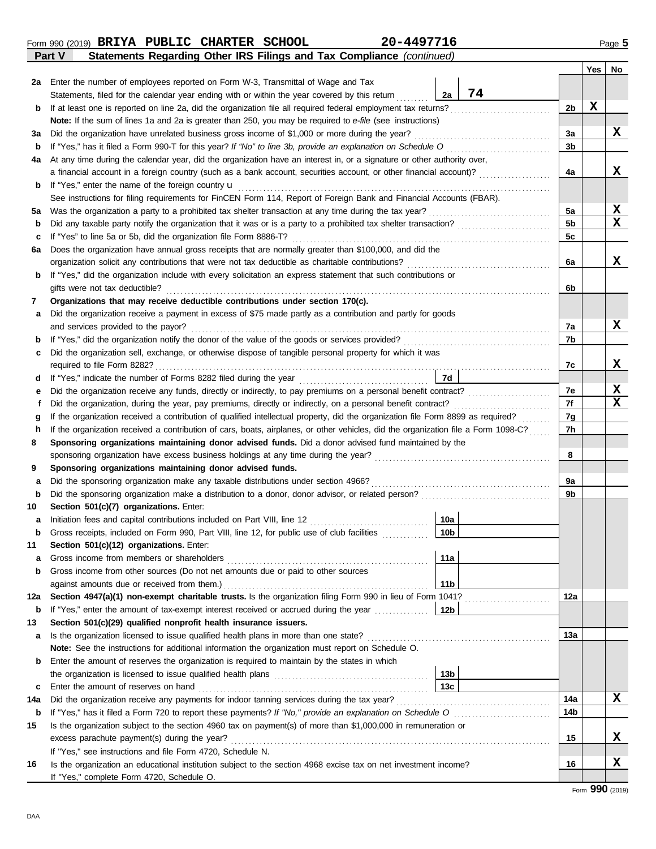DAA

|        | 20-4497716<br>Form 990 (2019) BRIYA PUBLIC CHARTER SCHOOL                                                                          |    |                |     | Page 5 |
|--------|------------------------------------------------------------------------------------------------------------------------------------|----|----------------|-----|--------|
|        | Statements Regarding Other IRS Filings and Tax Compliance (continued)<br>Part V                                                    |    |                |     |        |
|        |                                                                                                                                    |    |                | Yes | No     |
| 2a     | Enter the number of employees reported on Form W-3, Transmittal of Wage and Tax                                                    | 74 |                |     |        |
|        | Statements, filed for the calendar year ending with or within the year covered by this return<br>2a                                |    | 2 <sub>b</sub> | X   |        |
| b      | Note: If the sum of lines 1a and 2a is greater than 250, you may be required to e-file (see instructions)                          |    |                |     |        |
| За     |                                                                                                                                    |    | 3a             |     | x      |
| b      |                                                                                                                                    |    | 3 <sub>b</sub> |     |        |
| 4a     | At any time during the calendar year, did the organization have an interest in, or a signature or other authority over,            |    |                |     |        |
|        | a financial account in a foreign country (such as a bank account, securities account, or other financial account)?                 |    | 4a             |     | x      |
| b      |                                                                                                                                    |    |                |     |        |
|        | See instructions for filing requirements for FinCEN Form 114, Report of Foreign Bank and Financial Accounts (FBAR).                |    |                |     |        |
| 5a     |                                                                                                                                    |    | 5a             |     | X      |
| b      |                                                                                                                                    |    | 5 <sub>b</sub> |     | X      |
| c      |                                                                                                                                    |    | 5с             |     |        |
| 6а     | Does the organization have annual gross receipts that are normally greater than \$100,000, and did the                             |    |                |     |        |
|        |                                                                                                                                    |    | 6a             |     | x      |
| b      | If "Yes," did the organization include with every solicitation an express statement that such contributions or                     |    |                |     |        |
|        | gifts were not tax deductible?                                                                                                     |    | 6b             |     |        |
| 7      | Organizations that may receive deductible contributions under section 170(c).                                                      |    |                |     |        |
| а      | Did the organization receive a payment in excess of \$75 made partly as a contribution and partly for goods                        |    |                |     | x      |
| b      | and services provided to the payor?                                                                                                |    | 7a<br>7b       |     |        |
| c      | Did the organization sell, exchange, or otherwise dispose of tangible personal property for which it was                           |    |                |     |        |
|        |                                                                                                                                    |    | 7c             |     | x      |
| d      | 7d                                                                                                                                 |    |                |     |        |
| е      | Did the organization receive any funds, directly or indirectly, to pay premiums on a personal benefit contract?                    |    | 7e             |     | х      |
| f      | Did the organization, during the year, pay premiums, directly or indirectly, on a personal benefit contract?                       |    | 7f             |     | X      |
| g      |                                                                                                                                    |    | 7g             |     |        |
| h      | If the organization received a contribution of cars, boats, airplanes, or other vehicles, did the organization file a Form 1098-C? |    | 7h             |     |        |
| 8      | Sponsoring organizations maintaining donor advised funds. Did a donor advised fund maintained by the                               |    |                |     |        |
|        |                                                                                                                                    |    | 8              |     |        |
| 9      | Sponsoring organizations maintaining donor advised funds.                                                                          |    |                |     |        |
| а      | Did the sponsoring organization make any taxable distributions under section 4966?                                                 |    | 9a             |     |        |
| b      |                                                                                                                                    |    | 9b             |     |        |
| 10     | Section 501(c)(7) organizations. Enter:                                                                                            |    |                |     |        |
| а      | Initiation fees and capital contributions included on Part VIII, line 12 [11] [11] [12] [11] [12] [11] [12] [1<br>10a              |    |                |     |        |
| b      | 10 <sub>b</sub><br>Gross receipts, included on Form 990, Part VIII, line 12, for public use of club facilities                     |    |                |     |        |
| 11     | Section 501(c)(12) organizations. Enter:<br>Gross income from members or shareholders<br>11a                                       |    |                |     |        |
| а<br>b | Gross income from other sources (Do not net amounts due or paid to other sources                                                   |    |                |     |        |
|        | against amounts due or received from them.)<br>11 <sub>b</sub>                                                                     |    |                |     |        |
| 12a    | Section 4947(a)(1) non-exempt charitable trusts. Is the organization filing Form 990 in lieu of Form 1041?                         |    | 12a            |     |        |
| b      | If "Yes," enter the amount of tax-exempt interest received or accrued during the year<br>12b                                       |    |                |     |        |
| 13     | Section 501(c)(29) qualified nonprofit health insurance issuers.                                                                   |    |                |     |        |
| а      | Is the organization licensed to issue qualified health plans in more than one state?                                               |    | 13а            |     |        |
|        | Note: See the instructions for additional information the organization must report on Schedule O.                                  |    |                |     |        |
| b      | Enter the amount of reserves the organization is required to maintain by the states in which                                       |    |                |     |        |
|        | 13 <sub>b</sub>                                                                                                                    |    |                |     |        |
| c      | Enter the amount of reserves on hand<br>13c                                                                                        |    |                |     |        |
| 14a    |                                                                                                                                    |    | 14a            |     | x      |
| b      |                                                                                                                                    |    | 14b            |     |        |
| 15     | Is the organization subject to the section 4960 tax on payment(s) of more than \$1,000,000 in remuneration or                      |    |                |     |        |

excess parachute payment(s) during the year? . . . . . . . . . . . . . . . . . . . . . . . . . . . . . . . . . . . . . . . . . . . . . . . . . . . . . . . . . . . . . . . . . . . . . . . . . . . . . . . . . . . . . . . . .

**X**

**X**

**15**

**16**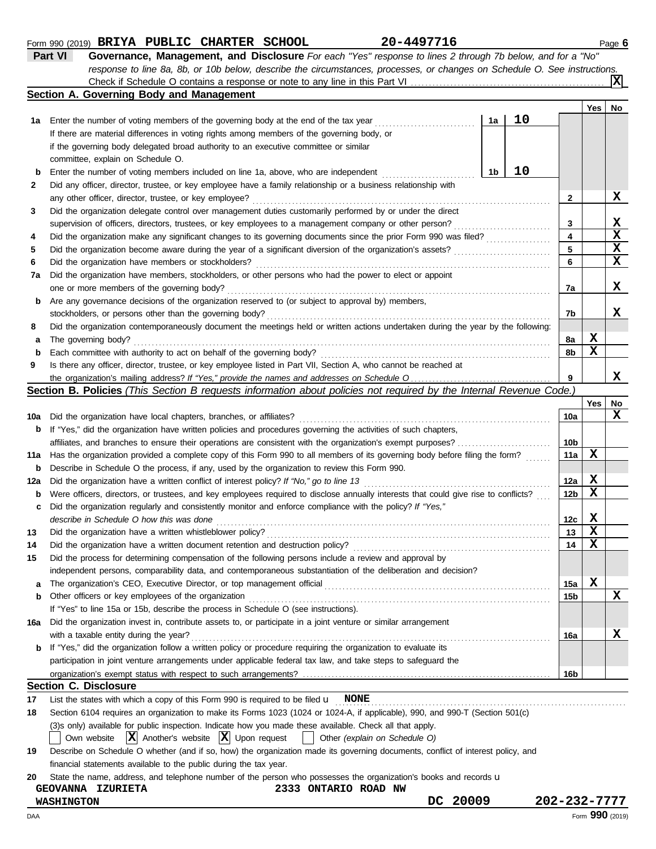## **Form 990 (2019) BRIYA PUBLIC CHARTER SCHOOL 20-4497716** Page 6

| Part VI | Governance, Management, and Disclosure For each "Yes" response to lines 2 through 7b below, and for a "No"                |
|---------|---------------------------------------------------------------------------------------------------------------------------|
|         | response to line 8a, 8b, or 10b below, describe the circumstances, processes, or changes on Schedule O. See instructions. |
|         | $\sqrt{\mathbf{x}}$                                                                                                       |
|         | Section A. Governing Body and Management                                                                                  |

|     | 10                                                                                                                                                                                           |                 | Yes | No |
|-----|----------------------------------------------------------------------------------------------------------------------------------------------------------------------------------------------|-----------------|-----|----|
| 1а  | Enter the number of voting members of the governing body at the end of the tax year<br>1a                                                                                                    |                 |     |    |
|     | If there are material differences in voting rights among members of the governing body, or                                                                                                   |                 |     |    |
|     | if the governing body delegated broad authority to an executive committee or similar                                                                                                         |                 |     |    |
|     | committee, explain on Schedule O.<br>10                                                                                                                                                      |                 |     |    |
| b   | Enter the number of voting members included on line 1a, above, who are independent<br>1b                                                                                                     |                 |     |    |
| 2   | Did any officer, director, trustee, or key employee have a family relationship or a business relationship with                                                                               |                 |     | X  |
|     | any other officer, director, trustee, or key employee?                                                                                                                                       | 2               |     |    |
| 3   | Did the organization delegate control over management duties customarily performed by or under the direct                                                                                    |                 |     | x  |
|     | supervision of officers, directors, trustees, or key employees to a management company or other person?                                                                                      | 3               |     | X  |
| 4   | Did the organization make any significant changes to its governing documents since the prior Form 990 was filed?                                                                             | 4<br>5          |     | X  |
| 5   |                                                                                                                                                                                              | 6               |     | х  |
| 6   | Did the organization have members or stockholders?<br>Did the organization have members, stockholders, or other persons who had the power to elect or appoint                                |                 |     |    |
| 7a  |                                                                                                                                                                                              |                 |     | X  |
|     | one or more members of the governing body?<br>Are any governance decisions of the organization reserved to (or subject to approval by) members,                                              | 7a              |     |    |
| b   |                                                                                                                                                                                              |                 |     | x  |
|     | stockholders, or persons other than the governing body?<br>Did the organization contemporaneously document the meetings held or written actions undertaken during the year by the following: | 7b              |     |    |
| 8   |                                                                                                                                                                                              |                 | X   |    |
| a   | The governing body?                                                                                                                                                                          | 8a<br>8b        | x   |    |
| b   | Each committee with authority to act on behalf of the governing body?<br>Is there any officer, director, trustee, or key employee listed in Part VII, Section A, who cannot be reached at    |                 |     |    |
| 9   |                                                                                                                                                                                              | 9               |     | x  |
|     | Section B. Policies (This Section B requests information about policies not required by the Internal Revenue Code.)                                                                          |                 |     |    |
|     |                                                                                                                                                                                              |                 | Yes | No |
| 10a | Did the organization have local chapters, branches, or affiliates?                                                                                                                           | 10a             |     | x  |
| b   | If "Yes," did the organization have written policies and procedures governing the activities of such chapters,                                                                               |                 |     |    |
|     | affiliates, and branches to ensure their operations are consistent with the organization's exempt purposes?                                                                                  | 10 <sub>b</sub> |     |    |
| 11a | Has the organization provided a complete copy of this Form 990 to all members of its governing body before filing the form?                                                                  | 11a             | x   |    |
| b   | Describe in Schedule O the process, if any, used by the organization to review this Form 990.                                                                                                |                 |     |    |
| 12a | Did the organization have a written conflict of interest policy? If "No," go to line 13                                                                                                      | 12a             | x   |    |
| b   | Were officers, directors, or trustees, and key employees required to disclose annually interests that could give rise to conflicts?                                                          | 12 <sub>b</sub> | х   |    |
| c   | Did the organization regularly and consistently monitor and enforce compliance with the policy? If "Yes,"                                                                                    |                 |     |    |
|     | describe in Schedule O how this was done                                                                                                                                                     | 12c             | X   |    |
| 13  | Did the organization have a written whistleblower policy?                                                                                                                                    | 13              | x   |    |
| 14  | Did the organization have a written document retention and destruction policy?                                                                                                               | 14              | x   |    |
| 15  | Did the process for determining compensation of the following persons include a review and approval by                                                                                       |                 |     |    |
|     | independent persons, comparability data, and contemporaneous substantiation of the deliberation and decision?                                                                                |                 |     |    |
| а   |                                                                                                                                                                                              | 15a             | X   |    |
| b   | Other officers or key employees of the organization                                                                                                                                          | 15b             |     | x  |
|     | If "Yes" to line 15a or 15b, describe the process in Schedule O (see instructions).                                                                                                          |                 |     |    |
| 16a | Did the organization invest in, contribute assets to, or participate in a joint venture or similar arrangement                                                                               |                 |     |    |
|     | with a taxable entity during the year?                                                                                                                                                       | 16a             |     | X  |
| b   | If "Yes," did the organization follow a written policy or procedure requiring the organization to evaluate its                                                                               |                 |     |    |
|     | participation in joint venture arrangements under applicable federal tax law, and take steps to safeguard the                                                                                |                 |     |    |
|     |                                                                                                                                                                                              | 16b             |     |    |
|     | <b>Section C. Disclosure</b>                                                                                                                                                                 |                 |     |    |
| 17  | List the states with which a copy of this Form 990 is required to be filed $\mathbf u$ NONE                                                                                                  |                 |     |    |
| 18  | Section 6104 requires an organization to make its Forms 1023 (1024 or 1024-A, if applicable), 990, and 990-T (Section 501(c)                                                                 |                 |     |    |
|     | (3)s only) available for public inspection. Indicate how you made these available. Check all that apply.                                                                                     |                 |     |    |
|     | $ \mathbf{X} $ Another's website $ \mathbf{X} $ Upon request<br>Other (explain on Schedule O)<br>Own website                                                                                 |                 |     |    |
| 19  | Describe on Schedule O whether (and if so, how) the organization made its governing documents, conflict of interest policy, and                                                              |                 |     |    |
|     | financial statements available to the public during the tax year.                                                                                                                            |                 |     |    |
| 20  | State the name, address, and telephone number of the person who possesses the organization's books and records u                                                                             |                 |     |    |
|     | GEOVANNA IZURIETA<br>2333 ONTARIO ROAD NW                                                                                                                                                    |                 |     |    |

**WASHINGTON DC 20009 202-232-7777**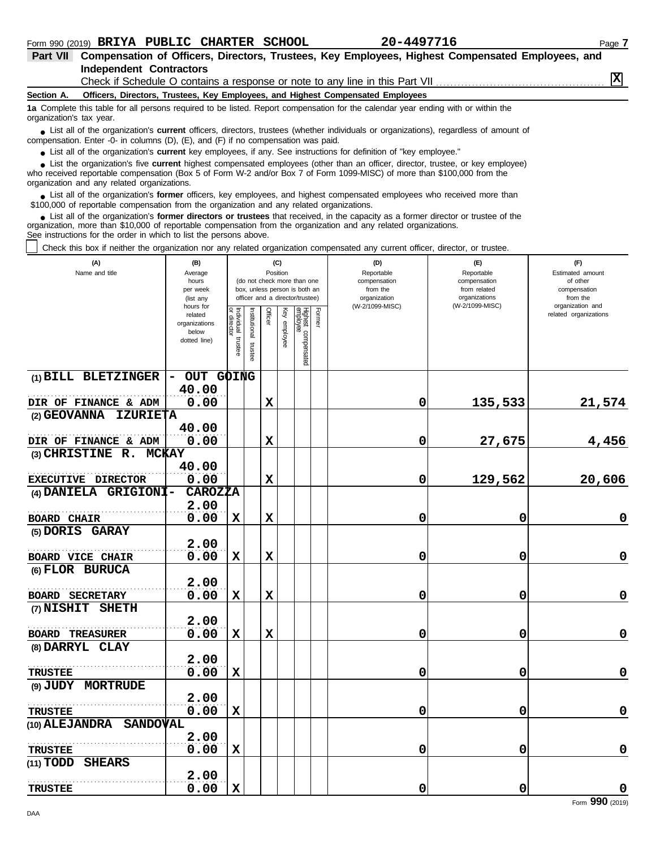| Form 990 (2019) BRIYA PUBLIC CHARTER SCHOOL |  |  | 20-4497716 | Page |
|---------------------------------------------|--|--|------------|------|
|                                             |  |  |            |      |

| 20-4497716 |  |
|------------|--|
|------------|--|

| Part VII   | Compensation of Officers, Directors, Trustees, Key Employees, Highest Compensated Employees, and |
|------------|--------------------------------------------------------------------------------------------------|
|            | Independent Contractors                                                                          |
|            | $\mathbf{x}$<br>Check if Schedule O contains a response or note to any line in this Part VII     |
|            |                                                                                                  |
| Section A. | Officers, Directors, Trustees, Key Employees, and Highest Compensated Employees                  |

■ List all of the organization's **current** officers, directors, trustees (whether individuals or organizations), regardless of amount of the companies of amount of compensation. Enter -0- in columns (D), (E), and (F) if no compensation was paid.

● List all of the organization's **current** key employees, if any. See instructions for definition of "key employee."

■ List the organization's five **current** highest compensated employees (other than an officer, director, trustee, or key employee)<br> **•** Preceived reportable compensation (Box 5 of Form W.2 and/or Box 7 of Form 1000 MISC)

who received reportable compensation (Box 5 of Form W-2 and/or Box 7 of Form 1099-MISC) of more than \$100,000 from the organization and any related organizations.

■ List all of the organization's **former** officers, key employees, and highest compensated employees who received more than<br> **•** 00,000 of reportable compensation from the ergonization and any related ergonizations \$100,000 of reportable compensation from the organization and any related organizations.

List all of the organization's **former directors or trustees** that received, in the capacity as a former director or trustee of the ● List all of the organization's former directors or trustees that received, in the capacity as a former director organization, more than \$10,000 of reportable compensation from the organization and any related organizati See instructions for the order in which to list the persons above.

 $\perp$ Check this box if neither the organization nor any related organization compensated any current officer, director, or trustee.

| (A)<br>Name and title                          | (B)<br>Average<br>hours<br>per week<br>(list any<br>hours for |                                   | (C)<br>Position<br>(do not check more than one<br>box, unless person is both an<br>officer and a director/trustee) |             | (D)<br>Reportable<br>compensation<br>from the<br>organization<br>(W-2/1099-MISC) | (E)<br>Reportable<br>compensation<br>from related<br>organizations<br>(W-2/1099-MISC) | (F)<br>Estimated amount<br>of other<br>compensation<br>from the<br>organization and |   |         |                       |
|------------------------------------------------|---------------------------------------------------------------|-----------------------------------|--------------------------------------------------------------------------------------------------------------------|-------------|----------------------------------------------------------------------------------|---------------------------------------------------------------------------------------|-------------------------------------------------------------------------------------|---|---------|-----------------------|
|                                                | related<br>organizations<br>below<br>dotted line)             | Individual trustee<br>or director | nstitutional<br>trustee                                                                                            | Officer     | Key<br>employee                                                                  | Highest compensated<br>employee                                                       | Former                                                                              |   |         | related organizations |
| (1) BILL BLETZINGER                            | - OUT GOING                                                   |                                   |                                                                                                                    |             |                                                                                  |                                                                                       |                                                                                     |   |         |                       |
| DIR OF FINANCE & ADM                           | 40.00<br>0.00                                                 |                                   |                                                                                                                    | $\mathbf x$ |                                                                                  |                                                                                       |                                                                                     | 0 | 135,533 | 21,574                |
| <b>IZURIETA</b><br>(2) GEOVANNA                |                                                               |                                   |                                                                                                                    |             |                                                                                  |                                                                                       |                                                                                     |   |         |                       |
|                                                | 40.00                                                         |                                   |                                                                                                                    |             |                                                                                  |                                                                                       |                                                                                     |   |         |                       |
| DIR OF FINANCE & ADM                           | 0.00                                                          |                                   |                                                                                                                    | X           |                                                                                  |                                                                                       |                                                                                     | 0 | 27,675  | 4,456                 |
| (3) CHRISTINE R.<br><b>MCKAY</b>               |                                                               |                                   |                                                                                                                    |             |                                                                                  |                                                                                       |                                                                                     |   |         |                       |
|                                                | 40.00                                                         |                                   |                                                                                                                    |             |                                                                                  |                                                                                       |                                                                                     |   |         |                       |
| EXECUTIVE DIRECTOR                             | 0.00<br><b>CAROZZA</b>                                        |                                   |                                                                                                                    | $\mathbf x$ |                                                                                  |                                                                                       |                                                                                     | 0 | 129,562 | 20,606                |
| (4) DANIELA GRIGIONI-                          | 2.00                                                          |                                   |                                                                                                                    |             |                                                                                  |                                                                                       |                                                                                     |   |         |                       |
| <b>BOARD CHAIR</b>                             | 0.00                                                          | $\mathbf x$                       |                                                                                                                    | $\mathbf x$ |                                                                                  |                                                                                       |                                                                                     | 0 | 0       | 0                     |
| (5) DORIS GARAY                                |                                                               |                                   |                                                                                                                    |             |                                                                                  |                                                                                       |                                                                                     |   |         |                       |
|                                                | 2.00                                                          |                                   |                                                                                                                    |             |                                                                                  |                                                                                       |                                                                                     |   |         |                       |
| <b>BOARD VICE CHAIR</b>                        | 0.00                                                          | $\mathbf x$                       |                                                                                                                    | X           |                                                                                  |                                                                                       |                                                                                     | 0 | 0       | $\mathbf 0$           |
| (6) FLOR BURUCA                                |                                                               |                                   |                                                                                                                    |             |                                                                                  |                                                                                       |                                                                                     |   |         |                       |
|                                                | 2.00                                                          |                                   |                                                                                                                    |             |                                                                                  |                                                                                       |                                                                                     |   |         |                       |
| <b>BOARD SECRETARY</b>                         | 0.00                                                          | $\mathbf x$                       |                                                                                                                    | $\mathbf x$ |                                                                                  |                                                                                       |                                                                                     | 0 | 0       | $\mathbf 0$           |
| (7) NISHIT SHETH                               | 2.00                                                          |                                   |                                                                                                                    |             |                                                                                  |                                                                                       |                                                                                     |   |         |                       |
| <b>BOARD TREASURER</b>                         | 0.00                                                          | $\mathbf x$                       |                                                                                                                    | $\mathbf x$ |                                                                                  |                                                                                       |                                                                                     | 0 | 0       | $\mathbf 0$           |
| (8) DARRYL CLAY                                |                                                               |                                   |                                                                                                                    |             |                                                                                  |                                                                                       |                                                                                     |   |         |                       |
|                                                | 2.00                                                          |                                   |                                                                                                                    |             |                                                                                  |                                                                                       |                                                                                     |   |         |                       |
| <b>TRUSTEE</b>                                 | 0.00                                                          | $\mathbf x$                       |                                                                                                                    |             |                                                                                  |                                                                                       |                                                                                     | 0 | 0       | $\mathbf 0$           |
| (9) JUDY MORTRUDE                              |                                                               |                                   |                                                                                                                    |             |                                                                                  |                                                                                       |                                                                                     |   |         |                       |
| .                                              | 2.00                                                          |                                   |                                                                                                                    |             |                                                                                  |                                                                                       |                                                                                     |   |         |                       |
| <b>TRUSTEE</b>                                 | 0.00                                                          | X                                 |                                                                                                                    |             |                                                                                  |                                                                                       |                                                                                     | 0 | 0       | $\mathbf 0$           |
| <b>SANDOVAL</b><br>(10) ALEJANDRA              |                                                               |                                   |                                                                                                                    |             |                                                                                  |                                                                                       |                                                                                     |   |         |                       |
|                                                | 2.00                                                          |                                   |                                                                                                                    |             |                                                                                  |                                                                                       |                                                                                     |   |         | $\mathbf 0$           |
| <b>TRUSTEE</b><br><b>SHEARS</b><br>$(11)$ TODD | 0.00                                                          | X                                 |                                                                                                                    |             |                                                                                  |                                                                                       |                                                                                     | 0 | 0       |                       |
|                                                | 2.00                                                          |                                   |                                                                                                                    |             |                                                                                  |                                                                                       |                                                                                     |   |         |                       |
| <b>TRUSTEE</b>                                 | 0.00                                                          | $\mathbf x$                       |                                                                                                                    |             |                                                                                  |                                                                                       |                                                                                     | 0 | 0       | $\mathbf 0$           |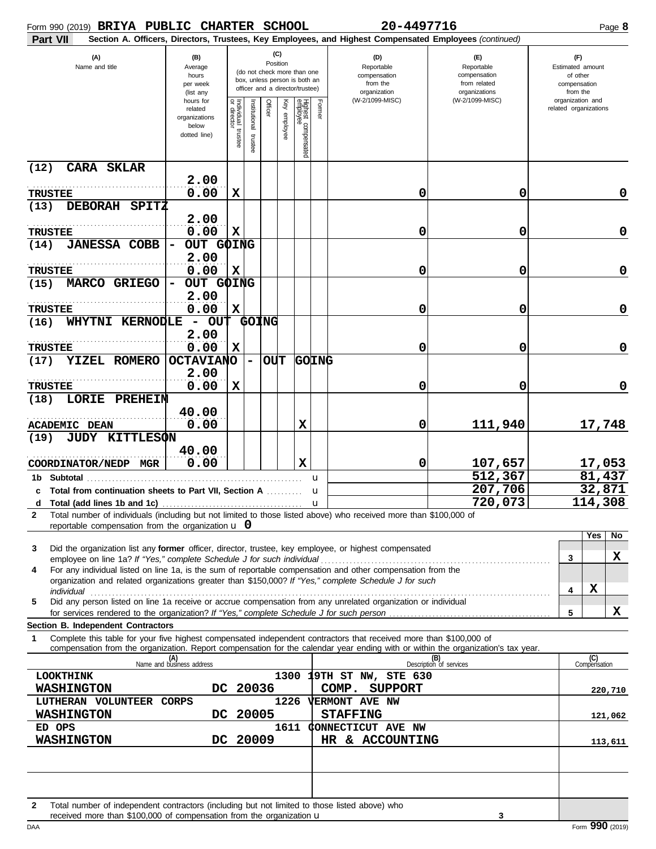| Form 990 (2019) |  | <b>BRIYA PUBLIC CHARTER</b> |  | <b>SCHOOL</b> | 20-4497716 | Page |
|-----------------|--|-----------------------------|--|---------------|------------|------|
|-----------------|--|-----------------------------|--|---------------|------------|------|

**BRIYA PUBLIC CHARTER SCHOOL 20-4497716**

| Part VII<br>Section A. Officers, Directors, Trustees, Key Employees, and Highest Compensated Employees (continued)                                                                                                                                                                                                                                                                                                |                                                                |                                      |                          |                 |                 |                                                                                                 |             |                                                               |                                                                    |                                                                 |
|-------------------------------------------------------------------------------------------------------------------------------------------------------------------------------------------------------------------------------------------------------------------------------------------------------------------------------------------------------------------------------------------------------------------|----------------------------------------------------------------|--------------------------------------|--------------------------|-----------------|-----------------|-------------------------------------------------------------------------------------------------|-------------|---------------------------------------------------------------|--------------------------------------------------------------------|-----------------------------------------------------------------|
| (A)<br>Name and title                                                                                                                                                                                                                                                                                                                                                                                             | (B)<br>Average<br>hours<br>per week<br>(list any               |                                      |                          | (C)<br>Position |                 | (do not check more than one<br>box, unless person is both an<br>officer and a director/trustee) |             | (D)<br>Reportable<br>compensation<br>from the<br>organization | (E)<br>Reportable<br>compensation<br>from related<br>organizations | (F)<br>Estimated amount<br>of other<br>compensation<br>from the |
|                                                                                                                                                                                                                                                                                                                                                                                                                   | hours for<br>related<br>organizations<br>below<br>dotted line) | Individual<br>or director<br>trustee | Institutional<br>trustee | Officer         | Ķey<br>enployee | Highest compensated<br>employee                                                                 | Former      | (W-2/1099-MISC)                                               | (W-2/1099-MISC)                                                    | organization and<br>related organizations                       |
| <b>CARA SKLAR</b><br>(12)<br><b>TRUSTEE</b>                                                                                                                                                                                                                                                                                                                                                                       | 2.00<br>0.00<br>$\mathbf x$<br>0<br>0                          |                                      |                          |                 |                 |                                                                                                 |             | 0                                                             |                                                                    |                                                                 |
| (13)<br>DEBORAH SPITZ<br><b>TRUSTEE</b>                                                                                                                                                                                                                                                                                                                                                                           | 2.00<br>0.00                                                   | X                                    |                          |                 |                 |                                                                                                 |             | 0                                                             | 0                                                                  | 0                                                               |
| <b>JANESSA COBB</b><br>(14)<br><b>TRUSTEE</b>                                                                                                                                                                                                                                                                                                                                                                     | OUT GOING<br>-<br>2.00                                         |                                      |                          |                 |                 |                                                                                                 |             | 0                                                             |                                                                    |                                                                 |
| 0.00<br>X<br>0<br>0<br>OUT GOING<br><b>MARCO GRIEGO</b><br>(15)<br>-<br>2.00                                                                                                                                                                                                                                                                                                                                      |                                                                |                                      |                          |                 |                 |                                                                                                 |             |                                                               |                                                                    |                                                                 |
| <b>TRUSTEE</b><br>WHYTNI KERNODLE<br>(16)                                                                                                                                                                                                                                                                                                                                                                         | 0.00<br>OUT<br>$\qquad \qquad -$<br>2.00                       | X                                    |                          | <b>GOING</b>    |                 |                                                                                                 |             | 0                                                             | 0                                                                  | 0                                                               |
| <b>TRUSTEE</b><br>YIZEL ROMERO<br>(17)                                                                                                                                                                                                                                                                                                                                                                            | 0.00<br><b>OCTAVIANO</b><br>2.00                               | X                                    |                          | <b>OUT</b>      |                 | <b>GOING</b>                                                                                    |             | 0                                                             | 0                                                                  | 0                                                               |
| <b>TRUSTEE</b><br>(18)<br><b>LORIE</b><br><b>PREHEIM</b>                                                                                                                                                                                                                                                                                                                                                          | 0.00                                                           | X                                    |                          |                 |                 |                                                                                                 |             | 0                                                             | 0                                                                  | 0                                                               |
| <b>ACADEMIC DEAN</b><br><b>JUDY KITTLESON</b><br>(19)                                                                                                                                                                                                                                                                                                                                                             | 40.00<br>0.00                                                  |                                      |                          |                 |                 | X                                                                                               |             | 0                                                             | 111,940                                                            | 17,748                                                          |
| COORDINATOR/NEDP MGR                                                                                                                                                                                                                                                                                                                                                                                              | 40.00<br>0.00                                                  |                                      |                          |                 |                 | $\mathbf x$                                                                                     |             | 0                                                             | 107,657                                                            | 17,053                                                          |
| 1b Subtotal<br>Total from continuation sheets to Part VII, Section A<br>c                                                                                                                                                                                                                                                                                                                                         |                                                                |                                      |                          |                 |                 |                                                                                                 | u<br>u<br>u |                                                               | 512,367<br>207,706<br>720,073                                      | 81,437<br>32,871<br>114,308                                     |
| 2<br>Total number of individuals (including but not limited to those listed above) who received more than \$100,000 of<br>reportable compensation from the organization $\bf{u}$ 0                                                                                                                                                                                                                                |                                                                |                                      |                          |                 |                 |                                                                                                 |             |                                                               |                                                                    | Yes<br>No                                                       |
| Did the organization list any former officer, director, trustee, key employee, or highest compensated<br>3<br>employee on line 1a? If "Yes," complete Schedule J for such individual<br>For any individual listed on line 1a, is the sum of reportable compensation and other compensation from the<br>4<br>organization and related organizations greater than \$150,000? If "Yes," complete Schedule J for such |                                                                |                                      |                          |                 |                 |                                                                                                 |             |                                                               |                                                                    | X<br>3                                                          |
| individual<br>Did any person listed on line 1a receive or accrue compensation from any unrelated organization or individual<br>5                                                                                                                                                                                                                                                                                  |                                                                |                                      |                          |                 |                 |                                                                                                 |             |                                                               |                                                                    | X<br>4<br>X<br>5                                                |
| Section B. Independent Contractors<br>Complete this table for your five highest compensated independent contractors that received more than \$100,000 of<br>1<br>compensation from the organization. Report compensation for the calendar year ending with or within the organization's tax year.                                                                                                                 |                                                                |                                      |                          |                 |                 |                                                                                                 |             |                                                               |                                                                    |                                                                 |
| (B)<br>Description of services<br>(A)<br>Name and business address<br>19TH ST NW, STE 630<br><b>LOOKTHINK</b><br>1300<br>DC 20036                                                                                                                                                                                                                                                                                 |                                                                |                                      |                          |                 |                 |                                                                                                 |             | (C)<br>Compensation                                           |                                                                    |                                                                 |
| <b>WASHINGTON</b><br><b>LUTHERAN VOLUNTEER CORPS</b><br><b>WASHINGTON</b>                                                                                                                                                                                                                                                                                                                                         | DC 20005                                                       |                                      |                          |                 | 1226            |                                                                                                 |             | COMP. SUPPORT<br>VERMONT AVE NW<br><b>STAFFING</b>            |                                                                    | 220,710<br>121,062                                              |
| ED OPS<br><b>WASHINGTON</b>                                                                                                                                                                                                                                                                                                                                                                                       | DC 20009                                                       |                                      |                          |                 | 1611            |                                                                                                 |             | CONNECTICUT AVE NW<br>HR & ACCOUNTING                         |                                                                    | 113,611                                                         |
|                                                                                                                                                                                                                                                                                                                                                                                                                   |                                                                |                                      |                          |                 |                 |                                                                                                 |             |                                                               |                                                                    |                                                                 |
|                                                                                                                                                                                                                                                                                                                                                                                                                   |                                                                |                                      |                          |                 |                 |                                                                                                 |             |                                                               |                                                                    |                                                                 |

**2** Total number of independent contractors (including but not limited to those listed above) who received more than \$100,000 of compensation from the organization u

**3**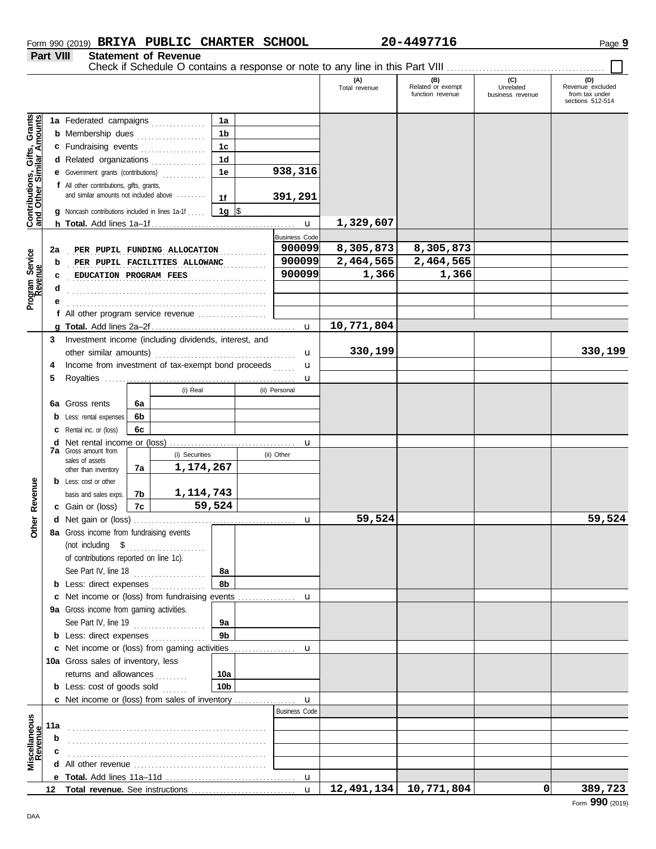#### Form 990 (2019) Page **9 BRIYA PUBLIC CHARTER SCHOOL 20-4497716**

|                                                           | Part VIII |                                                                                           |    | <b>Statement of Revenue</b>   |                 |                      |               |                                              |                               |                                    |
|-----------------------------------------------------------|-----------|-------------------------------------------------------------------------------------------|----|-------------------------------|-----------------|----------------------|---------------|----------------------------------------------|-------------------------------|------------------------------------|
|                                                           |           |                                                                                           |    |                               |                 |                      | (A)           |                                              | (C)                           | (D)                                |
|                                                           |           |                                                                                           |    |                               |                 |                      | Total revenue | (B)<br>Related or exempt<br>function revenue | Unrelated<br>business revenue | Revenue excluded<br>from tax under |
|                                                           |           |                                                                                           |    |                               |                 |                      |               |                                              |                               | sections 512-514                   |
|                                                           |           | 1a Federated campaigns                                                                    |    |                               | 1a              |                      |               |                                              |                               |                                    |
| Contributions, Gifts, Grants<br>and Other Similar Amounts |           | <b>b</b> Membership dues <i></i>                                                          |    |                               | 1 <sub>b</sub>  |                      |               |                                              |                               |                                    |
|                                                           |           | c Fundraising events                                                                      |    |                               | 1 <sub>c</sub>  |                      |               |                                              |                               |                                    |
|                                                           |           | d Related organizations                                                                   |    |                               | 1 <sub>d</sub>  |                      |               |                                              |                               |                                    |
|                                                           |           | e Government grants (contributions)                                                       |    |                               | 1e              | 938,316              |               |                                              |                               |                                    |
|                                                           |           | f All other contributions, gifts, grants,                                                 |    |                               |                 |                      |               |                                              |                               |                                    |
|                                                           |           | and similar amounts not included above                                                    |    |                               | 1f              | 391,291              |               |                                              |                               |                                    |
|                                                           |           | <b>g</b> Noncash contributions included in lines 1a-1f                                    |    |                               | 1g $\vert$ \$   |                      |               |                                              |                               |                                    |
|                                                           |           |                                                                                           |    |                               |                 | $\mathbf u$          | 1,329,607     |                                              |                               |                                    |
|                                                           |           |                                                                                           |    |                               |                 | <b>Business Code</b> |               |                                              |                               |                                    |
|                                                           | 2a        |                                                                                           |    | PER PUPIL FUNDING ALLOCATION  |                 | 900099               | 8,305,873     | 8,305,873                                    |                               |                                    |
|                                                           | b         |                                                                                           |    | PER PUPIL FACILITIES ALLOWANC |                 | 900099               | 2,464,565     | 2,464,565                                    |                               |                                    |
| Program Service<br>Revenue                                | c         | EDUCATION PROGRAM FEES                                                                    |    |                               |                 | 900099               | 1,366         | 1,366                                        |                               |                                    |
|                                                           | d         |                                                                                           |    |                               |                 |                      |               |                                              |                               |                                    |
|                                                           |           |                                                                                           |    |                               |                 |                      |               |                                              |                               |                                    |
|                                                           |           | f All other program service revenue                                                       |    |                               |                 |                      |               |                                              |                               |                                    |
|                                                           |           |                                                                                           |    |                               |                 | u                    | 10,771,804    |                                              |                               |                                    |
|                                                           |           | 3 Investment income (including dividends, interest, and                                   |    |                               |                 |                      |               |                                              |                               |                                    |
|                                                           |           |                                                                                           |    |                               |                 | u                    | 330,199       |                                              |                               | 330,199                            |
|                                                           | 4         | Income from investment of tax-exempt bond proceeds                                        |    |                               |                 | u                    |               |                                              |                               |                                    |
|                                                           | 5         |                                                                                           |    |                               |                 | u                    |               |                                              |                               |                                    |
|                                                           |           |                                                                                           |    | (i) Real                      |                 | (ii) Personal        |               |                                              |                               |                                    |
|                                                           |           | 6a Gross rents                                                                            | 6а |                               |                 |                      |               |                                              |                               |                                    |
|                                                           |           | <b>b</b> Less: rental expenses                                                            | 6b |                               |                 |                      |               |                                              |                               |                                    |
|                                                           |           | <b>c</b> Rental inc. or (loss)                                                            | 6c |                               |                 |                      |               |                                              |                               |                                    |
|                                                           |           | <b>7a</b> Gross amount from                                                               |    |                               |                 | u                    |               |                                              |                               |                                    |
|                                                           |           | sales of assets                                                                           |    | (i) Securities<br>1,174,267   |                 | (ii) Other           |               |                                              |                               |                                    |
|                                                           |           | other than inventory                                                                      | 7a |                               |                 |                      |               |                                              |                               |                                    |
|                                                           |           | <b>b</b> Less: cost or other                                                              | 7b | 1,114,743                     |                 |                      |               |                                              |                               |                                    |
| Revenue                                                   |           | basis and sales exps.<br>c Gain or (loss)                                                 | 7c |                               | 59,524          |                      |               |                                              |                               |                                    |
|                                                           |           |                                                                                           |    |                               |                 | u                    | 59,524        |                                              |                               | 59,524                             |
| Other                                                     |           | 8a Gross income from fundraising events                                                   |    |                               |                 |                      |               |                                              |                               |                                    |
|                                                           |           |                                                                                           |    |                               |                 |                      |               |                                              |                               |                                    |
|                                                           |           | of contributions reported on line 1c).                                                    |    |                               |                 |                      |               |                                              |                               |                                    |
|                                                           |           | See Part IV, line 18 $\ldots$                                                             |    |                               | 8а              |                      |               |                                              |                               |                                    |
|                                                           |           | <b>b</b> Less: direct expenses $\ldots$                                                   |    |                               | 8b              |                      |               |                                              |                               |                                    |
|                                                           |           | c Net income or (loss) from fundraising events                                            |    |                               |                 | u                    |               |                                              |                               |                                    |
|                                                           |           | 9a Gross income from gaming activities.                                                   |    |                               |                 |                      |               |                                              |                               |                                    |
|                                                           |           | See Part IV, line 19                                                                      |    |                               | 9а              |                      |               |                                              |                               |                                    |
|                                                           |           | <b>b</b> Less: direct expenses                                                            |    |                               | 9 <sub>b</sub>  |                      |               |                                              |                               |                                    |
|                                                           |           |                                                                                           |    |                               |                 | u                    |               |                                              |                               |                                    |
|                                                           |           | 10a Gross sales of inventory, less                                                        |    |                               |                 |                      |               |                                              |                               |                                    |
|                                                           |           | returns and allowances                                                                    |    |                               | 10a             |                      |               |                                              |                               |                                    |
|                                                           |           | <b>b</b> Less: cost of goods sold                                                         |    |                               | 10 <sub>b</sub> |                      |               |                                              |                               |                                    |
|                                                           |           | <b>c</b> Net income or (loss) from sales of inventory                                     |    |                               |                 | $\mathbf{u}$         |               |                                              |                               |                                    |
|                                                           |           |                                                                                           |    |                               |                 | <b>Business Code</b> |               |                                              |                               |                                    |
|                                                           | 11a       |                                                                                           |    |                               |                 |                      |               |                                              |                               |                                    |
| Miscellaneous<br>Revenue                                  | b         |                                                                                           |    |                               |                 |                      |               |                                              |                               |                                    |
|                                                           |           |                                                                                           |    |                               |                 |                      |               |                                              |                               |                                    |
|                                                           |           | <b>d</b> All other revenue $\ldots$ $\ldots$ $\ldots$ $\ldots$ $\ldots$ $\ldots$ $\ldots$ |    |                               |                 |                      |               |                                              |                               |                                    |
|                                                           |           |                                                                                           |    |                               |                 | $\mathbf{u}$         |               |                                              |                               |                                    |
|                                                           |           |                                                                                           |    |                               |                 | $\mathbf{u}$         | 12,491,134    | 10,771,804                                   | $\Omega$                      | 389,723                            |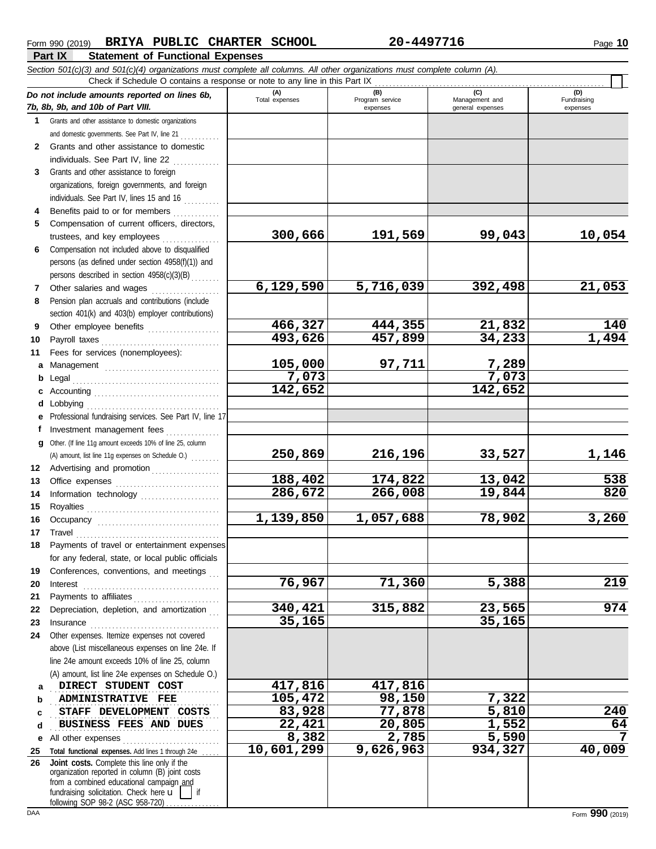|              | BRIYA PUBLIC CHARTER SCHOOL<br>Form 990 (2019)<br>Part IX                                                                                                             |                       | 20-4497716             |                       | Page 10            |
|--------------|-----------------------------------------------------------------------------------------------------------------------------------------------------------------------|-----------------------|------------------------|-----------------------|--------------------|
|              | <b>Statement of Functional Expenses</b><br>Section 501(c)(3) and 501(c)(4) organizations must complete all columns. All other organizations must complete column (A). |                       |                        |                       |                    |
|              | Check if Schedule O contains a response or note to any line in this Part IX                                                                                           |                       |                        |                       |                    |
|              | Do not include amounts reported on lines 6b,                                                                                                                          | (A)<br>Total expenses | (B)<br>Program service | (C)<br>Management and | (D)<br>Fundraising |
|              | 7b, 8b, 9b, and 10b of Part VIII.                                                                                                                                     |                       | expenses               | general expenses      | expenses           |
| 1            | Grants and other assistance to domestic organizations                                                                                                                 |                       |                        |                       |                    |
|              | and domestic governments. See Part IV, line 21                                                                                                                        |                       |                        |                       |                    |
| $\mathbf{2}$ | Grants and other assistance to domestic                                                                                                                               |                       |                        |                       |                    |
|              | individuals. See Part IV, line 22                                                                                                                                     |                       |                        |                       |                    |
| 3            | Grants and other assistance to foreign                                                                                                                                |                       |                        |                       |                    |
|              | organizations, foreign governments, and foreign                                                                                                                       |                       |                        |                       |                    |
|              | individuals. See Part IV, lines 15 and 16                                                                                                                             |                       |                        |                       |                    |
| 4            | Benefits paid to or for members                                                                                                                                       |                       |                        |                       |                    |
| 5            | Compensation of current officers, directors,                                                                                                                          |                       |                        |                       |                    |
|              |                                                                                                                                                                       | 300,666               | 191,569                | 99,043                | 10,054             |
| 6            | Compensation not included above to disqualified                                                                                                                       |                       |                        |                       |                    |
|              | persons (as defined under section 4958(f)(1)) and                                                                                                                     |                       |                        |                       |                    |
|              | persons described in section 4958(c)(3)(B)                                                                                                                            | 6,129,590             |                        |                       |                    |
| 7            | Other salaries and wages                                                                                                                                              |                       | 5,716,039              | 392,498               | 21,053             |
| 8            | Pension plan accruals and contributions (include                                                                                                                      |                       |                        |                       |                    |
|              | section 401(k) and 403(b) employer contributions)                                                                                                                     | 466,327               | 444,355                | 21,832                | 140                |
| 9            | Other employee benefits                                                                                                                                               | 493,626               | 457,899                | 34,233                | 1,494              |
| 10<br>11     |                                                                                                                                                                       |                       |                        |                       |                    |
|              | Fees for services (nonemployees):                                                                                                                                     | 105,000               | 97,711                 | 7,289                 |                    |
| а<br>b       | Management                                                                                                                                                            | 7,073                 |                        | 7,073                 |                    |
|              |                                                                                                                                                                       | 142,652               |                        | 142,652               |                    |
| d            |                                                                                                                                                                       |                       |                        |                       |                    |
|              | Professional fundraising services. See Part IV, line 17                                                                                                               |                       |                        |                       |                    |
| f            | Investment management fees                                                                                                                                            |                       |                        |                       |                    |
|              | g Other. (If line 11g amount exceeds 10% of line 25, column                                                                                                           |                       |                        |                       |                    |
|              | (A) amount, list line 11g expenses on Schedule O.)                                                                                                                    | 250,869               | 216,196                | 33,527                | 1,146              |
|              |                                                                                                                                                                       |                       |                        |                       |                    |
| 13           |                                                                                                                                                                       | 188,402               | 174,822                | 13,042                | 538                |
| 14           | Information technology                                                                                                                                                | 286,672               | 266,008                | 19,844                | 820                |
| 15           |                                                                                                                                                                       |                       |                        |                       |                    |
| 16           |                                                                                                                                                                       | 1,139,850             | 1,057,688              | 78,902                | 3,260              |
| 17           | Travel                                                                                                                                                                |                       |                        |                       |                    |
| 18           | Payments of travel or entertainment expenses                                                                                                                          |                       |                        |                       |                    |
|              | for any federal, state, or local public officials                                                                                                                     |                       |                        |                       |                    |
| 19           | Conferences, conventions, and meetings                                                                                                                                |                       |                        |                       |                    |
| 20           |                                                                                                                                                                       | 76,967                | 71,360                 | 5,388                 | 219                |
| 21           | Payments to affiliates                                                                                                                                                |                       |                        |                       |                    |
| 22           | Depreciation, depletion, and amortization                                                                                                                             | 340,421               | 315,882                | 23,565                | 974                |
| 23           |                                                                                                                                                                       | 35,165                |                        | 35,165                |                    |
| 24           | Other expenses. Itemize expenses not covered                                                                                                                          |                       |                        |                       |                    |
|              | above (List miscellaneous expenses on line 24e. If                                                                                                                    |                       |                        |                       |                    |

**a b c d**

**26**

**e** All other expenses . . . . . . . . . . . . . . . . . . . . . . . . . . . **25 Total functional expenses.** Add lines 1 through 24e . . . . .

fundraising solicitation. Check here  $\mathbf{u}$ organization reported in column (B) joint costs from a combined educational campaign and

**Joint costs.** Complete this line only if the

following SOP 98-2 (ASC 958-720)

line 24e amount exceeds 10% of line 25, column (A) amount, list line 24e expenses on Schedule O.)

**DIRECT STUDENT COST 417,816** 417,816

. . . . . . . . . . . . . . . . . . . . . . . . . . . . . . . . . . . . . . . . . . . . . . . **ADMINISTRATIVE FEE 105,472 98,150 7,322**

**10,601,299 9,626,963 934,327 40,009**

. . . . . . . . . . . . . . . . . . . . . . . . . . . . . . . . . . . . . . . . . . . . . . . **STAFF DEVELOPMENT COSTS 83,928 77,878 5,810 240** . . . . . . . . . . . . . . . . . . . . . . . . . . . . . . . . . . . . . . . . . . . . . . . **BUSINESS FEES AND DUES 22,421 20,805 1,552 64**

**8,382 2,785 5,590 7**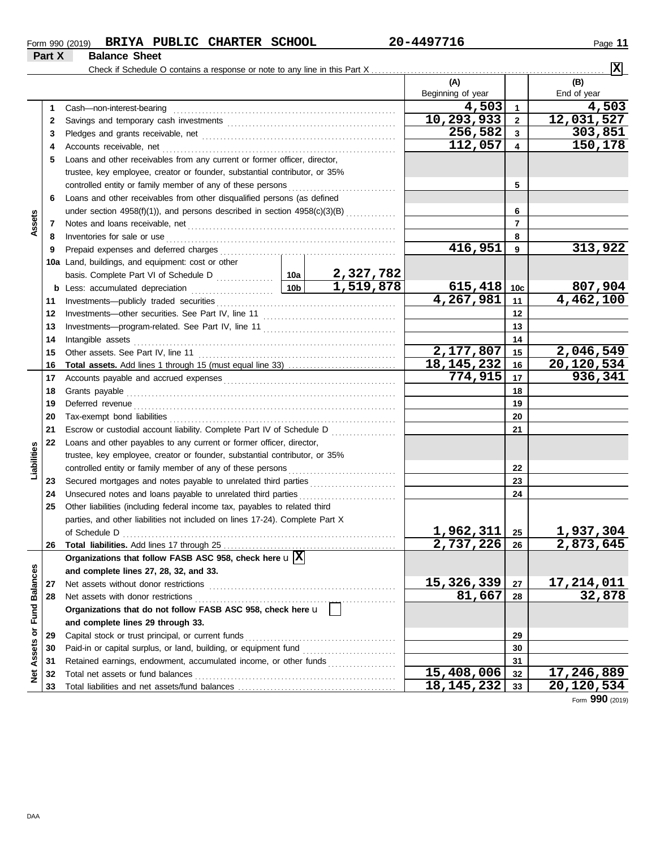## **Form 990 (2019) BRIYA PUBLIC CHARTER SCHOOL 20-4497716** Page 11 **Part X Balance Sheet**

|                      |    | Check if Schedule O contains a response or note to any line in this Part X                                                          |                 |                        |                   |                 | X                      |
|----------------------|----|-------------------------------------------------------------------------------------------------------------------------------------|-----------------|------------------------|-------------------|-----------------|------------------------|
|                      |    |                                                                                                                                     |                 |                        | (A)               |                 | (B)                    |
|                      |    |                                                                                                                                     |                 |                        | Beginning of year |                 | End of year            |
|                      | 1  | Cash-non-interest-bearing                                                                                                           |                 |                        | 4,503             | $\mathbf{1}$    | 4,503                  |
|                      | 2  |                                                                                                                                     |                 |                        | 10,293,933        | $\overline{2}$  | 12,031,527             |
|                      | 3  |                                                                                                                                     |                 |                        | 256,582           | $\mathbf{3}$    | 303,851                |
|                      | 4  | Accounts receivable, net                                                                                                            |                 |                        | 112,057           | 4               | 150,178                |
|                      | 5  | Loans and other receivables from any current or former officer, director,                                                           |                 |                        |                   |                 |                        |
|                      |    | trustee, key employee, creator or founder, substantial contributor, or 35%                                                          |                 |                        |                   |                 |                        |
|                      |    | controlled entity or family member of any of these persons                                                                          |                 |                        |                   | 5               |                        |
|                      | 6  | Loans and other receivables from other disqualified persons (as defined                                                             |                 |                        |                   |                 |                        |
|                      |    | under section 4958(f)(1)), and persons described in section 4958(c)(3)(B)                                                           |                 |                        |                   | 6               |                        |
| Assets               | 7  |                                                                                                                                     |                 |                        |                   | $\overline{7}$  |                        |
|                      | 8  | Inventories for sale or use                                                                                                         |                 |                        |                   | 8               |                        |
|                      |    | Prepaid expenses and deferred charges                                                                                               |                 |                        | 416,951           | 9               | 313,922                |
|                      | 9  |                                                                                                                                     |                 |                        |                   |                 |                        |
|                      |    | 10a Land, buildings, and equipment: cost or other                                                                                   |                 |                        |                   |                 |                        |
|                      |    |                                                                                                                                     | 10 <sub>b</sub> | 2,327,782<br>1,519,878 | 615,418           |                 | 807,904                |
|                      | b  | Less: accumulated depreciation                                                                                                      |                 |                        | 4,267,981         | 10 <sub>c</sub> | 4,462,100              |
|                      | 11 |                                                                                                                                     |                 |                        |                   | 11              |                        |
|                      | 12 | Investments-other securities. See Part IV, line 11                                                                                  |                 |                        |                   | 12              |                        |
|                      | 13 |                                                                                                                                     |                 |                        |                   | 13              |                        |
|                      | 14 | Intangible assets                                                                                                                   |                 |                        |                   | 14              |                        |
|                      | 15 | Other assets. See Part IV, line 11                                                                                                  |                 |                        | 2,177,807         | 15              | $\overline{2,046,549}$ |
|                      | 16 |                                                                                                                                     |                 |                        | 18, 145, 232      | 16              | 20,120,534             |
|                      | 17 |                                                                                                                                     | 774,915         | 17                     | 936,341           |                 |                        |
|                      | 18 | Grants payable                                                                                                                      |                 | 18                     |                   |                 |                        |
|                      | 19 | Deferred revenue                                                                                                                    |                 |                        |                   | 19              |                        |
|                      | 20 |                                                                                                                                     |                 |                        |                   | 20              |                        |
|                      | 21 | Escrow or custodial account liability. Complete Part IV of Schedule D                                                               |                 |                        |                   | 21              |                        |
|                      | 22 | Loans and other payables to any current or former officer, director,                                                                |                 |                        |                   |                 |                        |
| Liabilities          |    | trustee, key employee, creator or founder, substantial contributor, or 35%                                                          |                 |                        |                   |                 |                        |
|                      |    | controlled entity or family member of any of these persons                                                                          |                 |                        |                   | 22              |                        |
|                      | 23 | Secured mortgages and notes payable to unrelated third parties [111] Secured mortgages and notes payable to unrelated third parties |                 |                        |                   | 23              |                        |
|                      | 24 | Unsecured notes and loans payable to unrelated third parties                                                                        |                 |                        |                   | 24              |                        |
|                      | 25 | Other liabilities (including federal income tax, payables to related third                                                          |                 |                        |                   |                 |                        |
|                      |    | parties, and other liabilities not included on lines 17-24). Complete Part X                                                        |                 |                        |                   |                 |                        |
|                      |    | of Schedule D                                                                                                                       |                 |                        | 1,962,311         | 25              | 1,937,304              |
|                      | 26 |                                                                                                                                     |                 |                        | 2,737,226         | 26              | 2,873,645              |
|                      |    | Organizations that follow FASB ASC 958, check here $\mathbf{u} \mathbf{X} $                                                         |                 |                        |                   |                 |                        |
|                      |    | and complete lines 27, 28, 32, and 33.                                                                                              |                 |                        |                   |                 |                        |
|                      | 27 | Net assets without donor restrictions                                                                                               |                 |                        | 15, 326, 339      | 27              | 17, 214, 011           |
| <b>Fund Balances</b> | 28 | Net assets with donor restrictions                                                                                                  |                 |                        | 81,667            | 28              | 32,878                 |
|                      |    | Organizations that do not follow FASB ASC 958, check here u                                                                         |                 |                        |                   |                 |                        |
|                      |    | and complete lines 29 through 33.                                                                                                   |                 |                        |                   |                 |                        |
| ŏ                    | 29 | Capital stock or trust principal, or current funds                                                                                  |                 |                        | 29                |                 |                        |
|                      | 30 | Paid-in or capital surplus, or land, building, or equipment fund                                                                    |                 |                        | 30                |                 |                        |
| Assets               | 31 | Retained earnings, endowment, accumulated income, or other funds                                                                    |                 | .                      |                   | 31              |                        |
| $\frac{1}{2}$        | 32 | Total net assets or fund balances                                                                                                   |                 |                        | 15,408,006        | 32              | 17,246,889             |
|                      | 33 |                                                                                                                                     |                 |                        | 18, 145, 232      | 33              | 20,120,534             |
|                      |    |                                                                                                                                     |                 |                        |                   |                 |                        |

Form **990** (2019)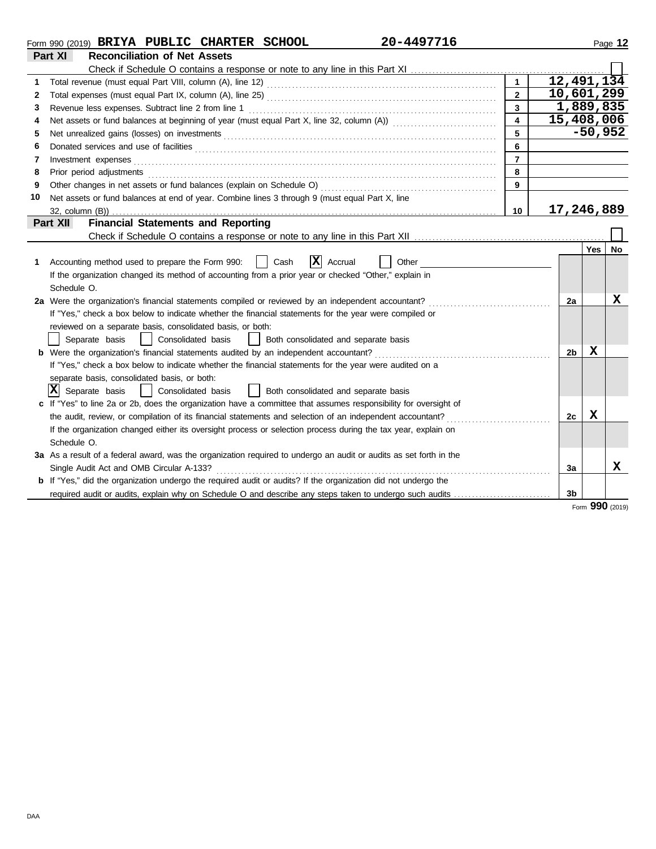|    | 20-4497716<br>Form 990 (2019) BRIYA PUBLIC CHARTER SCHOOL                                                                                                                                                                           |                |            |     | Page 12   |
|----|-------------------------------------------------------------------------------------------------------------------------------------------------------------------------------------------------------------------------------------|----------------|------------|-----|-----------|
|    | Part XI<br><b>Reconciliation of Net Assets</b>                                                                                                                                                                                      |                |            |     |           |
|    |                                                                                                                                                                                                                                     |                |            |     |           |
| 1  |                                                                                                                                                                                                                                     |                | 12,491,134 |     |           |
| 2  |                                                                                                                                                                                                                                     | $\overline{2}$ | 10,601,299 |     |           |
| 3  | Revenue less expenses. Subtract line 2 from line 1                                                                                                                                                                                  | $\overline{3}$ | 1,889,835  |     |           |
| 4  |                                                                                                                                                                                                                                     | $\overline{4}$ | 15,408,006 |     |           |
| 5  |                                                                                                                                                                                                                                     | 5              |            |     | $-50,952$ |
| 6  | Donated services and use of facilities <b>constructs</b> and a service of the service of the service of the service of the service of the service of the service of the service of the service of the service of the service of the | 6              |            |     |           |
| 7  | Investment expenses                                                                                                                                                                                                                 | $\overline{7}$ |            |     |           |
| 8  | Prior period adjustments entertainments and a series of the series of the series of the series of the series of the series of the series of the series of the series of the series of the series of the series of the series o      | 8              |            |     |           |
| 9  |                                                                                                                                                                                                                                     | 9              |            |     |           |
| 10 | Net assets or fund balances at end of year. Combine lines 3 through 9 (must equal Part X, line                                                                                                                                      |                |            |     |           |
|    | $32$ , column $(B)$ )                                                                                                                                                                                                               | 10             | 17,246,889 |     |           |
|    | <b>Financial Statements and Reporting</b><br>Part XII                                                                                                                                                                               |                |            |     |           |
|    |                                                                                                                                                                                                                                     |                |            |     |           |
|    |                                                                                                                                                                                                                                     |                |            | Yes | No.       |
| 1. | X <br>Accounting method used to prepare the Form 990:<br>Cash<br>Accrual<br>Other                                                                                                                                                   |                |            |     |           |
|    | If the organization changed its method of accounting from a prior year or checked "Other," explain in                                                                                                                               |                |            |     |           |
|    | Schedule O.                                                                                                                                                                                                                         |                |            |     |           |
|    | 2a Were the organization's financial statements compiled or reviewed by an independent accountant?                                                                                                                                  |                | 2a         |     | x         |
|    | If "Yes," check a box below to indicate whether the financial statements for the year were compiled or                                                                                                                              |                |            |     |           |
|    | reviewed on a separate basis, consolidated basis, or both:                                                                                                                                                                          |                |            |     |           |
|    | Separate basis<br>  Consolidated basis<br>  Both consolidated and separate basis                                                                                                                                                    |                |            |     |           |
|    |                                                                                                                                                                                                                                     |                | 2b         | х   |           |
|    | If "Yes," check a box below to indicate whether the financial statements for the year were audited on a                                                                                                                             |                |            |     |           |
|    | separate basis, consolidated basis, or both:                                                                                                                                                                                        |                |            |     |           |
|    | $ \mathbf{X} $ Separate basis<br>Consolidated basis<br>Both consolidated and separate basis                                                                                                                                         |                |            |     |           |
|    | c If "Yes" to line 2a or 2b, does the organization have a committee that assumes responsibility for oversight of                                                                                                                    |                |            |     |           |
|    | the audit, review, or compilation of its financial statements and selection of an independent accountant?                                                                                                                           |                | 2c         | X   |           |
|    | If the organization changed either its oversight process or selection process during the tax year, explain on                                                                                                                       |                |            |     |           |
|    | Schedule O.                                                                                                                                                                                                                         |                |            |     |           |
|    | 3a As a result of a federal award, was the organization required to undergo an audit or audits as set forth in the                                                                                                                  |                |            |     |           |
|    | Single Audit Act and OMB Circular A-133?                                                                                                                                                                                            |                | Зa         |     | x         |
|    | h If "Vee" did the organization undergo the required audit or audite? If the organization did not undergo the                                                                                                                       |                |            |     |           |

**3b b** If "Yes," did the organization undergo the required audit or audits? If the organization did not undergo the required audit or audits, explain why on Schedule O and describe any steps taken to undergo such audits .

Form **990** (2019)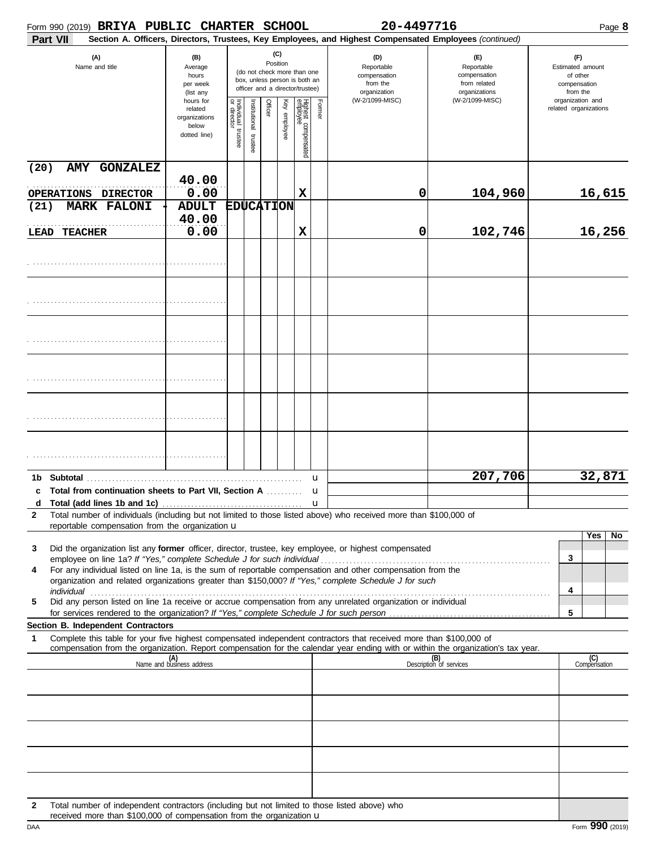|              | Form 990 (2019) BRIYA PUBLIC CHARTER SCHOOL                                                                                                                                                                                                            |                                                                |                                   |                      |           |                 |                                                                                                 |        | 20-4497716                                                                                             |                                                                    | Page 8                                                          |
|--------------|--------------------------------------------------------------------------------------------------------------------------------------------------------------------------------------------------------------------------------------------------------|----------------------------------------------------------------|-----------------------------------|----------------------|-----------|-----------------|-------------------------------------------------------------------------------------------------|--------|--------------------------------------------------------------------------------------------------------|--------------------------------------------------------------------|-----------------------------------------------------------------|
|              | Part VII                                                                                                                                                                                                                                               |                                                                |                                   |                      |           |                 |                                                                                                 |        | Section A. Officers, Directors, Trustees, Key Employees, and Highest Compensated Employees (continued) |                                                                    |                                                                 |
|              | (A)<br>Name and title                                                                                                                                                                                                                                  | (B)<br>Average<br>hours<br>per week<br>(list any               |                                   |                      |           | (C)<br>Position | (do not check more than one<br>box, unless person is both an<br>officer and a director/trustee) |        | (D)<br>Reportable<br>compensation<br>from the<br>organization                                          | (F)<br>Reportable<br>compensation<br>from related<br>organizations | (F)<br>Estimated amount<br>of other<br>compensation<br>from the |
|              |                                                                                                                                                                                                                                                        | hours for<br>related<br>organizations<br>below<br>dotted line) | Individual trustee<br>or director | nstitutional trustee | Officer   | Ķey<br>employee | Highest compensated<br>employee                                                                 | Former | (W-2/1099-MISC)                                                                                        | (W-2/1099-MISC)                                                    | organization and<br>related organizations                       |
| (20)         | AMY<br><b>GONZALEZ</b>                                                                                                                                                                                                                                 | 40.00                                                          |                                   |                      |           |                 |                                                                                                 |        |                                                                                                        |                                                                    |                                                                 |
| (21)         | OPERATIONS DIRECTOR<br><b>MARK FALONI</b>                                                                                                                                                                                                              | 0.00<br><b>ADULT</b>                                           |                                   |                      | EDUCATION |                 | $\mathbf x$                                                                                     |        | 0                                                                                                      | 104,960                                                            | 16,615                                                          |
|              |                                                                                                                                                                                                                                                        | 40.00                                                          |                                   |                      |           |                 |                                                                                                 |        |                                                                                                        |                                                                    |                                                                 |
| LEAD         | <b>TEACHER</b>                                                                                                                                                                                                                                         | 0.00                                                           |                                   |                      |           |                 | X                                                                                               |        | 0                                                                                                      | 102,746                                                            | 16,256                                                          |
|              |                                                                                                                                                                                                                                                        |                                                                |                                   |                      |           |                 |                                                                                                 |        |                                                                                                        |                                                                    |                                                                 |
|              |                                                                                                                                                                                                                                                        |                                                                |                                   |                      |           |                 |                                                                                                 |        |                                                                                                        |                                                                    |                                                                 |
|              |                                                                                                                                                                                                                                                        |                                                                |                                   |                      |           |                 |                                                                                                 |        |                                                                                                        |                                                                    |                                                                 |
|              |                                                                                                                                                                                                                                                        |                                                                |                                   |                      |           |                 |                                                                                                 |        |                                                                                                        |                                                                    |                                                                 |
|              |                                                                                                                                                                                                                                                        |                                                                |                                   |                      |           |                 |                                                                                                 |        |                                                                                                        |                                                                    |                                                                 |
|              |                                                                                                                                                                                                                                                        |                                                                |                                   |                      |           |                 |                                                                                                 |        |                                                                                                        |                                                                    |                                                                 |
|              |                                                                                                                                                                                                                                                        |                                                                |                                   |                      |           |                 |                                                                                                 |        |                                                                                                        |                                                                    |                                                                 |
|              | 1b Subtotal and the state of the state of the state of the state of the state of the state of the state of the<br>Total from continuation sheets to Part VII, Section A                                                                                |                                                                |                                   |                      |           |                 |                                                                                                 | u<br>u |                                                                                                        | 207,706                                                            | 32,871                                                          |
| d            |                                                                                                                                                                                                                                                        |                                                                |                                   |                      |           |                 |                                                                                                 | u      |                                                                                                        |                                                                    |                                                                 |
| $\mathbf{2}$ | Total number of individuals (including but not limited to those listed above) who received more than \$100,000 of                                                                                                                                      |                                                                |                                   |                      |           |                 |                                                                                                 |        |                                                                                                        |                                                                    |                                                                 |
|              | reportable compensation from the organization u                                                                                                                                                                                                        |                                                                |                                   |                      |           |                 |                                                                                                 |        |                                                                                                        |                                                                    | Yes<br>No                                                       |
| 3            | Did the organization list any former officer, director, trustee, key employee, or highest compensated                                                                                                                                                  |                                                                |                                   |                      |           |                 |                                                                                                 |        |                                                                                                        |                                                                    |                                                                 |
| 4            | For any individual listed on line 1a, is the sum of reportable compensation and other compensation from the                                                                                                                                            |                                                                |                                   |                      |           |                 |                                                                                                 |        |                                                                                                        |                                                                    | 3                                                               |
|              | organization and related organizations greater than \$150,000? If "Yes," complete Schedule J for such                                                                                                                                                  |                                                                |                                   |                      |           |                 |                                                                                                 |        |                                                                                                        |                                                                    |                                                                 |
| 5            | Did any person listed on line 1a receive or accrue compensation from any unrelated organization or individual                                                                                                                                          |                                                                |                                   |                      |           |                 |                                                                                                 |        |                                                                                                        |                                                                    | 4                                                               |
|              |                                                                                                                                                                                                                                                        |                                                                |                                   |                      |           |                 |                                                                                                 |        |                                                                                                        |                                                                    | 5                                                               |
|              | Section B. Independent Contractors                                                                                                                                                                                                                     |                                                                |                                   |                      |           |                 |                                                                                                 |        |                                                                                                        |                                                                    |                                                                 |
| 1            | Complete this table for your five highest compensated independent contractors that received more than \$100,000 of<br>compensation from the organization. Report compensation for the calendar year ending with or within the organization's tax year. |                                                                |                                   |                      |           |                 |                                                                                                 |        |                                                                                                        |                                                                    |                                                                 |
|              |                                                                                                                                                                                                                                                        | (A)<br>Name and business address                               |                                   |                      |           |                 |                                                                                                 |        |                                                                                                        | (B)<br>Description of services                                     | (C)<br>Compensation                                             |
|              |                                                                                                                                                                                                                                                        |                                                                |                                   |                      |           |                 |                                                                                                 |        |                                                                                                        |                                                                    |                                                                 |
|              |                                                                                                                                                                                                                                                        |                                                                |                                   |                      |           |                 |                                                                                                 |        |                                                                                                        |                                                                    |                                                                 |
|              |                                                                                                                                                                                                                                                        |                                                                |                                   |                      |           |                 |                                                                                                 |        |                                                                                                        |                                                                    |                                                                 |
|              |                                                                                                                                                                                                                                                        |                                                                |                                   |                      |           |                 |                                                                                                 |        |                                                                                                        |                                                                    |                                                                 |
| 2            | Total number of independent contractors (including but not limited to those listed above) who                                                                                                                                                          |                                                                |                                   |                      |           |                 |                                                                                                 |        |                                                                                                        |                                                                    |                                                                 |

received more than  $$100,000$  of compensation from the organization  $$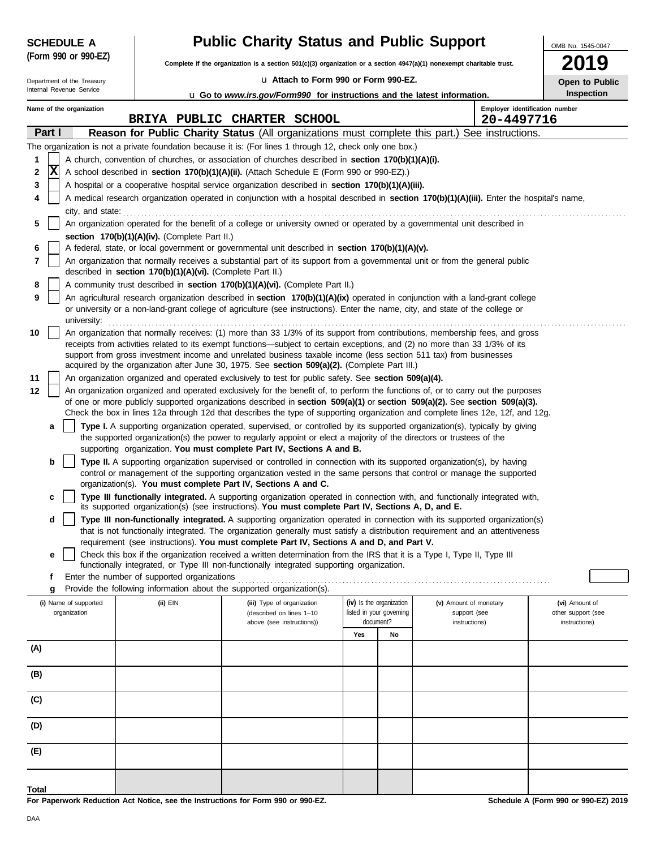| <b>SCHEDULE A</b>                                                                                                                            |                                                            | <b>Public Charity Status and Public Support</b>                                                                                                                                                                                                                                                                                                   |                                                                   |                                                                                                                                                                                                                                                                                                                                                                                                    | OMB No. 1545-0047                                     |  |  |  |  |  |  |
|----------------------------------------------------------------------------------------------------------------------------------------------|------------------------------------------------------------|---------------------------------------------------------------------------------------------------------------------------------------------------------------------------------------------------------------------------------------------------------------------------------------------------------------------------------------------------|-------------------------------------------------------------------|----------------------------------------------------------------------------------------------------------------------------------------------------------------------------------------------------------------------------------------------------------------------------------------------------------------------------------------------------------------------------------------------------|-------------------------------------------------------|--|--|--|--|--|--|
| (Form 990 or 990-EZ)<br>Complete if the organization is a section 501(c)(3) organization or a section 4947(a)(1) nonexempt charitable trust. |                                                            |                                                                                                                                                                                                                                                                                                                                                   |                                                                   |                                                                                                                                                                                                                                                                                                                                                                                                    |                                                       |  |  |  |  |  |  |
| Department of the Treasury                                                                                                                   |                                                            | La Attach to Form 990 or Form 990-EZ.                                                                                                                                                                                                                                                                                                             |                                                                   |                                                                                                                                                                                                                                                                                                                                                                                                    | Open to Public                                        |  |  |  |  |  |  |
| Internal Revenue Service                                                                                                                     |                                                            | <b>u</b> Go to <i>www.irs.gov/Form990</i> for instructions and the latest information.                                                                                                                                                                                                                                                            |                                                                   |                                                                                                                                                                                                                                                                                                                                                                                                    | <b>Inspection</b>                                     |  |  |  |  |  |  |
| Name of the organization                                                                                                                     |                                                            | BRIYA PUBLIC CHARTER SCHOOL                                                                                                                                                                                                                                                                                                                       |                                                                   | Employer identification number<br>20-4497716                                                                                                                                                                                                                                                                                                                                                       |                                                       |  |  |  |  |  |  |
| Part I                                                                                                                                       |                                                            |                                                                                                                                                                                                                                                                                                                                                   |                                                                   | Reason for Public Charity Status (All organizations must complete this part.) See instructions.                                                                                                                                                                                                                                                                                                    |                                                       |  |  |  |  |  |  |
|                                                                                                                                              |                                                            | The organization is not a private foundation because it is: (For lines 1 through 12, check only one box.)                                                                                                                                                                                                                                         |                                                                   |                                                                                                                                                                                                                                                                                                                                                                                                    |                                                       |  |  |  |  |  |  |
| 1                                                                                                                                            |                                                            | A church, convention of churches, or association of churches described in section 170(b)(1)(A)(i).                                                                                                                                                                                                                                                |                                                                   |                                                                                                                                                                                                                                                                                                                                                                                                    |                                                       |  |  |  |  |  |  |
| $\overline{\mathbf{x}}$<br>$\mathbf 2$                                                                                                       |                                                            | A school described in section 170(b)(1)(A)(ii). (Attach Schedule E (Form 990 or 990-EZ).)                                                                                                                                                                                                                                                         |                                                                   |                                                                                                                                                                                                                                                                                                                                                                                                    |                                                       |  |  |  |  |  |  |
| 3                                                                                                                                            |                                                            | A hospital or a cooperative hospital service organization described in section 170(b)(1)(A)(iii).                                                                                                                                                                                                                                                 |                                                                   |                                                                                                                                                                                                                                                                                                                                                                                                    |                                                       |  |  |  |  |  |  |
| 4                                                                                                                                            |                                                            |                                                                                                                                                                                                                                                                                                                                                   |                                                                   | A medical research organization operated in conjunction with a hospital described in section 170(b)(1)(A)(iii). Enter the hospital's name,                                                                                                                                                                                                                                                         |                                                       |  |  |  |  |  |  |
| city, and state:                                                                                                                             |                                                            |                                                                                                                                                                                                                                                                                                                                                   |                                                                   |                                                                                                                                                                                                                                                                                                                                                                                                    |                                                       |  |  |  |  |  |  |
| 5                                                                                                                                            |                                                            | An organization operated for the benefit of a college or university owned or operated by a governmental unit described in                                                                                                                                                                                                                         |                                                                   |                                                                                                                                                                                                                                                                                                                                                                                                    |                                                       |  |  |  |  |  |  |
| 6                                                                                                                                            | section 170(b)(1)(A)(iv). (Complete Part II.)              | A federal, state, or local government or governmental unit described in section 170(b)(1)(A)(v).                                                                                                                                                                                                                                                  |                                                                   |                                                                                                                                                                                                                                                                                                                                                                                                    |                                                       |  |  |  |  |  |  |
| 7                                                                                                                                            |                                                            |                                                                                                                                                                                                                                                                                                                                                   |                                                                   | An organization that normally receives a substantial part of its support from a governmental unit or from the general public                                                                                                                                                                                                                                                                       |                                                       |  |  |  |  |  |  |
|                                                                                                                                              | described in section 170(b)(1)(A)(vi). (Complete Part II.) |                                                                                                                                                                                                                                                                                                                                                   |                                                                   |                                                                                                                                                                                                                                                                                                                                                                                                    |                                                       |  |  |  |  |  |  |
| 8                                                                                                                                            |                                                            | A community trust described in section 170(b)(1)(A)(vi). (Complete Part II.)                                                                                                                                                                                                                                                                      |                                                                   |                                                                                                                                                                                                                                                                                                                                                                                                    |                                                       |  |  |  |  |  |  |
| 9<br>university:                                                                                                                             |                                                            | or university or a non-land-grant college of agriculture (see instructions). Enter the name, city, and state of the college or                                                                                                                                                                                                                    |                                                                   | An agricultural research organization described in section 170(b)(1)(A)(ix) operated in conjunction with a land-grant college                                                                                                                                                                                                                                                                      |                                                       |  |  |  |  |  |  |
| 10                                                                                                                                           |                                                            | receipts from activities related to its exempt functions—subject to certain exceptions, and (2) no more than 33 1/3% of its<br>support from gross investment income and unrelated business taxable income (less section 511 tax) from businesses<br>acquired by the organization after June 30, 1975. See section 509(a)(2). (Complete Part III.) |                                                                   | An organization that normally receives: (1) more than 33 1/3% of its support from contributions, membership fees, and gross                                                                                                                                                                                                                                                                        |                                                       |  |  |  |  |  |  |
| 11                                                                                                                                           |                                                            | An organization organized and operated exclusively to test for public safety. See section 509(a)(4).                                                                                                                                                                                                                                              |                                                                   |                                                                                                                                                                                                                                                                                                                                                                                                    |                                                       |  |  |  |  |  |  |
| 12                                                                                                                                           |                                                            |                                                                                                                                                                                                                                                                                                                                                   |                                                                   | An organization organized and operated exclusively for the benefit of, to perform the functions of, or to carry out the purposes<br>of one or more publicly supported organizations described in section 509(a)(1) or section 509(a)(2). See section 509(a)(3).<br>Check the box in lines 12a through 12d that describes the type of supporting organization and complete lines 12e, 12f, and 12g. |                                                       |  |  |  |  |  |  |
| a                                                                                                                                            |                                                            | the supported organization(s) the power to regularly appoint or elect a majority of the directors or trustees of the                                                                                                                                                                                                                              |                                                                   | Type I. A supporting organization operated, supervised, or controlled by its supported organization(s), typically by giving                                                                                                                                                                                                                                                                        |                                                       |  |  |  |  |  |  |
|                                                                                                                                              |                                                            | supporting organization. You must complete Part IV, Sections A and B.                                                                                                                                                                                                                                                                             |                                                                   |                                                                                                                                                                                                                                                                                                                                                                                                    |                                                       |  |  |  |  |  |  |
| b                                                                                                                                            |                                                            | Type II. A supporting organization supervised or controlled in connection with its supported organization(s), by having<br>organization(s). You must complete Part IV, Sections A and C.                                                                                                                                                          |                                                                   | control or management of the supporting organization vested in the same persons that control or manage the supported                                                                                                                                                                                                                                                                               |                                                       |  |  |  |  |  |  |
| c                                                                                                                                            |                                                            | its supported organization(s) (see instructions). You must complete Part IV, Sections A, D, and E.                                                                                                                                                                                                                                                |                                                                   | Type III functionally integrated. A supporting organization operated in connection with, and functionally integrated with,                                                                                                                                                                                                                                                                         |                                                       |  |  |  |  |  |  |
| d                                                                                                                                            |                                                            | requirement (see instructions). You must complete Part IV, Sections A and D, and Part V.                                                                                                                                                                                                                                                          |                                                                   | Type III non-functionally integrated. A supporting organization operated in connection with its supported organization(s)<br>that is not functionally integrated. The organization generally must satisfy a distribution requirement and an attentiveness                                                                                                                                          |                                                       |  |  |  |  |  |  |
| е                                                                                                                                            |                                                            | Check this box if the organization received a written determination from the IRS that it is a Type I, Type II, Type III                                                                                                                                                                                                                           |                                                                   |                                                                                                                                                                                                                                                                                                                                                                                                    |                                                       |  |  |  |  |  |  |
|                                                                                                                                              |                                                            | functionally integrated, or Type III non-functionally integrated supporting organization.                                                                                                                                                                                                                                                         |                                                                   |                                                                                                                                                                                                                                                                                                                                                                                                    |                                                       |  |  |  |  |  |  |
| f                                                                                                                                            | Enter the number of supported organizations                |                                                                                                                                                                                                                                                                                                                                                   |                                                                   |                                                                                                                                                                                                                                                                                                                                                                                                    |                                                       |  |  |  |  |  |  |
| g                                                                                                                                            |                                                            | Provide the following information about the supported organization(s).                                                                                                                                                                                                                                                                            |                                                                   |                                                                                                                                                                                                                                                                                                                                                                                                    |                                                       |  |  |  |  |  |  |
| (i) Name of supported<br>organization                                                                                                        | $(ii)$ EIN                                                 | (iii) Type of organization<br>(described on lines 1-10<br>above (see instructions))                                                                                                                                                                                                                                                               | (iv) Is the organization<br>listed in your governing<br>document? | (v) Amount of monetary<br>support (see<br>instructions)                                                                                                                                                                                                                                                                                                                                            | (vi) Amount of<br>other support (see<br>instructions) |  |  |  |  |  |  |
|                                                                                                                                              |                                                            |                                                                                                                                                                                                                                                                                                                                                   | Yes<br>No                                                         |                                                                                                                                                                                                                                                                                                                                                                                                    |                                                       |  |  |  |  |  |  |
| (A)                                                                                                                                          |                                                            |                                                                                                                                                                                                                                                                                                                                                   |                                                                   |                                                                                                                                                                                                                                                                                                                                                                                                    |                                                       |  |  |  |  |  |  |
| (B)                                                                                                                                          |                                                            |                                                                                                                                                                                                                                                                                                                                                   |                                                                   |                                                                                                                                                                                                                                                                                                                                                                                                    |                                                       |  |  |  |  |  |  |
| (C)                                                                                                                                          |                                                            |                                                                                                                                                                                                                                                                                                                                                   |                                                                   |                                                                                                                                                                                                                                                                                                                                                                                                    |                                                       |  |  |  |  |  |  |
| (D)                                                                                                                                          |                                                            |                                                                                                                                                                                                                                                                                                                                                   |                                                                   |                                                                                                                                                                                                                                                                                                                                                                                                    |                                                       |  |  |  |  |  |  |
| (E)                                                                                                                                          |                                                            |                                                                                                                                                                                                                                                                                                                                                   |                                                                   |                                                                                                                                                                                                                                                                                                                                                                                                    |                                                       |  |  |  |  |  |  |
| Total                                                                                                                                        |                                                            |                                                                                                                                                                                                                                                                                                                                                   |                                                                   |                                                                                                                                                                                                                                                                                                                                                                                                    |                                                       |  |  |  |  |  |  |
|                                                                                                                                              |                                                            |                                                                                                                                                                                                                                                                                                                                                   |                                                                   |                                                                                                                                                                                                                                                                                                                                                                                                    |                                                       |  |  |  |  |  |  |

**For Paperwork Reduction Act Notice, see the Instructions for Form 990 or 990-EZ.**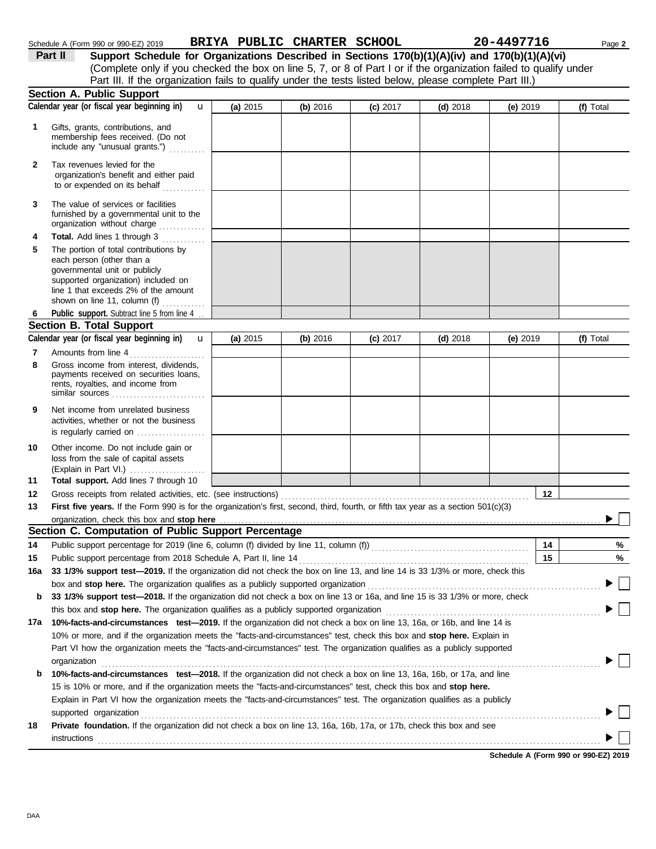|              | (Complete only if you checked the box on line 5, 7, or 8 of Part I or if the organization failed to qualify under<br>Part III. If the organization fails to qualify under the tests listed below, please complete Part III.)                         |          |          |            |            |            |           |
|--------------|------------------------------------------------------------------------------------------------------------------------------------------------------------------------------------------------------------------------------------------------------|----------|----------|------------|------------|------------|-----------|
|              | <b>Section A. Public Support</b>                                                                                                                                                                                                                     |          |          |            |            |            |           |
|              | Calendar year (or fiscal year beginning in)<br>$\mathbf{u}$                                                                                                                                                                                          | (a) 2015 | (b) 2016 | $(c)$ 2017 | $(d)$ 2018 | $(e)$ 2019 | (f) Total |
| 1            | Gifts, grants, contributions, and<br>membership fees received. (Do not<br>include any "unusual grants.")                                                                                                                                             |          |          |            |            |            |           |
| $\mathbf{2}$ | Tax revenues levied for the<br>organization's benefit and either paid<br>to or expended on its behalf                                                                                                                                                |          |          |            |            |            |           |
| 3            | The value of services or facilities<br>furnished by a governmental unit to the<br>organization without charge                                                                                                                                        |          |          |            |            |            |           |
| 4            | Total. Add lines 1 through 3<br>.                                                                                                                                                                                                                    |          |          |            |            |            |           |
| 5            | The portion of total contributions by<br>each person (other than a<br>governmental unit or publicly<br>supported organization) included on<br>line 1 that exceeds 2% of the amount<br>shown on line 11, column (f) $\ldots$                          |          |          |            |            |            |           |
|              | Public support. Subtract line 5 from line 4.                                                                                                                                                                                                         |          |          |            |            |            |           |
|              | <b>Section B. Total Support</b>                                                                                                                                                                                                                      |          |          |            |            |            |           |
|              | Calendar year (or fiscal year beginning in)<br>$\mathbf{u}$                                                                                                                                                                                          | (a) 2015 | (b) 2016 | $(c)$ 2017 | $(d)$ 2018 | (e) 2019   | (f) Total |
| 7            | Amounts from line 4                                                                                                                                                                                                                                  |          |          |            |            |            |           |
| 8            | Gross income from interest, dividends,<br>payments received on securities loans,<br>rents, royalties, and income from<br>similar sources                                                                                                             |          |          |            |            |            |           |
| 9            | Net income from unrelated business<br>activities, whether or not the business<br>is regularly carried on                                                                                                                                             |          |          |            |            |            |           |
| 10           | Other income. Do not include gain or<br>loss from the sale of capital assets<br>(Explain in Part VI.)                                                                                                                                                |          |          |            |            |            |           |
| 11           | Total support. Add lines 7 through 10                                                                                                                                                                                                                |          |          |            |            |            |           |
| 12           |                                                                                                                                                                                                                                                      |          |          |            |            | 12         |           |
| 13           | First five years. If the Form 990 is for the organization's first, second, third, fourth, or fifth tax year as a section 501(c)(3)                                                                                                                   |          |          |            |            |            |           |
|              | organization, check this box and stop here                                                                                                                                                                                                           |          |          |            |            |            |           |
|              | Section C. Computation of Public Support Percentage                                                                                                                                                                                                  |          |          |            |            |            |           |
| 14           |                                                                                                                                                                                                                                                      |          |          |            |            | 14         | %         |
| 15           | Public support percentage from 2018 Schedule A, Part II, line 14                                                                                                                                                                                     |          |          |            |            | 15         | %         |
| 16a          | 33 1/3% support test-2019. If the organization did not check the box on line 13, and line 14 is 33 1/3% or more, check this                                                                                                                          |          |          |            |            |            |           |
|              | box and stop here. The organization qualifies as a publicly supported organization                                                                                                                                                                   |          |          |            |            |            |           |
| b            | 33 1/3% support test-2018. If the organization did not check a box on line 13 or 16a, and line 15 is 33 1/3% or more, check                                                                                                                          |          |          |            |            |            |           |
|              | this box and stop here. The organization qualifies as a publicly supported organization<br>10%-facts-and-circumstances test-2019. If the organization did not check a box on line 13, 16a, or 16b, and line 14 is                                    |          |          |            |            |            |           |
| 17a          |                                                                                                                                                                                                                                                      |          |          |            |            |            |           |
|              | 10% or more, and if the organization meets the "facts-and-circumstances" test, check this box and stop here. Explain in<br>Part VI how the organization meets the "facts-and-circumstances" test. The organization qualifies as a publicly supported |          |          |            |            |            |           |
|              | organization                                                                                                                                                                                                                                         |          |          |            |            |            |           |
| b            | 10%-facts-and-circumstances test-2018. If the organization did not check a box on line 13, 16a, 16b, or 17a, and line                                                                                                                                |          |          |            |            |            |           |
|              | 15 is 10% or more, and if the organization meets the "facts-and-circumstances" test, check this box and stop here.                                                                                                                                   |          |          |            |            |            |           |
|              | Explain in Part VI how the organization meets the "facts-and-circumstances" test. The organization qualifies as a publicly                                                                                                                           |          |          |            |            |            |           |
|              | supported organization                                                                                                                                                                                                                               |          |          |            |            |            |           |
| 18           | Private foundation. If the organization did not check a box on line 13, 16a, 16b, 17a, or 17b, check this box and see                                                                                                                                |          |          |            |            |            |           |
|              | instructions                                                                                                                                                                                                                                         |          |          |            |            |            |           |

Schedule A (Form 990 or 990-EZ) 2019 **BRIYA PUBLIC CHARTER SCHOOL** 20-4497716 Page 2

**Part II** Support Schedule for Organizations Described in Sections 170(b)(1)(A)(iv) and 170(b)(1)(A)(vi)

**Schedule A (Form 990 or 990-EZ) 2019**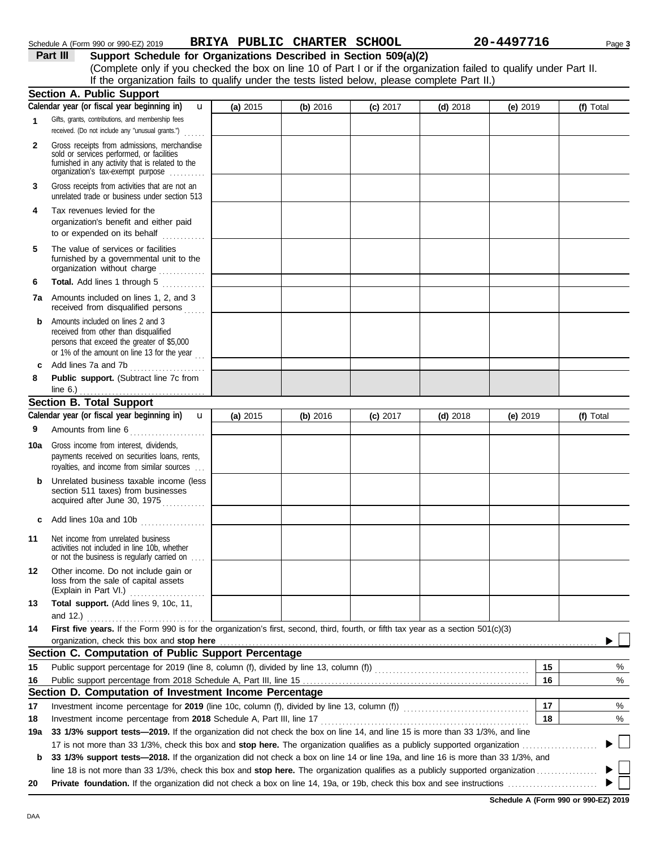|     | organization's tax-exempt purpose                                                                                                                                                                                                        |          |          |            |            |          |    |                                      |
|-----|------------------------------------------------------------------------------------------------------------------------------------------------------------------------------------------------------------------------------------------|----------|----------|------------|------------|----------|----|--------------------------------------|
| 3   | Gross receipts from activities that are not an<br>unrelated trade or business under section 513                                                                                                                                          |          |          |            |            |          |    |                                      |
| 4   | Tax revenues levied for the<br>organization's benefit and either paid<br>to or expended on its behalf<br>.                                                                                                                               |          |          |            |            |          |    |                                      |
| 5   | The value of services or facilities<br>furnished by a governmental unit to the<br>organization without charge                                                                                                                            |          |          |            |            |          |    |                                      |
| 6   | Total. Add lines 1 through 5                                                                                                                                                                                                             |          |          |            |            |          |    |                                      |
| 7a  | Amounts included on lines 1, 2, and 3<br>received from disqualified persons                                                                                                                                                              |          |          |            |            |          |    |                                      |
| b   | Amounts included on lines 2 and 3<br>received from other than disqualified<br>persons that exceed the greater of \$5,000<br>or 1% of the amount on line 13 for the year                                                                  |          |          |            |            |          |    |                                      |
| c   | Add lines 7a and 7b                                                                                                                                                                                                                      |          |          |            |            |          |    |                                      |
| 8   | Public support. (Subtract line 7c from                                                                                                                                                                                                   |          |          |            |            |          |    |                                      |
|     | line $6.$ )                                                                                                                                                                                                                              |          |          |            |            |          |    |                                      |
|     | <b>Section B. Total Support</b>                                                                                                                                                                                                          |          |          |            |            |          |    |                                      |
|     | Calendar year (or fiscal year beginning in)<br>$\mathbf{u}$                                                                                                                                                                              | (a) 2015 | (b) 2016 | $(c)$ 2017 | $(d)$ 2018 | (e) 2019 |    | (f) Total                            |
| 9   | Amounts from line 6                                                                                                                                                                                                                      |          |          |            |            |          |    |                                      |
| 10a | Gross income from interest, dividends,<br>payments received on securities loans, rents,<br>royalties, and income from similar sources                                                                                                    |          |          |            |            |          |    |                                      |
| b   | Unrelated business taxable income (less<br>section 511 taxes) from businesses<br>acquired after June 30, 1975                                                                                                                            |          |          |            |            |          |    |                                      |
| c   | Add lines 10a and 10b                                                                                                                                                                                                                    |          |          |            |            |          |    |                                      |
| 11  | Net income from unrelated business<br>activities not included in line 10b, whether<br>or not the business is regularly carried on                                                                                                        |          |          |            |            |          |    |                                      |
| 12  | Other income. Do not include gain or<br>loss from the sale of capital assets                                                                                                                                                             |          |          |            |            |          |    |                                      |
| 13  | Total support. (Add lines 9, 10c, 11,                                                                                                                                                                                                    |          |          |            |            |          |    |                                      |
| 14  | First five years. If the Form 990 is for the organization's first, second, third, fourth, or fifth tax year as a section 501(c)(3)                                                                                                       |          |          |            |            |          |    |                                      |
|     | organization, check this box and stop here <b>constant and a constant and a constant a</b> constant and a constant and stop here <b>constant a</b> constant and a constant and a constant and a constant and a constant and a constant a |          |          |            |            |          |    |                                      |
|     | Section C. Computation of Public Support Percentage                                                                                                                                                                                      |          |          |            |            |          |    |                                      |
| 15  |                                                                                                                                                                                                                                          |          |          |            |            |          | 15 | %                                    |
| 16  |                                                                                                                                                                                                                                          |          |          |            |            |          | 16 | %                                    |
|     | Section D. Computation of Investment Income Percentage                                                                                                                                                                                   |          |          |            |            |          |    |                                      |
| 17  | Investment income percentage for 2019 (line 10c, column (f), divided by line 13, column (f)) [[[[[[[[[[[[[[[[                                                                                                                            |          |          |            |            |          | 17 | %                                    |
| 18  | Investment income percentage from 2018 Schedule A, Part III, line 17                                                                                                                                                                     |          |          |            |            |          | 18 | %                                    |
| 19a | 33 1/3% support tests—2019. If the organization did not check the box on line 14, and line 15 is more than 33 1/3%, and line                                                                                                             |          |          |            |            |          |    |                                      |
|     |                                                                                                                                                                                                                                          |          |          |            |            |          |    |                                      |
| b   | 33 1/3% support tests-2018. If the organization did not check a box on line 14 or line 19a, and line 16 is more than 33 1/3%, and                                                                                                        |          |          |            |            |          |    |                                      |
|     |                                                                                                                                                                                                                                          |          |          |            |            |          |    |                                      |
| 20  |                                                                                                                                                                                                                                          |          |          |            |            |          |    |                                      |
|     |                                                                                                                                                                                                                                          |          |          |            |            |          |    | Schedule A (Form 990 or 990-EZ) 2019 |
|     |                                                                                                                                                                                                                                          |          |          |            |            |          |    |                                      |

## Schedule A (Form 990 or 990-EZ) 2019 **BRIYA PUBLIC CHARTER SCHOOL** 20-4497716 Page 3

**1**

Gifts, grants, contributions, and membership fees received. (Do not include any "unusual grants.") . . . . . .

**Calendar year (or fiscal year beginning in)** 

**Section A. Public Support**

Gross receipts from admissions, merchandise sold or services performed, or facilities furnished in any activity that is related to the

u

**2**

DAA

**Part III Support Schedule for Organizations Described in Section 509(a)(2)** (Complete only if you checked the box on line 10 of Part I or if the organization failed to qualify under Part II. If the organization fails to qualify under the tests listed below, please complete Part II.)

**(a)** 2015 **(b)** 2016 **(c)** 2017 **(d)** 2018 **(e)** 2019 **(f)** Total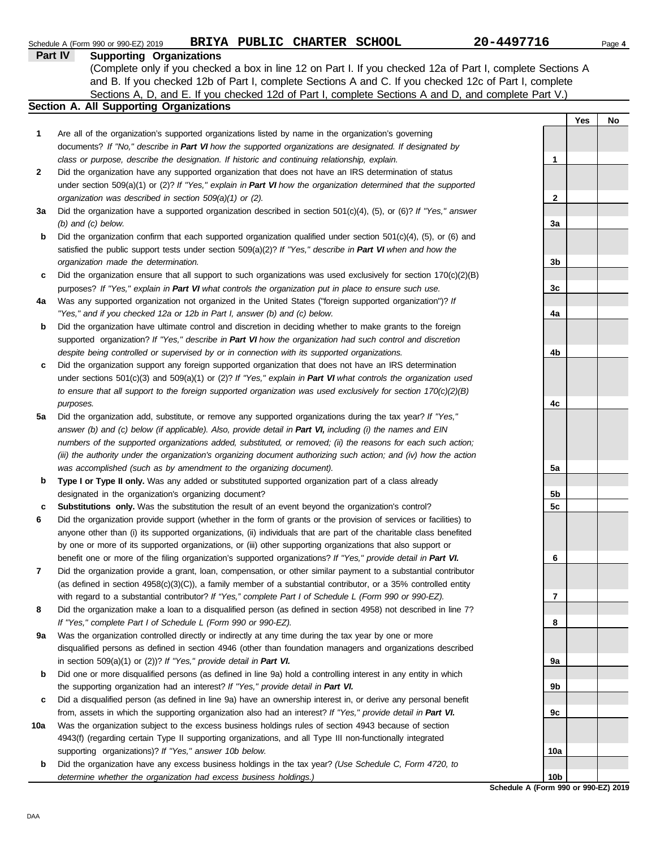|     | BRIYA PUBLIC CHARTER SCHOOL<br>Schedule A (Form 990 or 990-EZ) 2019                                                                                                                                                | 20-4497716      | Page 4    |
|-----|--------------------------------------------------------------------------------------------------------------------------------------------------------------------------------------------------------------------|-----------------|-----------|
|     | <b>Part IV</b><br><b>Supporting Organizations</b>                                                                                                                                                                  |                 |           |
|     | (Complete only if you checked a box in line 12 on Part I. If you checked 12a of Part I, complete Sections A                                                                                                        |                 |           |
|     | and B. If you checked 12b of Part I, complete Sections A and C. If you checked 12c of Part I, complete                                                                                                             |                 |           |
|     | Sections A, D, and E. If you checked 12d of Part I, complete Sections A and D, and complete Part V.)                                                                                                               |                 |           |
|     | Section A. All Supporting Organizations                                                                                                                                                                            |                 |           |
|     |                                                                                                                                                                                                                    |                 | Yes<br>No |
| 1   | Are all of the organization's supported organizations listed by name in the organization's governing                                                                                                               |                 |           |
|     | documents? If "No," describe in Part VI how the supported organizations are designated. If designated by                                                                                                           |                 |           |
|     | class or purpose, describe the designation. If historic and continuing relationship, explain.                                                                                                                      | 1               |           |
| 2   | Did the organization have any supported organization that does not have an IRS determination of status                                                                                                             |                 |           |
|     | under section 509(a)(1) or (2)? If "Yes," explain in Part VI how the organization determined that the supported                                                                                                    |                 |           |
|     | organization was described in section 509(a)(1) or (2).                                                                                                                                                            | $\mathbf{2}$    |           |
| За  | Did the organization have a supported organization described in section $501(c)(4)$ , (5), or (6)? If "Yes," answer                                                                                                |                 |           |
|     | $(b)$ and $(c)$ below.                                                                                                                                                                                             | 3a              |           |
| b   | Did the organization confirm that each supported organization qualified under section $501(c)(4)$ , $(5)$ , or $(6)$ and                                                                                           |                 |           |
|     | satisfied the public support tests under section 509(a)(2)? If "Yes," describe in Part VI when and how the                                                                                                         |                 |           |
|     | organization made the determination.                                                                                                                                                                               | 3 <sub>b</sub>  |           |
| c   | Did the organization ensure that all support to such organizations was used exclusively for section $170(c)(2)(B)$                                                                                                 | 3c              |           |
| 4a  | purposes? If "Yes," explain in Part VI what controls the organization put in place to ensure such use.<br>Was any supported organization not organized in the United States ("foreign supported organization")? If |                 |           |
|     | "Yes," and if you checked 12a or 12b in Part I, answer (b) and (c) below.                                                                                                                                          | 4a              |           |
| b   | Did the organization have ultimate control and discretion in deciding whether to make grants to the foreign                                                                                                        |                 |           |
|     | supported organization? If "Yes," describe in Part VI how the organization had such control and discretion                                                                                                         |                 |           |
|     | despite being controlled or supervised by or in connection with its supported organizations.                                                                                                                       | 4b              |           |
| c   | Did the organization support any foreign supported organization that does not have an IRS determination                                                                                                            |                 |           |
|     | under sections $501(c)(3)$ and $509(a)(1)$ or (2)? If "Yes," explain in Part VI what controls the organization used                                                                                                |                 |           |
|     | to ensure that all support to the foreign supported organization was used exclusively for section $170(c)(2)(B)$                                                                                                   |                 |           |
|     | purposes.                                                                                                                                                                                                          | 4c              |           |
| 5a  | Did the organization add, substitute, or remove any supported organizations during the tax year? If "Yes,"                                                                                                         |                 |           |
|     | answer (b) and (c) below (if applicable). Also, provide detail in Part VI, including (i) the names and EIN                                                                                                         |                 |           |
|     | numbers of the supported organizations added, substituted, or removed; (ii) the reasons for each such action;                                                                                                      |                 |           |
|     | (iii) the authority under the organization's organizing document authorizing such action; and (iv) how the action                                                                                                  |                 |           |
|     | was accomplished (such as by amendment to the organizing document).                                                                                                                                                | 5a              |           |
| b   | Type I or Type II only. Was any added or substituted supported organization part of a class already                                                                                                                |                 |           |
|     | designated in the organization's organizing document?                                                                                                                                                              | 5b              |           |
| с   | Substitutions only. Was the substitution the result of an event beyond the organization's control?                                                                                                                 | 5 <sub>c</sub>  |           |
|     | Did the organization provide support (whether in the form of grants or the provision of services or facilities) to                                                                                                 |                 |           |
|     | anyone other than (i) its supported organizations, (ii) individuals that are part of the charitable class benefited                                                                                                |                 |           |
|     | by one or more of its supported organizations, or (iii) other supporting organizations that also support or                                                                                                        |                 |           |
|     | benefit one or more of the filing organization's supported organizations? If "Yes," provide detail in Part VI.                                                                                                     | 6               |           |
| 7   | Did the organization provide a grant, loan, compensation, or other similar payment to a substantial contributor                                                                                                    |                 |           |
|     | (as defined in section $4958(c)(3)(C)$ ), a family member of a substantial contributor, or a 35% controlled entity                                                                                                 |                 |           |
|     | with regard to a substantial contributor? If "Yes," complete Part I of Schedule L (Form 990 or 990-EZ).                                                                                                            | 7               |           |
| 8   | Did the organization make a loan to a disqualified person (as defined in section 4958) not described in line 7?                                                                                                    |                 |           |
|     | If "Yes," complete Part I of Schedule L (Form 990 or 990-EZ).                                                                                                                                                      | 8               |           |
| 9a  | Was the organization controlled directly or indirectly at any time during the tax year by one or more                                                                                                              |                 |           |
|     | disqualified persons as defined in section 4946 (other than foundation managers and organizations described                                                                                                        |                 |           |
|     | in section 509(a)(1) or (2))? If "Yes," provide detail in Part VI.                                                                                                                                                 | 9а              |           |
| b   | Did one or more disqualified persons (as defined in line 9a) hold a controlling interest in any entity in which                                                                                                    |                 |           |
|     | the supporting organization had an interest? If "Yes," provide detail in Part VI.                                                                                                                                  | 9b              |           |
| c   | Did a disqualified person (as defined in line 9a) have an ownership interest in, or derive any personal benefit                                                                                                    |                 |           |
|     | from, assets in which the supporting organization also had an interest? If "Yes," provide detail in Part VI.                                                                                                       | 9c              |           |
| 10a | Was the organization subject to the excess business holdings rules of section 4943 because of section                                                                                                              |                 |           |
|     | 4943(f) (regarding certain Type II supporting organizations, and all Type III non-functionally integrated                                                                                                          |                 |           |
|     | supporting organizations)? If "Yes," answer 10b below.                                                                                                                                                             | 10a             |           |
| b   | Did the organization have any excess business holdings in the tax year? (Use Schedule C, Form 4720, to                                                                                                             |                 |           |
|     | determine whether the organization had excess business holdings.)                                                                                                                                                  | 10 <sub>b</sub> |           |

**Schedule A (Form 990 or 990-EZ) 2019**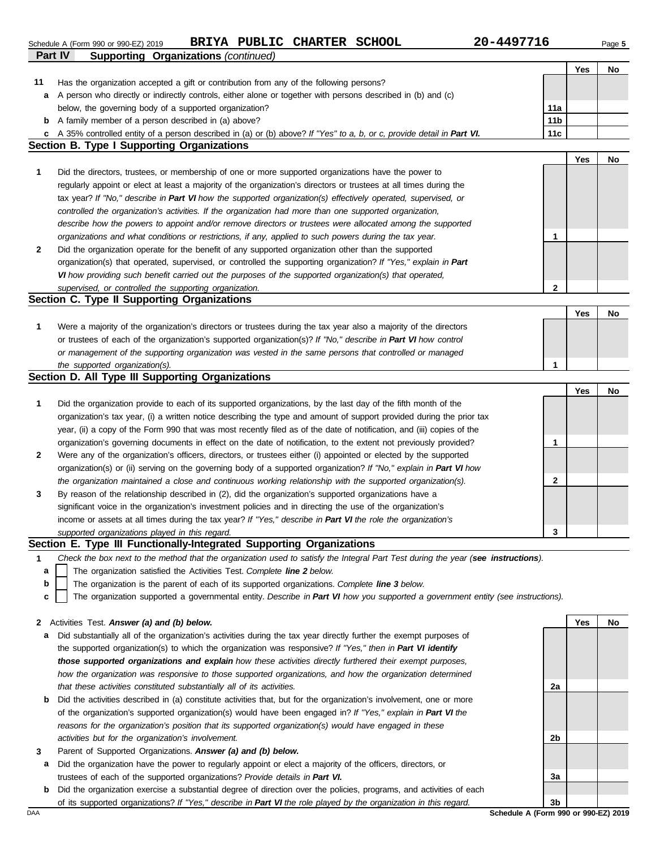**Part IV Supporting Organizations** *(continued)* Schedule A (Form 990 or 990-EZ) 2019 **BRIYA PUBLIC CHARTER SCHOOL** 20-4497716 Page 5

I

**Yes No**

| 11  | Has the organization accepted a gift or contribution from any of the following persons?                                                                                                                                          |                                      |     |    |
|-----|----------------------------------------------------------------------------------------------------------------------------------------------------------------------------------------------------------------------------------|--------------------------------------|-----|----|
|     | a A person who directly or indirectly controls, either alone or together with persons described in (b) and (c)                                                                                                                   |                                      |     |    |
|     | below, the governing body of a supported organization?                                                                                                                                                                           | 11a                                  |     |    |
|     | <b>b</b> A family member of a person described in (a) above?                                                                                                                                                                     | 11 <sub>b</sub>                      |     |    |
|     | c A 35% controlled entity of a person described in (a) or (b) above? If "Yes" to a, b, or c, provide detail in Part VI.                                                                                                          | 11c                                  |     |    |
|     | <b>Section B. Type I Supporting Organizations</b>                                                                                                                                                                                |                                      |     |    |
|     |                                                                                                                                                                                                                                  |                                      | Yes | No |
| 1   | Did the directors, trustees, or membership of one or more supported organizations have the power to                                                                                                                              |                                      |     |    |
|     | regularly appoint or elect at least a majority of the organization's directors or trustees at all times during the                                                                                                               |                                      |     |    |
|     | tax year? If "No," describe in Part VI how the supported organization(s) effectively operated, supervised, or                                                                                                                    |                                      |     |    |
|     | controlled the organization's activities. If the organization had more than one supported organization,                                                                                                                          |                                      |     |    |
|     | describe how the powers to appoint and/or remove directors or trustees were allocated among the supported                                                                                                                        |                                      |     |    |
|     | organizations and what conditions or restrictions, if any, applied to such powers during the tax year.                                                                                                                           | 1                                    |     |    |
| 2   | Did the organization operate for the benefit of any supported organization other than the supported                                                                                                                              |                                      |     |    |
|     | organization(s) that operated, supervised, or controlled the supporting organization? If "Yes," explain in Part                                                                                                                  |                                      |     |    |
|     | VI how providing such benefit carried out the purposes of the supported organization(s) that operated,                                                                                                                           |                                      |     |    |
|     | supervised, or controlled the supporting organization.                                                                                                                                                                           | $\mathbf 2$                          |     |    |
|     | Section C. Type II Supporting Organizations                                                                                                                                                                                      |                                      |     |    |
|     |                                                                                                                                                                                                                                  |                                      | Yes | No |
| 1   | Were a majority of the organization's directors or trustees during the tax year also a majority of the directors                                                                                                                 |                                      |     |    |
|     | or trustees of each of the organization's supported organization(s)? If "No," describe in Part VI how control                                                                                                                    |                                      |     |    |
|     | or management of the supporting organization was vested in the same persons that controlled or managed                                                                                                                           |                                      |     |    |
|     | the supported organization(s).                                                                                                                                                                                                   | 1                                    |     |    |
|     | Section D. All Type III Supporting Organizations                                                                                                                                                                                 |                                      |     |    |
|     |                                                                                                                                                                                                                                  |                                      | Yes | No |
| 1   | Did the organization provide to each of its supported organizations, by the last day of the fifth month of the                                                                                                                   |                                      |     |    |
|     | organization's tax year, (i) a written notice describing the type and amount of support provided during the prior tax                                                                                                            |                                      |     |    |
|     | year, (ii) a copy of the Form 990 that was most recently filed as of the date of notification, and (iii) copies of the                                                                                                           |                                      |     |    |
|     | organization's governing documents in effect on the date of notification, to the extent not previously provided?                                                                                                                 | 1                                    |     |    |
| 2   | Were any of the organization's officers, directors, or trustees either (i) appointed or elected by the supported                                                                                                                 |                                      |     |    |
|     | organization(s) or (ii) serving on the governing body of a supported organization? If "No," explain in Part VI how                                                                                                               |                                      |     |    |
|     | the organization maintained a close and continuous working relationship with the supported organization(s).                                                                                                                      | $\mathbf{2}$                         |     |    |
| 3   | By reason of the relationship described in (2), did the organization's supported organizations have a                                                                                                                            |                                      |     |    |
|     | significant voice in the organization's investment policies and in directing the use of the organization's                                                                                                                       |                                      |     |    |
|     | income or assets at all times during the tax year? If "Yes," describe in Part VI the role the organization's                                                                                                                     |                                      |     |    |
|     | supported organizations played in this regard.                                                                                                                                                                                   | 3                                    |     |    |
|     | Section E. Type III Functionally-Integrated Supporting Organizations                                                                                                                                                             |                                      |     |    |
|     | Check the box next to the method that the organization used to satisfy the Integral Part Test during the year (see instructions).                                                                                                |                                      |     |    |
| a   | The organization satisfied the Activities Test. Complete line 2 below.                                                                                                                                                           |                                      |     |    |
| b   | The organization is the parent of each of its supported organizations. Complete line 3 below.                                                                                                                                    |                                      |     |    |
| с   | The organization supported a governmental entity. Describe in Part VI how you supported a government entity (see instructions).                                                                                                  |                                      |     |    |
|     |                                                                                                                                                                                                                                  |                                      |     |    |
|     | 2 Activities Test. Answer (a) and (b) below.                                                                                                                                                                                     |                                      | Yes | No |
| а   | Did substantially all of the organization's activities during the tax year directly further the exempt purposes of<br>the supported organization(s) to which the organization was responsive? If "Yes," then in Part VI identify |                                      |     |    |
|     | those supported organizations and explain how these activities directly furthered their exempt purposes,                                                                                                                         |                                      |     |    |
|     |                                                                                                                                                                                                                                  |                                      |     |    |
|     | how the organization was responsive to those supported organizations, and how the organization determined                                                                                                                        |                                      |     |    |
| b   | that these activities constituted substantially all of its activities.<br>Did the activities described in (a) constitute activities that, but for the organization's involvement, one or more                                    | 2a                                   |     |    |
|     | of the organization's supported organization(s) would have been engaged in? If "Yes," explain in Part VI the                                                                                                                     |                                      |     |    |
|     | reasons for the organization's position that its supported organization(s) would have engaged in these                                                                                                                           |                                      |     |    |
|     | activities but for the organization's involvement.                                                                                                                                                                               | 2b                                   |     |    |
|     | Parent of Supported Organizations. Answer (a) and (b) below.                                                                                                                                                                     |                                      |     |    |
| 3   | Did the organization have the power to regularly appoint or elect a majority of the officers, directors, or                                                                                                                      |                                      |     |    |
| а   | trustees of each of the supported organizations? Provide details in Part VI.                                                                                                                                                     | За                                   |     |    |
| b   | Did the organization exercise a substantial degree of direction over the policies, programs, and activities of each                                                                                                              |                                      |     |    |
|     | of its supported organizations? If "Yes," describe in Part VI the role played by the organization in this regard.                                                                                                                | 3b                                   |     |    |
| DAA |                                                                                                                                                                                                                                  | Schedule A (Form 990 or 990-EZ) 2019 |     |    |
|     |                                                                                                                                                                                                                                  |                                      |     |    |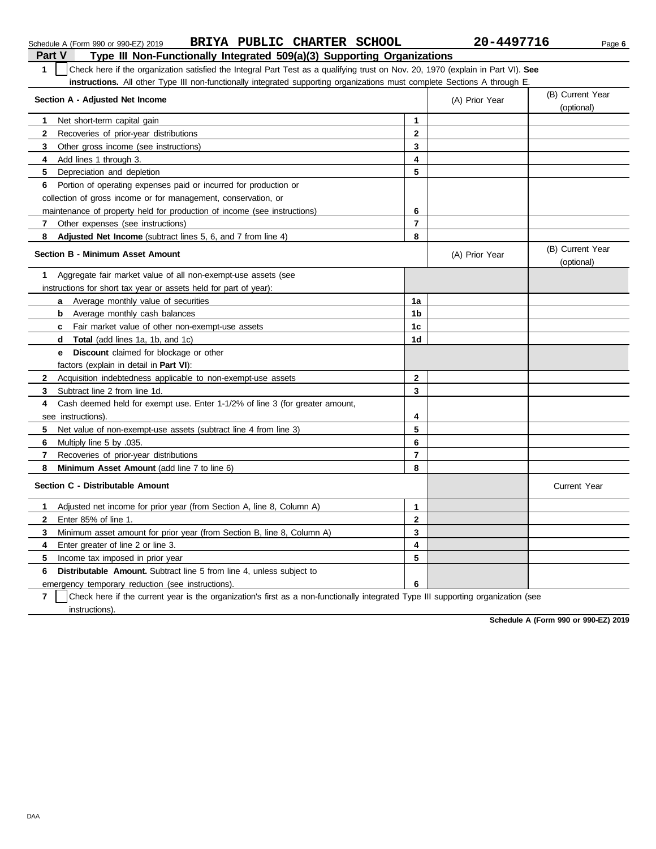|               | BRIYA PUBLIC CHARTER SCHOOL<br>Schedule A (Form 990 or 990-EZ) 2019                                                              |                         | 20-4497716     | Page 6                         |
|---------------|----------------------------------------------------------------------------------------------------------------------------------|-------------------------|----------------|--------------------------------|
| <b>Part V</b> | Type III Non-Functionally Integrated 509(a)(3) Supporting Organizations                                                          |                         |                |                                |
| $\mathbf{1}$  | Check here if the organization satisfied the Integral Part Test as a qualifying trust on Nov. 20, 1970 (explain in Part VI). See |                         |                |                                |
|               | instructions. All other Type III non-functionally integrated supporting organizations must complete Sections A through E.        |                         |                |                                |
|               | Section A - Adjusted Net Income                                                                                                  |                         | (A) Prior Year | (B) Current Year               |
|               |                                                                                                                                  |                         |                | (optional)                     |
| 1             | Net short-term capital gain                                                                                                      | $\mathbf{1}$            |                |                                |
| $\mathbf{2}$  | Recoveries of prior-year distributions                                                                                           | $\mathbf{2}$            |                |                                |
| 3             | Other gross income (see instructions)                                                                                            | 3                       |                |                                |
| 4             | Add lines 1 through 3.                                                                                                           | $\overline{\mathbf{4}}$ |                |                                |
| 5             | Depreciation and depletion                                                                                                       | 5                       |                |                                |
| 6             | Portion of operating expenses paid or incurred for production or                                                                 |                         |                |                                |
|               | collection of gross income or for management, conservation, or                                                                   |                         |                |                                |
|               | maintenance of property held for production of income (see instructions)                                                         | 6                       |                |                                |
| 7             | Other expenses (see instructions)                                                                                                | $\overline{7}$          |                |                                |
| 8             | Adjusted Net Income (subtract lines 5, 6, and 7 from line 4)                                                                     | 8                       |                |                                |
|               | <b>Section B - Minimum Asset Amount</b>                                                                                          |                         | (A) Prior Year | (B) Current Year<br>(optional) |
| 1             | Aggregate fair market value of all non-exempt-use assets (see                                                                    |                         |                |                                |
|               | instructions for short tax year or assets held for part of year):                                                                |                         |                |                                |
|               | Average monthly value of securities<br>a                                                                                         | 1a                      |                |                                |
|               | <b>b</b> Average monthly cash balances                                                                                           | 1b                      |                |                                |
|               | <b>c</b> Fair market value of other non-exempt-use assets                                                                        | 1c                      |                |                                |
|               | Total (add lines 1a, 1b, and 1c)<br>d                                                                                            | 1d                      |                |                                |
|               | <b>e</b> Discount claimed for blockage or other                                                                                  |                         |                |                                |
|               | factors (explain in detail in <b>Part VI</b> ):                                                                                  |                         |                |                                |
| $\mathbf{2}$  | Acquisition indebtedness applicable to non-exempt-use assets                                                                     | $\mathbf{2}$            |                |                                |
| 3             | Subtract line 2 from line 1d.                                                                                                    | 3                       |                |                                |
| 4             | Cash deemed held for exempt use. Enter 1-1/2% of line 3 (for greater amount,                                                     |                         |                |                                |
|               | see instructions)                                                                                                                | 4                       |                |                                |
| 5             | Net value of non-exempt-use assets (subtract line 4 from line 3)                                                                 | 5                       |                |                                |
| 6             | Multiply line 5 by .035.                                                                                                         | 6                       |                |                                |
| 7             | Recoveries of prior-year distributions                                                                                           | $\overline{7}$          |                |                                |
| 8             | Minimum Asset Amount (add line 7 to line 6)                                                                                      | 8                       |                |                                |
|               | Section C - Distributable Amount                                                                                                 |                         |                | <b>Current Year</b>            |
| 1             | Adjusted net income for prior year (from Section A, line 8, Column A)                                                            | $\mathbf{1}$            |                |                                |
| $\mathbf{2}$  | Enter 85% of line 1.                                                                                                             | $\overline{2}$          |                |                                |
| 3             | Minimum asset amount for prior year (from Section B, line 8, Column A)                                                           | 3                       |                |                                |
| 4             | Enter greater of line 2 or line 3.                                                                                               | 4                       |                |                                |
| 5             | Income tax imposed in prior year                                                                                                 | 5                       |                |                                |
| 6             | <b>Distributable Amount.</b> Subtract line 5 from line 4, unless subject to                                                      |                         |                |                                |
|               | emergency temporary reduction (see instructions).                                                                                | 6                       |                |                                |
|               |                                                                                                                                  |                         |                |                                |

**7** | Check here if the current year is the organization's first as a non-functionally integrated Type III supporting organization (see instructions).

**Schedule A (Form 990 or 990-EZ) 2019**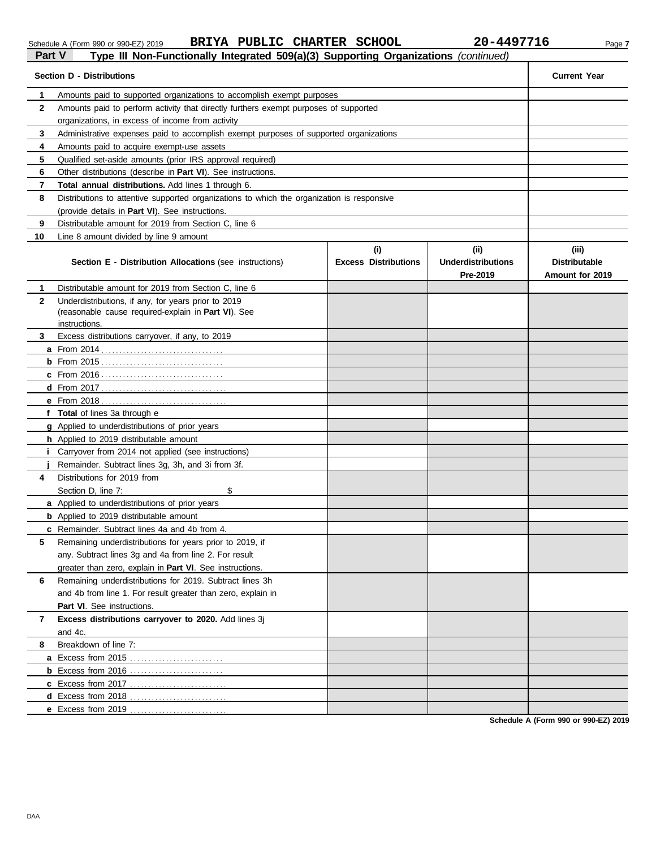#### Schedule A (Form 990 or 990-EZ) 2019 **BRIYA PUBLILU CHARTER SCHOOLI ZU-44Y77Ib** Page 7 **BRIYA PUBLIC CHARTER SCHOOL 20-4497716**

| Part V       | Type III Non-Functionally Integrated 509(a)(3) Supporting Organizations (continued)        |                                    |                                               |                                                  |
|--------------|--------------------------------------------------------------------------------------------|------------------------------------|-----------------------------------------------|--------------------------------------------------|
|              | <b>Section D - Distributions</b>                                                           |                                    |                                               | <b>Current Year</b>                              |
| 1            | Amounts paid to supported organizations to accomplish exempt purposes                      |                                    |                                               |                                                  |
| $\mathbf{2}$ | Amounts paid to perform activity that directly furthers exempt purposes of supported       |                                    |                                               |                                                  |
|              | organizations, in excess of income from activity                                           |                                    |                                               |                                                  |
| 3            | Administrative expenses paid to accomplish exempt purposes of supported organizations      |                                    |                                               |                                                  |
| 4            | Amounts paid to acquire exempt-use assets                                                  |                                    |                                               |                                                  |
| 5            | Qualified set-aside amounts (prior IRS approval required)                                  |                                    |                                               |                                                  |
| 6            | Other distributions (describe in Part VI). See instructions.                               |                                    |                                               |                                                  |
| 7            | Total annual distributions. Add lines 1 through 6.                                         |                                    |                                               |                                                  |
| 8            | Distributions to attentive supported organizations to which the organization is responsive |                                    |                                               |                                                  |
|              | (provide details in Part VI). See instructions.                                            |                                    |                                               |                                                  |
| 9            | Distributable amount for 2019 from Section C, line 6                                       |                                    |                                               |                                                  |
| 10           | Line 8 amount divided by line 9 amount                                                     |                                    |                                               |                                                  |
|              | Section E - Distribution Allocations (see instructions)                                    | (i)<br><b>Excess Distributions</b> | (ii)<br><b>Underdistributions</b><br>Pre-2019 | (iii)<br><b>Distributable</b><br>Amount for 2019 |
| 1            | Distributable amount for 2019 from Section C, line 6                                       |                                    |                                               |                                                  |
| $\mathbf{2}$ | Underdistributions, if any, for years prior to 2019                                        |                                    |                                               |                                                  |
|              | (reasonable cause required-explain in Part VI). See                                        |                                    |                                               |                                                  |
|              | instructions.                                                                              |                                    |                                               |                                                  |
| 3            | Excess distributions carryover, if any, to 2019                                            |                                    |                                               |                                                  |
|              |                                                                                            |                                    |                                               |                                                  |
|              |                                                                                            |                                    |                                               |                                                  |
|              |                                                                                            |                                    |                                               |                                                  |
|              |                                                                                            |                                    |                                               |                                                  |
|              |                                                                                            |                                    |                                               |                                                  |
|              | f Total of lines 3a through e<br><b>g</b> Applied to underdistributions of prior years     |                                    |                                               |                                                  |
|              | h Applied to 2019 distributable amount                                                     |                                    |                                               |                                                  |
|              | Carryover from 2014 not applied (see instructions)                                         |                                    |                                               |                                                  |
|              | Remainder. Subtract lines 3g, 3h, and 3i from 3f.                                          |                                    |                                               |                                                  |
| 4            | Distributions for 2019 from                                                                |                                    |                                               |                                                  |
|              | \$<br>Section D, line 7:                                                                   |                                    |                                               |                                                  |
|              | <b>a</b> Applied to underdistributions of prior years                                      |                                    |                                               |                                                  |
|              | <b>b</b> Applied to 2019 distributable amount                                              |                                    |                                               |                                                  |
|              | c Remainder. Subtract lines 4a and 4b from 4.                                              |                                    |                                               |                                                  |
| 5            | Remaining underdistributions for years prior to 2019, if                                   |                                    |                                               |                                                  |
|              | any. Subtract lines 3q and 4a from line 2. For result                                      |                                    |                                               |                                                  |
|              | greater than zero, explain in Part VI. See instructions.                                   |                                    |                                               |                                                  |
| 6            | Remaining underdistributions for 2019. Subtract lines 3h                                   |                                    |                                               |                                                  |
|              | and 4b from line 1. For result greater than zero, explain in                               |                                    |                                               |                                                  |
|              | Part VI. See instructions.                                                                 |                                    |                                               |                                                  |
| 7            | Excess distributions carryover to 2020. Add lines 3j                                       |                                    |                                               |                                                  |
|              | and 4c.                                                                                    |                                    |                                               |                                                  |
| 8            | Breakdown of line 7:                                                                       |                                    |                                               |                                                  |
|              |                                                                                            |                                    |                                               |                                                  |
|              | <b>b</b> Excess from 2016                                                                  |                                    |                                               |                                                  |
|              |                                                                                            |                                    |                                               |                                                  |
|              |                                                                                            |                                    |                                               |                                                  |
|              | e Excess from 2019                                                                         |                                    |                                               |                                                  |

**Schedule A (Form 990 or 990-EZ) 2019**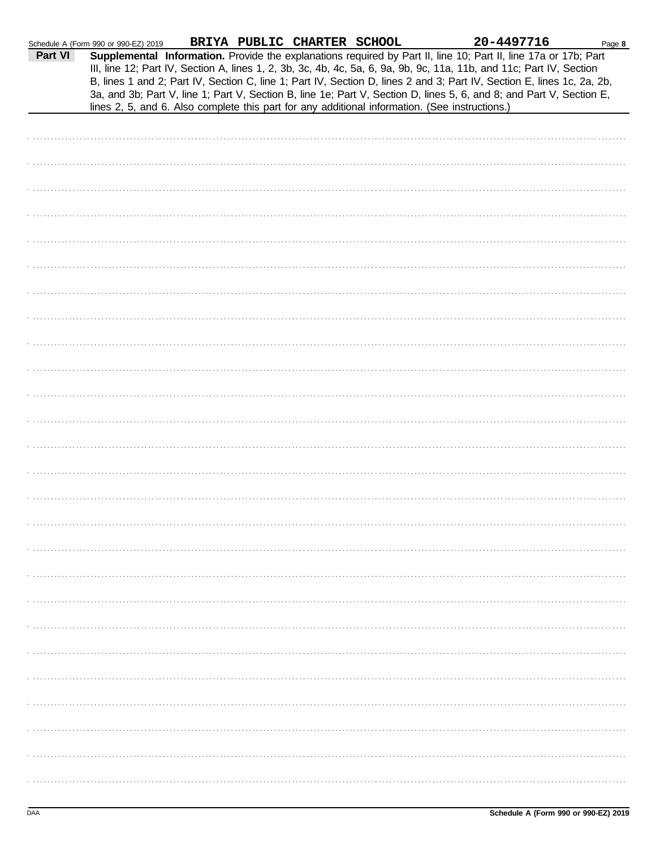|         | Schedule A (Form 990 or 990-EZ) 2019                                                                                                                                                                                                                                                                                                                                                                                                                                                                                                                                                        |  | BRIYA PUBLIC CHARTER SCHOOL |  | 20-4497716 | Page 8 |
|---------|---------------------------------------------------------------------------------------------------------------------------------------------------------------------------------------------------------------------------------------------------------------------------------------------------------------------------------------------------------------------------------------------------------------------------------------------------------------------------------------------------------------------------------------------------------------------------------------------|--|-----------------------------|--|------------|--------|
| Part VI | Supplemental Information. Provide the explanations required by Part II, line 10; Part II, line 17a or 17b; Part<br>III, line 12; Part IV, Section A, lines 1, 2, 3b, 3c, 4b, 4c, 5a, 6, 9a, 9b, 9c, 11a, 11b, and 11c; Part IV, Section<br>B, lines 1 and 2; Part IV, Section C, line 1; Part IV, Section D, lines 2 and 3; Part IV, Section E, lines 1c, 2a, 2b,<br>3a, and 3b; Part V, line 1; Part V, Section B, line 1e; Part V, Section D, lines 5, 6, and 8; and Part V, Section E,<br>lines 2, 5, and 6. Also complete this part for any additional information. (See instructions.) |  |                             |  |            |        |
|         |                                                                                                                                                                                                                                                                                                                                                                                                                                                                                                                                                                                             |  |                             |  |            |        |
|         |                                                                                                                                                                                                                                                                                                                                                                                                                                                                                                                                                                                             |  |                             |  |            |        |
|         |                                                                                                                                                                                                                                                                                                                                                                                                                                                                                                                                                                                             |  |                             |  |            |        |
|         |                                                                                                                                                                                                                                                                                                                                                                                                                                                                                                                                                                                             |  |                             |  |            |        |
|         |                                                                                                                                                                                                                                                                                                                                                                                                                                                                                                                                                                                             |  |                             |  |            |        |
|         |                                                                                                                                                                                                                                                                                                                                                                                                                                                                                                                                                                                             |  |                             |  |            |        |
|         |                                                                                                                                                                                                                                                                                                                                                                                                                                                                                                                                                                                             |  |                             |  |            |        |
|         |                                                                                                                                                                                                                                                                                                                                                                                                                                                                                                                                                                                             |  |                             |  |            |        |
|         |                                                                                                                                                                                                                                                                                                                                                                                                                                                                                                                                                                                             |  |                             |  |            |        |
|         |                                                                                                                                                                                                                                                                                                                                                                                                                                                                                                                                                                                             |  |                             |  |            |        |
|         |                                                                                                                                                                                                                                                                                                                                                                                                                                                                                                                                                                                             |  |                             |  |            |        |
|         |                                                                                                                                                                                                                                                                                                                                                                                                                                                                                                                                                                                             |  |                             |  |            |        |
|         |                                                                                                                                                                                                                                                                                                                                                                                                                                                                                                                                                                                             |  |                             |  |            |        |
|         |                                                                                                                                                                                                                                                                                                                                                                                                                                                                                                                                                                                             |  |                             |  |            |        |
|         |                                                                                                                                                                                                                                                                                                                                                                                                                                                                                                                                                                                             |  |                             |  |            |        |
|         |                                                                                                                                                                                                                                                                                                                                                                                                                                                                                                                                                                                             |  |                             |  |            |        |
|         |                                                                                                                                                                                                                                                                                                                                                                                                                                                                                                                                                                                             |  |                             |  |            |        |
|         |                                                                                                                                                                                                                                                                                                                                                                                                                                                                                                                                                                                             |  |                             |  |            |        |
|         |                                                                                                                                                                                                                                                                                                                                                                                                                                                                                                                                                                                             |  |                             |  |            |        |
|         |                                                                                                                                                                                                                                                                                                                                                                                                                                                                                                                                                                                             |  |                             |  |            |        |
|         |                                                                                                                                                                                                                                                                                                                                                                                                                                                                                                                                                                                             |  |                             |  |            |        |
|         |                                                                                                                                                                                                                                                                                                                                                                                                                                                                                                                                                                                             |  |                             |  |            |        |
|         |                                                                                                                                                                                                                                                                                                                                                                                                                                                                                                                                                                                             |  |                             |  |            |        |
|         |                                                                                                                                                                                                                                                                                                                                                                                                                                                                                                                                                                                             |  |                             |  |            |        |
|         |                                                                                                                                                                                                                                                                                                                                                                                                                                                                                                                                                                                             |  |                             |  |            |        |
|         |                                                                                                                                                                                                                                                                                                                                                                                                                                                                                                                                                                                             |  |                             |  |            |        |
|         |                                                                                                                                                                                                                                                                                                                                                                                                                                                                                                                                                                                             |  |                             |  |            |        |
|         |                                                                                                                                                                                                                                                                                                                                                                                                                                                                                                                                                                                             |  |                             |  |            |        |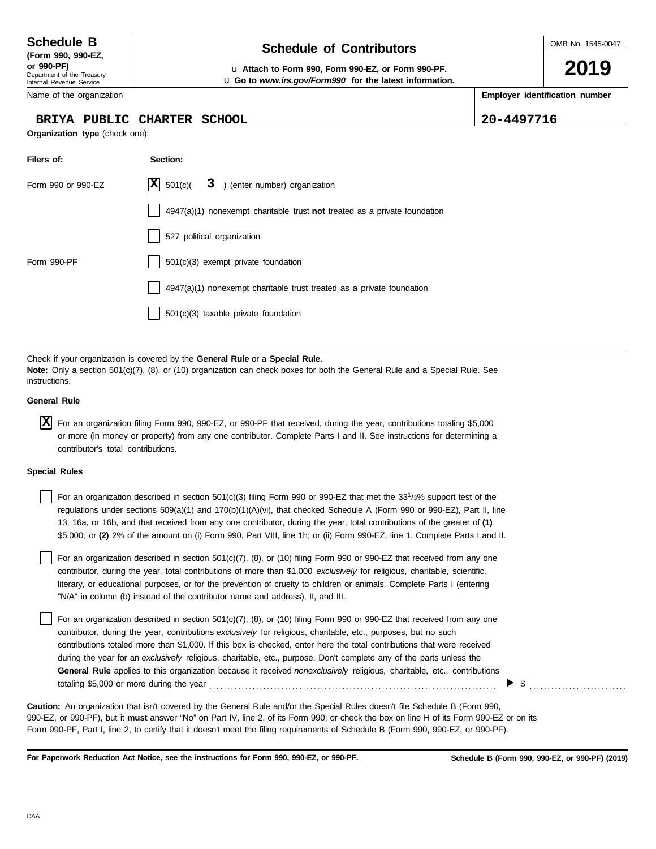Department of the Treasury Internal Revenue Service

Name of the organization

## **BRIYA PUBLIC CHARTER SCHOOL 20-4497716**

**Organization type** (check one):

**Filers of: Section:**

| Schedule B       | <b>Schedule of Contributors</b> |
|------------------|---------------------------------|
| /Earm 000 000.E7 |                                 |

OMB No. 1545-0047

**2019**

**or 990-PF)** u **Attach to Form 990, Form 990-EZ, or Form 990-PF.** u **Go to** *www.irs.gov/Form990* **for the latest information.**

**Employer identification number**

| Form 990 or 990-EZ   | X<br>3 ) (enter number) organization<br>501(c)                                                                                                                                                                                                                                                                                                                                                                                                                                                                                                                                                                                                                        |
|----------------------|-----------------------------------------------------------------------------------------------------------------------------------------------------------------------------------------------------------------------------------------------------------------------------------------------------------------------------------------------------------------------------------------------------------------------------------------------------------------------------------------------------------------------------------------------------------------------------------------------------------------------------------------------------------------------|
|                      | $4947(a)(1)$ nonexempt charitable trust <b>not</b> treated as a private foundation                                                                                                                                                                                                                                                                                                                                                                                                                                                                                                                                                                                    |
|                      | 527 political organization                                                                                                                                                                                                                                                                                                                                                                                                                                                                                                                                                                                                                                            |
| Form 990-PF          | 501(c)(3) exempt private foundation                                                                                                                                                                                                                                                                                                                                                                                                                                                                                                                                                                                                                                   |
|                      | $4947(a)(1)$ nonexempt charitable trust treated as a private foundation                                                                                                                                                                                                                                                                                                                                                                                                                                                                                                                                                                                               |
|                      | $501(c)(3)$ taxable private foundation                                                                                                                                                                                                                                                                                                                                                                                                                                                                                                                                                                                                                                |
|                      |                                                                                                                                                                                                                                                                                                                                                                                                                                                                                                                                                                                                                                                                       |
| instructions.        | Check if your organization is covered by the General Rule or a Special Rule.<br><b>Note:</b> Only a section 501(c)(7), (8), or (10) organization can check boxes for both the General Rule and a Special Rule. See                                                                                                                                                                                                                                                                                                                                                                                                                                                    |
| <b>General Rule</b>  |                                                                                                                                                                                                                                                                                                                                                                                                                                                                                                                                                                                                                                                                       |
| ΙX                   | For an organization filing Form 990, 990-EZ, or 990-PF that received, during the year, contributions totaling \$5,000<br>or more (in money or property) from any one contributor. Complete Parts I and II. See instructions for determining a<br>contributor's total contributions.                                                                                                                                                                                                                                                                                                                                                                                   |
| <b>Special Rules</b> |                                                                                                                                                                                                                                                                                                                                                                                                                                                                                                                                                                                                                                                                       |
|                      | For an organization described in section 501(c)(3) filing Form 990 or 990-EZ that met the 33 <sup>1</sup> /3% support test of the<br>regulations under sections 509(a)(1) and 170(b)(1)(A)(vi), that checked Schedule A (Form 990 or 990-EZ), Part II, line<br>13, 16a, or 16b, and that received from any one contributor, during the year, total contributions of the greater of (1)<br>\$5,000; or (2) 2% of the amount on (i) Form 990, Part VIII, line 1h; or (ii) Form 990-EZ, line 1. Complete Parts I and II.                                                                                                                                                 |
|                      | For an organization described in section 501(c)(7), (8), or (10) filing Form 990 or 990-EZ that received from any one<br>contributor, during the year, total contributions of more than \$1,000 exclusively for religious, charitable, scientific,<br>literary, or educational purposes, or for the prevention of cruelty to children or animals. Complete Parts I (entering<br>"N/A" in column (b) instead of the contributor name and address), II, and III.                                                                                                                                                                                                        |
|                      | For an organization described in section 501(c)(7), (8), or (10) filing Form 990 or 990-EZ that received from any one<br>contributor, during the year, contributions exclusively for religious, charitable, etc., purposes, but no such<br>contributions totaled more than \$1,000. If this box is checked, enter here the total contributions that were received<br>during the year for an exclusively religious, charitable, etc., purpose. Don't complete any of the parts unless the<br>General Rule applies to this organization because it received nonexclusively religious, charitable, etc., contributions<br>\$<br>totaling \$5,000 or more during the year |
|                      | Caution: An organization that isn't covered by the General Rule and/or the Special Rules doesn't file Schedule B (Form 990,<br>990-EZ, or 990-PF), but it must answer "No" on Part IV, line 2, of its Form 990; or check the box on line H of its Form 990-EZ or on its<br>Form 990-PF, Part I, line 2, to certify that it doesn't meet the filing requirements of Schedule B (Form 990, 990-EZ, or 990-PF).                                                                                                                                                                                                                                                          |

**For Paperwork Reduction Act Notice, see the instructions for Form 990, 990-EZ, or 990-PF.**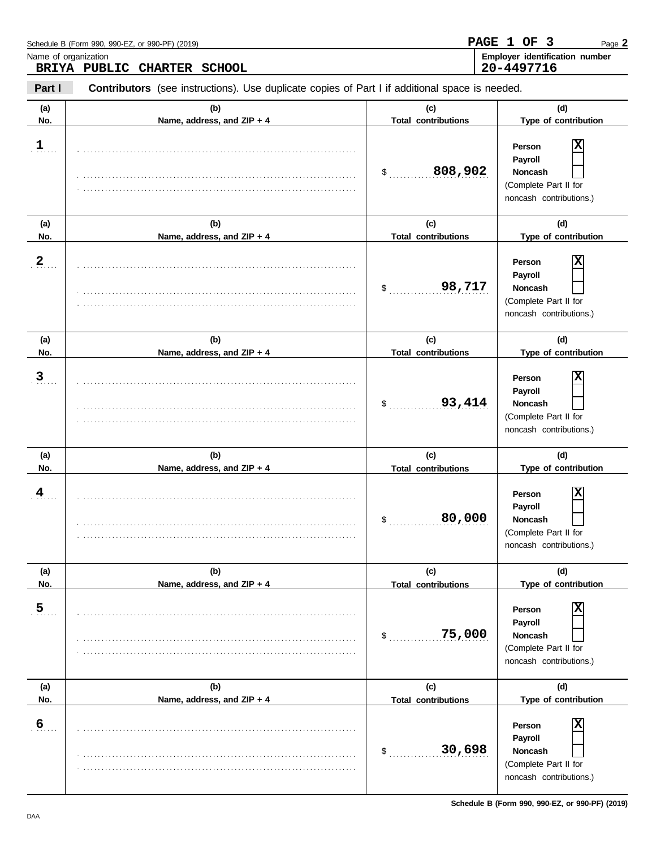|                   | Schedule B (Form 990, 990-EZ, or 990-PF) (2019)                                                |                                   | PAGE 1 OF 3<br>Page 2                                                                                       |
|-------------------|------------------------------------------------------------------------------------------------|-----------------------------------|-------------------------------------------------------------------------------------------------------------|
|                   | Name of organization<br><b>BRIYA PUBLIC CHARTER</b><br><b>SCHOOL</b>                           |                                   | Employer identification number<br>20-4497716                                                                |
| Part I            | Contributors (see instructions). Use duplicate copies of Part I if additional space is needed. |                                   |                                                                                                             |
| (a)<br>No.        | (b)<br>Name, address, and ZIP + 4                                                              | (c)<br><b>Total contributions</b> | (d)<br>Type of contribution                                                                                 |
| $1$               |                                                                                                | 808,902<br>\$                     | $\overline{\mathbf{x}}$<br>Person<br>Payroll<br>Noncash<br>(Complete Part II for<br>noncash contributions.) |
| (a)               | (b)                                                                                            | (c)                               | (d)                                                                                                         |
| No.               | Name, address, and ZIP + 4                                                                     | <b>Total contributions</b>        | Type of contribution                                                                                        |
| $\frac{2}{\cdot}$ |                                                                                                | 98,717<br>\$                      | X<br>Person<br>Payroll<br>Noncash<br>(Complete Part II for<br>noncash contributions.)                       |
| (a)               | (b)                                                                                            | (c)                               | (d)                                                                                                         |
| No.               | Name, address, and ZIP + 4                                                                     | <b>Total contributions</b>        | Type of contribution                                                                                        |
| $\overline{3}$    |                                                                                                | 93,414<br>\$                      | X<br>Person<br>Payroll<br>Noncash<br>(Complete Part II for<br>noncash contributions.)                       |
| (a)<br>No.        | (b)<br>Name, address, and ZIP + 4                                                              | (c)<br><b>Total contributions</b> | (d)<br>Type of contribution                                                                                 |
| $\frac{4}{1}$     |                                                                                                | 80,000<br>$\mathfrak{F}$          | X<br>Person<br>Payroll<br>Noncash<br>(Complete Part II for<br>noncash contributions.)                       |
| (a)               | (b)                                                                                            | (c)                               | (d)                                                                                                         |
| No.               | Name, address, and ZIP + 4                                                                     | <b>Total contributions</b>        | Type of contribution                                                                                        |
| $\overline{5}$    |                                                                                                | 75,000<br>\$                      | X<br>Person<br>Payroll<br>Noncash<br>(Complete Part II for<br>noncash contributions.)                       |
| (a)<br>No.        | (b)<br>Name, address, and ZIP + 4                                                              | (c)<br><b>Total contributions</b> | (d)<br>Type of contribution                                                                                 |
| $6 \overline{6}$  |                                                                                                | 30,698<br>$$^{\circ}$             | X<br>Person<br>Payroll<br>Noncash<br>(Complete Part II for<br>noncash contributions.)                       |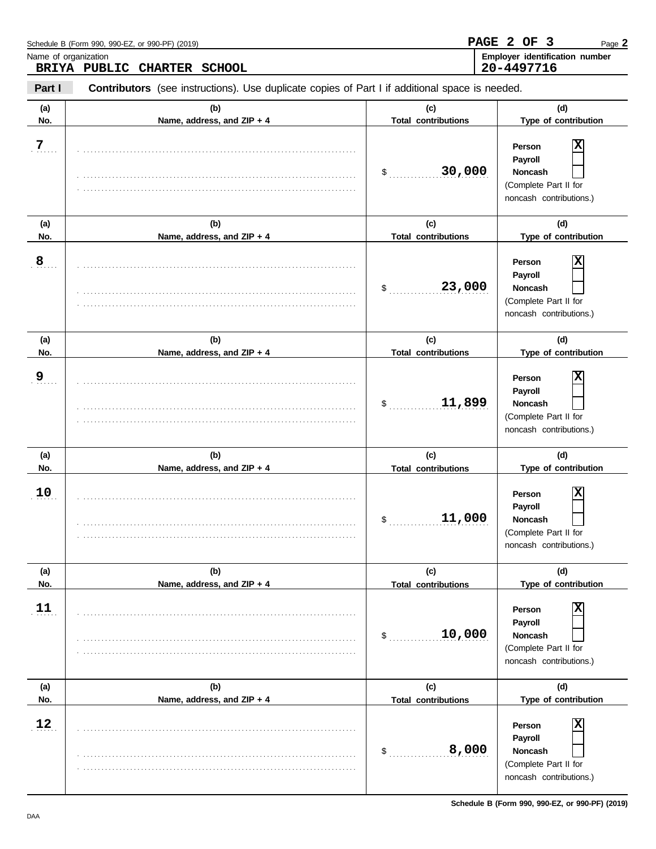| Name of organization | Schedule B (Form 990, 990-EZ, or 990-PF) (2019)                                                |                                   | PAGE 2 OF 3<br>Page 2<br>Employer identification number                                      |
|----------------------|------------------------------------------------------------------------------------------------|-----------------------------------|----------------------------------------------------------------------------------------------|
|                      | BRIYA PUBLIC CHARTER SCHOOL                                                                    |                                   | 20-4497716                                                                                   |
| Part I               | Contributors (see instructions). Use duplicate copies of Part I if additional space is needed. |                                   |                                                                                              |
| (a)<br>No.           | (b)<br>Name, address, and ZIP + 4                                                              | (c)<br><b>Total contributions</b> | (d)<br>Type of contribution                                                                  |
| 7                    |                                                                                                | 30,000<br>\$                      | X<br>Person<br>Payroll<br><b>Noncash</b><br>(Complete Part II for<br>noncash contributions.) |
| (a)<br>No.           | (b)<br>Name, address, and ZIP + 4                                                              | (c)<br><b>Total contributions</b> | (d)<br>Type of contribution                                                                  |
| $\overline{8}$       |                                                                                                | 23,000<br>\$                      | X<br>Person<br>Payroll<br><b>Noncash</b><br>(Complete Part II for<br>noncash contributions.) |
| (a)<br>No.           | (b)<br>Name, address, and ZIP + 4                                                              | (c)<br><b>Total contributions</b> | (d)<br>Type of contribution                                                                  |
| $\overline{9}$       |                                                                                                | 11,899<br>\$                      | X<br>Person<br>Payroll<br><b>Noncash</b><br>(Complete Part II for<br>noncash contributions.) |
| (a)<br>No.           | (b)<br>Name, address, and ZIP + 4                                                              | (c)<br><b>Total contributions</b> | (d)<br>Type of contribution                                                                  |
| 10                   |                                                                                                | 11,000<br>\$                      | X<br>Person<br>Payroll<br>Noncash<br>(Complete Part II for<br>noncash contributions.)        |
| (a)<br>No.           | (b)<br>Name, address, and ZIP + 4                                                              | (c)<br><b>Total contributions</b> | (d)<br>Type of contribution                                                                  |
| 11                   |                                                                                                | 10,000<br>\$                      | X<br>Person<br>Payroll<br>Noncash<br>(Complete Part II for<br>noncash contributions.)        |
| (a)<br>No.           | (b)<br>Name, address, and ZIP + 4                                                              | (c)<br><b>Total contributions</b> | (d)<br>Type of contribution                                                                  |
| 12                   |                                                                                                | 8,000<br>\$                       | X<br>Person<br>Payroll<br>Noncash<br>(Complete Part II for<br>noncash contributions.)        |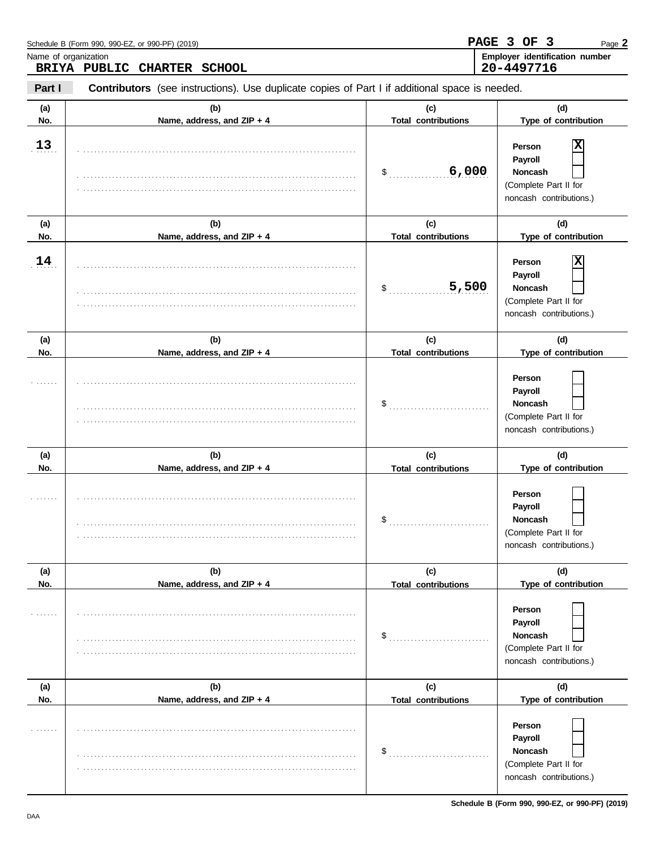| Name of organization | Schedule B (Form 990, 990-EZ, or 990-PF) (2019)                                                |                                   | PAGE 3 OF 3<br>Page 2<br>Employer identification number                                      |
|----------------------|------------------------------------------------------------------------------------------------|-----------------------------------|----------------------------------------------------------------------------------------------|
|                      | <b>BRIYA PUBLIC CHARTER</b><br><b>SCHOOL</b>                                                   |                                   | 20-4497716                                                                                   |
| Part I               | Contributors (see instructions). Use duplicate copies of Part I if additional space is needed. |                                   |                                                                                              |
| (a)<br>No.           | (b)<br>Name, address, and ZIP + 4                                                              | (c)<br><b>Total contributions</b> | (d)<br>Type of contribution                                                                  |
| 13                   |                                                                                                | 6,000<br>\$                       | X<br>Person<br>Payroll<br>Noncash<br>(Complete Part II for<br>noncash contributions.)        |
| (a)                  | (b)                                                                                            | (c)                               | (d)                                                                                          |
| No.                  | Name, address, and ZIP + 4                                                                     | <b>Total contributions</b>        | Type of contribution                                                                         |
| 14                   |                                                                                                | 5,500<br>\$                       | X<br>Person<br>Payroll<br><b>Noncash</b><br>(Complete Part II for<br>noncash contributions.) |
| (a)                  | (b)                                                                                            | (c)                               | (d)                                                                                          |
| No.                  | Name, address, and ZIP + 4                                                                     | <b>Total contributions</b>        | Type of contribution                                                                         |
|                      |                                                                                                | \$                                | Person<br>Payroll<br><b>Noncash</b><br>(Complete Part II for<br>noncash contributions.)      |
| (a)                  | (b)                                                                                            | (c)                               | (d)                                                                                          |
| No.                  | Name, address, and ZIP + 4                                                                     | <b>Total contributions</b>        | Type of contribution                                                                         |
|                      |                                                                                                | \$                                | Person<br>Payroll<br>Noncash<br>(Complete Part II for<br>noncash contributions.)             |
| (a)                  | (b)                                                                                            | (c)                               | (d)                                                                                          |
| No.                  | Name, address, and ZIP + 4                                                                     | <b>Total contributions</b>        | Type of contribution                                                                         |
|                      |                                                                                                | \$                                | Person<br>Payroll<br>Noncash<br>(Complete Part II for<br>noncash contributions.)             |
| (a)                  | (b)                                                                                            | (c)                               | (d)                                                                                          |
| No.                  | Name, address, and ZIP + 4                                                                     | <b>Total contributions</b>        | Type of contribution                                                                         |
|                      |                                                                                                | \$                                | Person<br>Payroll<br>Noncash<br>(Complete Part II for<br>noncash contributions.)             |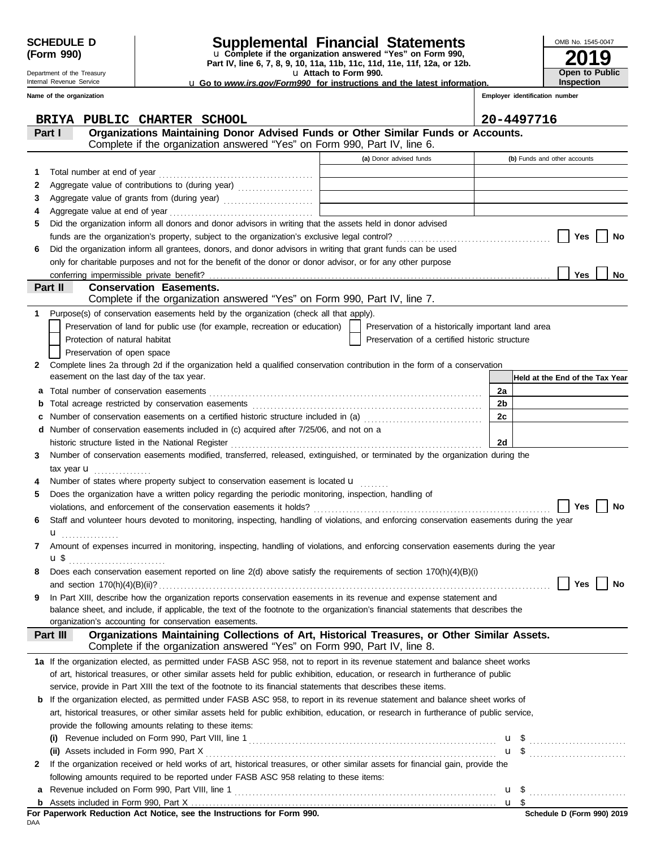Department of the Treasury Internal Revenue Service

## **SCHEDULE D Supplemental Financial Statements**

**Part IV, line 6, 7, 8, 9, 10, 11a, 11b, 11c, 11d, 11e, 11f, 12a, or 12b.** u **Complete if the organization answered "Yes" on Form 990,**

u **Attach to Form 990.**  u **Go to** *www.irs.gov/Form990* **for instructions and the latest information.**

**Inspection**

**2019**

**Open to Public**

OMB No. 1545-0047

|              | Name of the organization                                                                                                                  |                                                    | Employer identification number  |
|--------------|-------------------------------------------------------------------------------------------------------------------------------------------|----------------------------------------------------|---------------------------------|
|              | BRIYA PUBLIC CHARTER SCHOOL                                                                                                               |                                                    | 20-4497716                      |
|              | Organizations Maintaining Donor Advised Funds or Other Similar Funds or Accounts.<br>Part I                                               |                                                    |                                 |
|              | Complete if the organization answered "Yes" on Form 990, Part IV, line 6.                                                                 |                                                    |                                 |
|              |                                                                                                                                           | (a) Donor advised funds                            | (b) Funds and other accounts    |
| 1.           | Total number at end of year                                                                                                               |                                                    |                                 |
| 2            | Aggregate value of contributions to (during year)                                                                                         |                                                    |                                 |
| 3            | Aggregate value of grants from (during year)                                                                                              |                                                    |                                 |
| 4            |                                                                                                                                           |                                                    |                                 |
| 5            | Did the organization inform all donors and donor advisors in writing that the assets held in donor advised                                |                                                    |                                 |
|              |                                                                                                                                           |                                                    | <b>Yes</b><br>No                |
| 6            | Did the organization inform all grantees, donors, and donor advisors in writing that grant funds can be used                              |                                                    |                                 |
|              | only for charitable purposes and not for the benefit of the donor or donor advisor, or for any other purpose                              |                                                    |                                 |
|              | conferring impermissible private benefit?                                                                                                 |                                                    | Yes<br>No                       |
|              | Part II<br><b>Conservation Easements.</b><br>Complete if the organization answered "Yes" on Form 990, Part IV, line 7.                    |                                                    |                                 |
| 1            | Purpose(s) of conservation easements held by the organization (check all that apply).                                                     |                                                    |                                 |
|              | Preservation of land for public use (for example, recreation or education)                                                                | Preservation of a historically important land area |                                 |
|              | Protection of natural habitat                                                                                                             | Preservation of a certified historic structure     |                                 |
|              | Preservation of open space                                                                                                                |                                                    |                                 |
| $\mathbf{2}$ | Complete lines 2a through 2d if the organization held a qualified conservation contribution in the form of a conservation                 |                                                    |                                 |
|              | easement on the last day of the tax year.                                                                                                 |                                                    | Held at the End of the Tax Year |
| а            |                                                                                                                                           |                                                    | 2a                              |
| b            |                                                                                                                                           |                                                    | 2b                              |
|              | Number of conservation easements on a certified historic structure included in (a) [[[[[[[[[[[[[[[[[[[[[[[[[]]]]]]]                       |                                                    | 2c                              |
| d            | Number of conservation easements included in (c) acquired after 7/25/06, and not on a                                                     |                                                    |                                 |
|              | historic structure listed in the National Register                                                                                        |                                                    | 2d                              |
| 3            | Number of conservation easements modified, transferred, released, extinguished, or terminated by the organization during the              |                                                    |                                 |
|              | tax year $\mathbf u$                                                                                                                      |                                                    |                                 |
|              | Number of states where property subject to conservation easement is located <b>u</b>                                                      |                                                    |                                 |
| 5            | Does the organization have a written policy regarding the periodic monitoring, inspection, handling of                                    |                                                    |                                 |
|              |                                                                                                                                           |                                                    | Yes<br>No                       |
| 6            | Staff and volunteer hours devoted to monitoring, inspecting, handling of violations, and enforcing conservation easements during the year |                                                    |                                 |
|              | $\mathbf{u}$                                                                                                                              |                                                    |                                 |
|              | Amount of expenses incurred in monitoring, inspecting, handling of violations, and enforcing conservation easements during the year       |                                                    |                                 |
|              | u \$<br>Does each conservation easement reported on line 2(d) above satisfy the requirements of section 170(h)(4)(B)(i)                   |                                                    |                                 |
|              |                                                                                                                                           |                                                    | Yes<br>No                       |
| 9            | In Part XIII, describe how the organization reports conservation easements in its revenue and expense statement and                       |                                                    |                                 |
|              | balance sheet, and include, if applicable, the text of the footnote to the organization's financial statements that describes the         |                                                    |                                 |
|              | organization's accounting for conservation easements.                                                                                     |                                                    |                                 |
|              | Organizations Maintaining Collections of Art, Historical Treasures, or Other Similar Assets.<br>Part III                                  |                                                    |                                 |
|              | Complete if the organization answered "Yes" on Form 990, Part IV, line 8.                                                                 |                                                    |                                 |
|              | 1a If the organization elected, as permitted under FASB ASC 958, not to report in its revenue statement and balance sheet works           |                                                    |                                 |
|              | of art, historical treasures, or other similar assets held for public exhibition, education, or research in furtherance of public         |                                                    |                                 |
|              | service, provide in Part XIII the text of the footnote to its financial statements that describes these items.                            |                                                    |                                 |
| b            | If the organization elected, as permitted under FASB ASC 958, to report in its revenue statement and balance sheet works of               |                                                    |                                 |
|              | art, historical treasures, or other similar assets held for public exhibition, education, or research in furtherance of public service,   |                                                    |                                 |
|              | provide the following amounts relating to these items:                                                                                    |                                                    |                                 |
|              |                                                                                                                                           |                                                    |                                 |
|              | If the organization received or held works of art, historical treasures, or other similar assets for financial gain, provide the          |                                                    |                                 |
| 2            | following amounts required to be reported under FASB ASC 958 relating to these items:                                                     |                                                    |                                 |
| а            |                                                                                                                                           |                                                    | u \$                            |
|              |                                                                                                                                           |                                                    | u \$                            |
|              |                                                                                                                                           |                                                    |                                 |

DAA **For Paperwork Reduction Act Notice, see the Instructions for Form 990.**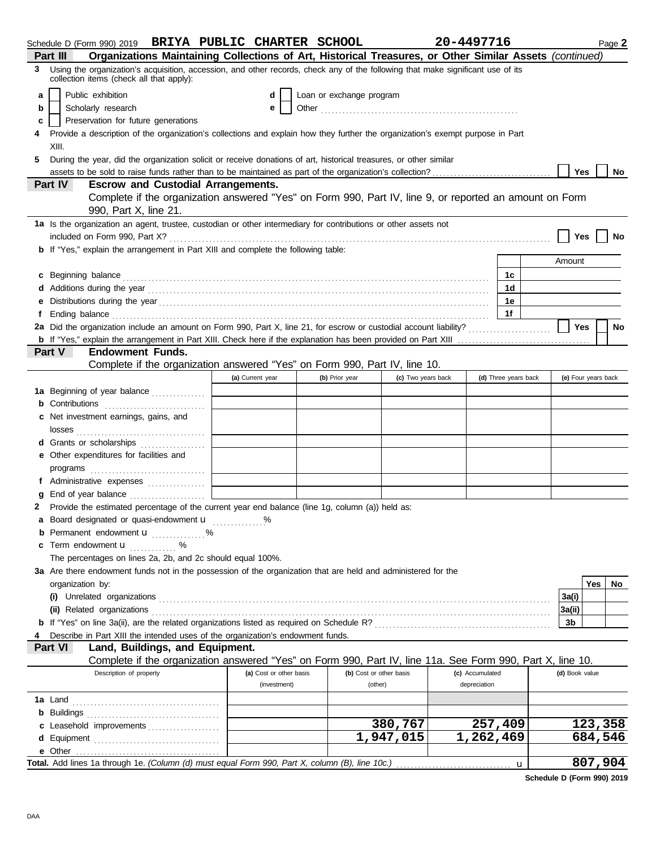|    | Schedule D (Form 990) 2019 BRIYA PUBLIC CHARTER SCHOOL                                                                                                                                                                               |  |                         |                          |                         | 20-4497716      |                      |                     |     | Page 2  |
|----|--------------------------------------------------------------------------------------------------------------------------------------------------------------------------------------------------------------------------------------|--|-------------------------|--------------------------|-------------------------|-----------------|----------------------|---------------------|-----|---------|
|    | Organizations Maintaining Collections of Art, Historical Treasures, or Other Similar Assets (continued)<br>Part III                                                                                                                  |  |                         |                          |                         |                 |                      |                     |     |         |
| 3  | Using the organization's acquisition, accession, and other records, check any of the following that make significant use of its<br>collection items (check all that apply):                                                          |  |                         |                          |                         |                 |                      |                     |     |         |
| a  | Public exhibition                                                                                                                                                                                                                    |  | d                       | Loan or exchange program |                         |                 |                      |                     |     |         |
| b  | Scholarly research                                                                                                                                                                                                                   |  | е                       |                          |                         |                 |                      |                     |     |         |
| c  | Preservation for future generations                                                                                                                                                                                                  |  |                         |                          |                         |                 |                      |                     |     |         |
|    | Provide a description of the organization's collections and explain how they further the organization's exempt purpose in Part                                                                                                       |  |                         |                          |                         |                 |                      |                     |     |         |
|    | XIII.                                                                                                                                                                                                                                |  |                         |                          |                         |                 |                      |                     |     |         |
| 5. | During the year, did the organization solicit or receive donations of art, historical treasures, or other similar                                                                                                                    |  |                         |                          |                         |                 |                      |                     |     |         |
|    |                                                                                                                                                                                                                                      |  |                         |                          |                         |                 |                      | Yes                 |     | No.     |
|    | Part IV                                                                                                                                                                                                                              |  |                         |                          |                         |                 |                      |                     |     |         |
|    | <b>Escrow and Custodial Arrangements.</b><br>Complete if the organization answered "Yes" on Form 990, Part IV, line 9, or reported an amount on Form                                                                                 |  |                         |                          |                         |                 |                      |                     |     |         |
|    | 990, Part X, line 21.                                                                                                                                                                                                                |  |                         |                          |                         |                 |                      |                     |     |         |
|    | 1a Is the organization an agent, trustee, custodian or other intermediary for contributions or other assets not                                                                                                                      |  |                         |                          |                         |                 |                      |                     |     |         |
|    |                                                                                                                                                                                                                                      |  |                         |                          |                         |                 |                      | Yes                 |     | No      |
|    | <b>b</b> If "Yes," explain the arrangement in Part XIII and complete the following table:                                                                                                                                            |  |                         |                          |                         |                 |                      |                     |     |         |
|    |                                                                                                                                                                                                                                      |  |                         |                          |                         |                 |                      | Amount              |     |         |
|    | c Beginning balance <b>contract to the contract of the contract of the contract of the contract of the contract of the contract of the contract of the contract of the contract of the contract of the contract of the contract </b> |  |                         |                          |                         |                 | 1c                   |                     |     |         |
|    |                                                                                                                                                                                                                                      |  |                         |                          |                         |                 | 1d                   |                     |     |         |
|    |                                                                                                                                                                                                                                      |  |                         |                          |                         |                 | 1e                   |                     |     |         |
|    |                                                                                                                                                                                                                                      |  |                         |                          |                         |                 | 1f                   |                     |     |         |
|    |                                                                                                                                                                                                                                      |  |                         |                          |                         |                 |                      | <b>Yes</b>          |     | No      |
|    |                                                                                                                                                                                                                                      |  |                         |                          |                         |                 |                      |                     |     |         |
|    | <b>Endowment Funds.</b><br><b>Part V</b>                                                                                                                                                                                             |  |                         |                          |                         |                 |                      |                     |     |         |
|    | Complete if the organization answered "Yes" on Form 990, Part IV, line 10.                                                                                                                                                           |  |                         |                          |                         |                 |                      |                     |     |         |
|    |                                                                                                                                                                                                                                      |  | (a) Current year        | (b) Prior year           | (c) Two years back      |                 | (d) Three years back | (e) Four years back |     |         |
|    | <b>1a</b> Beginning of year balance                                                                                                                                                                                                  |  |                         |                          |                         |                 |                      |                     |     |         |
|    | <b>b</b> Contributions <b>contributions</b>                                                                                                                                                                                          |  |                         |                          |                         |                 |                      |                     |     |         |
|    | c Net investment earnings, gains, and                                                                                                                                                                                                |  |                         |                          |                         |                 |                      |                     |     |         |
|    |                                                                                                                                                                                                                                      |  |                         |                          |                         |                 |                      |                     |     |         |
|    | d Grants or scholarships                                                                                                                                                                                                             |  |                         |                          |                         |                 |                      |                     |     |         |
|    | e Other expenditures for facilities and                                                                                                                                                                                              |  |                         |                          |                         |                 |                      |                     |     |         |
|    |                                                                                                                                                                                                                                      |  |                         |                          |                         |                 |                      |                     |     |         |
|    |                                                                                                                                                                                                                                      |  |                         |                          |                         |                 |                      |                     |     |         |
|    | f Administrative expenses                                                                                                                                                                                                            |  |                         |                          |                         |                 |                      |                     |     |         |
|    | g End of year balance                                                                                                                                                                                                                |  |                         |                          |                         |                 |                      |                     |     |         |
| 2  | Provide the estimated percentage of the current year end balance (line 1g, column (a)) held as:                                                                                                                                      |  |                         |                          |                         |                 |                      |                     |     |         |
|    | a Board designated or quasi-endowment u                                                                                                                                                                                              |  |                         |                          |                         |                 |                      |                     |     |         |
|    | <b>b</b> Permanent endowment <b>u</b> %                                                                                                                                                                                              |  |                         |                          |                         |                 |                      |                     |     |         |
|    | <b>c</b> Term endowment $\mathbf{u}$ %                                                                                                                                                                                               |  |                         |                          |                         |                 |                      |                     |     |         |
|    | The percentages on lines 2a, 2b, and 2c should equal 100%.                                                                                                                                                                           |  |                         |                          |                         |                 |                      |                     |     |         |
|    | 3a Are there endowment funds not in the possession of the organization that are held and administered for the                                                                                                                        |  |                         |                          |                         |                 |                      |                     |     |         |
|    | organization by:                                                                                                                                                                                                                     |  |                         |                          |                         |                 |                      |                     | Yes | No.     |
|    |                                                                                                                                                                                                                                      |  |                         |                          |                         |                 |                      | 3a(i)               |     |         |
|    | (ii) Related organizations <b>constants</b> and constant of the constant of the constant of the constant of the constant of the constant of the constant of the constant of the constant of the constant of the constant of the con  |  |                         |                          |                         |                 |                      | 3a(ii)              |     |         |
|    |                                                                                                                                                                                                                                      |  |                         |                          |                         |                 |                      | 3b                  |     |         |
|    | Describe in Part XIII the intended uses of the organization's endowment funds.                                                                                                                                                       |  |                         |                          |                         |                 |                      |                     |     |         |
|    | Land, Buildings, and Equipment.<br>Part VI                                                                                                                                                                                           |  |                         |                          |                         |                 |                      |                     |     |         |
|    | Complete if the organization answered "Yes" on Form 990, Part IV, line 11a. See Form 990, Part X, line 10.                                                                                                                           |  |                         |                          |                         |                 |                      |                     |     |         |
|    | Description of property                                                                                                                                                                                                              |  | (a) Cost or other basis |                          | (b) Cost or other basis | (c) Accumulated |                      | (d) Book value      |     |         |
|    |                                                                                                                                                                                                                                      |  | (investment)            |                          | (other)                 | depreciation    |                      |                     |     |         |
|    |                                                                                                                                                                                                                                      |  |                         |                          |                         |                 |                      |                     |     |         |
|    |                                                                                                                                                                                                                                      |  |                         |                          |                         |                 |                      |                     |     |         |
|    | c Leasehold improvements                                                                                                                                                                                                             |  |                         |                          | 380,767                 |                 | 257,409              |                     |     | 123,358 |
|    |                                                                                                                                                                                                                                      |  |                         |                          | 1,947,015               | 1,262,469       |                      |                     |     | 684,546 |
|    |                                                                                                                                                                                                                                      |  |                         |                          |                         |                 |                      |                     |     |         |
|    | Total. Add lines 1a through 1e. (Column (d) must equal Form 990, Part X, column (B), line 10c.)                                                                                                                                      |  |                         |                          |                         |                 |                      |                     |     | 807,904 |
|    |                                                                                                                                                                                                                                      |  |                         |                          |                         |                 | u                    |                     |     |         |

**Schedule D (Form 990) 2019**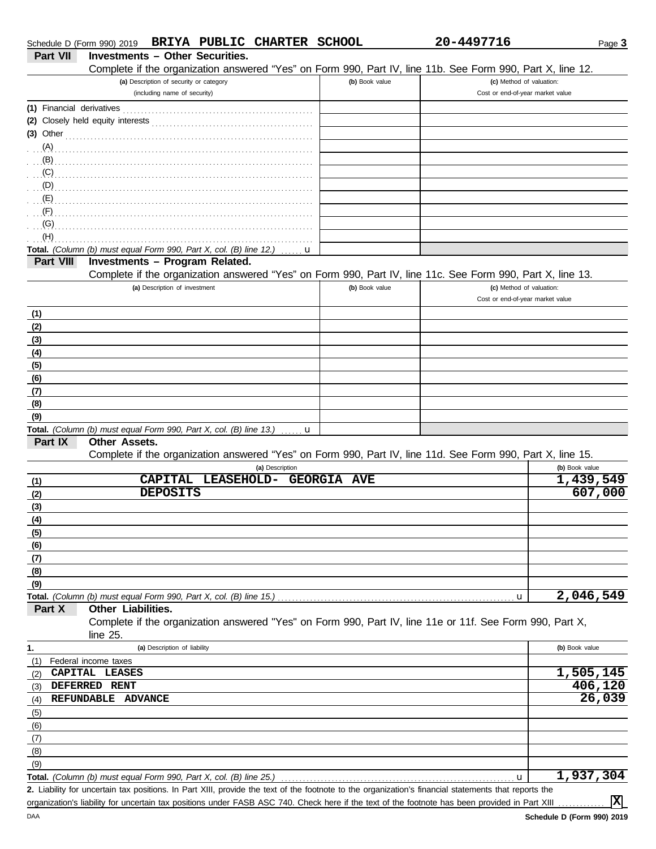|                           |                                                                                          |                                         |                                        | Schedule D (Form 990) 2019 BRIYA PUBLIC CHARTER SCHOOL                                                                                                                                                                           |                | 20-4497716                                                                                                                                           | Page 3         |
|---------------------------|------------------------------------------------------------------------------------------|-----------------------------------------|----------------------------------------|----------------------------------------------------------------------------------------------------------------------------------------------------------------------------------------------------------------------------------|----------------|------------------------------------------------------------------------------------------------------------------------------------------------------|----------------|
| Part VII                  |                                                                                          |                                         | <b>Investments - Other Securities.</b> |                                                                                                                                                                                                                                  |                |                                                                                                                                                      |                |
|                           |                                                                                          |                                         |                                        |                                                                                                                                                                                                                                  |                | Complete if the organization answered "Yes" on Form 990, Part IV, line 11b. See Form 990, Part X, line 12.                                           |                |
|                           |                                                                                          | (a) Description of security or category |                                        |                                                                                                                                                                                                                                  | (b) Book value | (c) Method of valuation:                                                                                                                             |                |
|                           |                                                                                          | (including name of security)            |                                        |                                                                                                                                                                                                                                  |                | Cost or end-of-year market value                                                                                                                     |                |
| (1) Financial derivatives |                                                                                          |                                         |                                        |                                                                                                                                                                                                                                  |                |                                                                                                                                                      |                |
|                           |                                                                                          |                                         |                                        |                                                                                                                                                                                                                                  |                |                                                                                                                                                      |                |
| $(3)$ Other               |                                                                                          |                                         |                                        |                                                                                                                                                                                                                                  |                |                                                                                                                                                      |                |
| (A)                       |                                                                                          |                                         |                                        |                                                                                                                                                                                                                                  |                |                                                                                                                                                      |                |
| (B)                       |                                                                                          |                                         |                                        |                                                                                                                                                                                                                                  |                |                                                                                                                                                      |                |
| (C)                       |                                                                                          |                                         |                                        |                                                                                                                                                                                                                                  |                |                                                                                                                                                      |                |
| (D)                       |                                                                                          |                                         |                                        |                                                                                                                                                                                                                                  |                |                                                                                                                                                      |                |
|                           |                                                                                          |                                         |                                        | $\mathbf{E}$ (E) and a substitution of the state of the state of the state of the state of the state of the state of the state of the state of the state of the state of the state of the state of the state of the state of the |                |                                                                                                                                                      |                |
| (F)                       |                                                                                          |                                         |                                        |                                                                                                                                                                                                                                  |                |                                                                                                                                                      |                |
| (G)                       |                                                                                          |                                         |                                        |                                                                                                                                                                                                                                  |                |                                                                                                                                                      |                |
| (H)                       |                                                                                          |                                         |                                        |                                                                                                                                                                                                                                  |                |                                                                                                                                                      |                |
|                           | Total. (Column (b) must equal Form 990, Part X, col. (B) line 12.)                       |                                         |                                        |                                                                                                                                                                                                                                  |                |                                                                                                                                                      |                |
| Part VIII                 |                                                                                          |                                         | Investments - Program Related.         | u                                                                                                                                                                                                                                |                |                                                                                                                                                      |                |
|                           |                                                                                          |                                         |                                        |                                                                                                                                                                                                                                  |                |                                                                                                                                                      |                |
|                           |                                                                                          |                                         |                                        |                                                                                                                                                                                                                                  |                | Complete if the organization answered "Yes" on Form 990, Part IV, line 11c. See Form 990, Part X, line 13.                                           |                |
|                           |                                                                                          | (a) Description of investment           |                                        |                                                                                                                                                                                                                                  | (b) Book value | (c) Method of valuation:<br>Cost or end-of-year market value                                                                                         |                |
|                           |                                                                                          |                                         |                                        |                                                                                                                                                                                                                                  |                |                                                                                                                                                      |                |
| (1)                       |                                                                                          |                                         |                                        |                                                                                                                                                                                                                                  |                |                                                                                                                                                      |                |
| (2)                       |                                                                                          |                                         |                                        |                                                                                                                                                                                                                                  |                |                                                                                                                                                      |                |
| (3)                       |                                                                                          |                                         |                                        |                                                                                                                                                                                                                                  |                |                                                                                                                                                      |                |
| (4)                       |                                                                                          |                                         |                                        |                                                                                                                                                                                                                                  |                |                                                                                                                                                      |                |
| (5)                       |                                                                                          |                                         |                                        |                                                                                                                                                                                                                                  |                |                                                                                                                                                      |                |
| (6)                       |                                                                                          |                                         |                                        |                                                                                                                                                                                                                                  |                |                                                                                                                                                      |                |
| (7)                       |                                                                                          |                                         |                                        |                                                                                                                                                                                                                                  |                |                                                                                                                                                      |                |
| (8)                       |                                                                                          |                                         |                                        |                                                                                                                                                                                                                                  |                |                                                                                                                                                      |                |
| (9)                       |                                                                                          |                                         |                                        |                                                                                                                                                                                                                                  |                |                                                                                                                                                      |                |
|                           |                                                                                          |                                         |                                        | <b>Total.</b> (Column (b) must equal Form 990, Part X, col. (B) line 13.) $\ldots$ <b>u</b>                                                                                                                                      |                |                                                                                                                                                      |                |
| Part IX                   | <b>Other Assets.</b>                                                                     |                                         |                                        |                                                                                                                                                                                                                                  |                |                                                                                                                                                      |                |
|                           |                                                                                          |                                         |                                        |                                                                                                                                                                                                                                  |                | Complete if the organization answered "Yes" on Form 990, Part IV, line 11d. See Form 990, Part X, line 15.                                           |                |
|                           |                                                                                          |                                         |                                        | (a) Description                                                                                                                                                                                                                  |                |                                                                                                                                                      | (b) Book value |
| (1)                       |                                                                                          |                                         |                                        | CAPITAL LEASEHOLD- GEORGIA AVE                                                                                                                                                                                                   |                |                                                                                                                                                      | 1,439,549      |
| (2)                       |                                                                                          | <b>DEPOSITS</b>                         |                                        |                                                                                                                                                                                                                                  |                |                                                                                                                                                      | 607,000        |
| (3)                       |                                                                                          |                                         |                                        |                                                                                                                                                                                                                                  |                |                                                                                                                                                      |                |
| (4)                       |                                                                                          |                                         |                                        |                                                                                                                                                                                                                                  |                |                                                                                                                                                      |                |
| (5)                       |                                                                                          |                                         |                                        |                                                                                                                                                                                                                                  |                |                                                                                                                                                      |                |
| (6)                       |                                                                                          |                                         |                                        |                                                                                                                                                                                                                                  |                |                                                                                                                                                      |                |
| (7)                       |                                                                                          |                                         |                                        |                                                                                                                                                                                                                                  |                |                                                                                                                                                      |                |
|                           |                                                                                          |                                         |                                        |                                                                                                                                                                                                                                  |                |                                                                                                                                                      |                |
| (8)                       |                                                                                          |                                         |                                        |                                                                                                                                                                                                                                  |                |                                                                                                                                                      |                |
| (9)                       |                                                                                          |                                         |                                        |                                                                                                                                                                                                                                  |                |                                                                                                                                                      | 2,046,549      |
| Part X                    | Total. (Column (b) must equal Form 990, Part X, col. (B) line 15.)<br>Other Liabilities. |                                         |                                        |                                                                                                                                                                                                                                  |                | u                                                                                                                                                    |                |
|                           |                                                                                          |                                         |                                        |                                                                                                                                                                                                                                  |                |                                                                                                                                                      |                |
|                           |                                                                                          |                                         |                                        |                                                                                                                                                                                                                                  |                | Complete if the organization answered "Yes" on Form 990, Part IV, line 11e or 11f. See Form 990, Part X,                                             |                |
|                           | line $25$ .                                                                              |                                         |                                        |                                                                                                                                                                                                                                  |                |                                                                                                                                                      |                |
| 1.                        |                                                                                          | (a) Description of liability            |                                        |                                                                                                                                                                                                                                  |                |                                                                                                                                                      | (b) Book value |
| (1)                       | Federal income taxes                                                                     |                                         |                                        |                                                                                                                                                                                                                                  |                |                                                                                                                                                      |                |
| (2)                       | CAPITAL LEASES                                                                           |                                         |                                        |                                                                                                                                                                                                                                  |                |                                                                                                                                                      | 1,505,145      |
| (3)                       | DEFERRED RENT                                                                            |                                         |                                        |                                                                                                                                                                                                                                  |                |                                                                                                                                                      | 406,120        |
| (4)                       | REFUNDABLE ADVANCE                                                                       |                                         |                                        |                                                                                                                                                                                                                                  |                |                                                                                                                                                      | 26,039         |
| (5)                       |                                                                                          |                                         |                                        |                                                                                                                                                                                                                                  |                |                                                                                                                                                      |                |
| (6)                       |                                                                                          |                                         |                                        |                                                                                                                                                                                                                                  |                |                                                                                                                                                      |                |
| (7)                       |                                                                                          |                                         |                                        |                                                                                                                                                                                                                                  |                |                                                                                                                                                      |                |
| (8)                       |                                                                                          |                                         |                                        |                                                                                                                                                                                                                                  |                |                                                                                                                                                      |                |
| (9)                       |                                                                                          |                                         |                                        |                                                                                                                                                                                                                                  |                |                                                                                                                                                      |                |
|                           | Total. (Column (b) must equal Form 990, Part X, col. (B) line 25.)                       |                                         |                                        |                                                                                                                                                                                                                                  |                | u                                                                                                                                                    | 1,937,304      |
|                           |                                                                                          |                                         |                                        |                                                                                                                                                                                                                                  |                | 2. Liability for uncertain tax positions. In Part XIII, provide the text of the footnote to the organization's financial statements that reports the |                |

organization's liability for uncertain tax positions under FASB ASC 740. Check here if the text of the footnote has been provided in Part XIII . . . . . . . . . . . . . **X**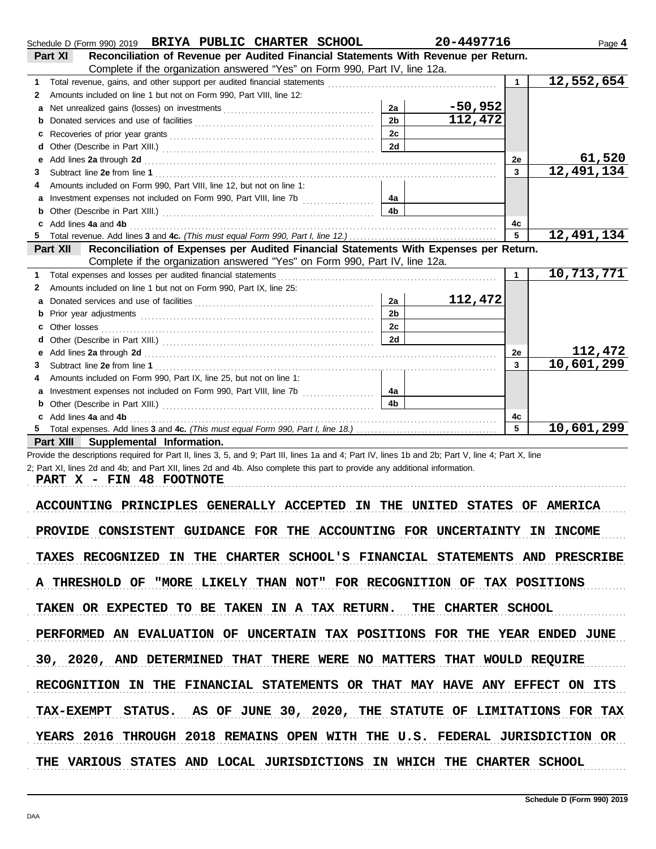|    | Schedule D (Form 990) 2019 BRIYA PUBLIC CHARTER SCHOOL                                                                                                                                                                                                                                                                                                                                                       |                | 20-4497716 |                 | Page 4     |
|----|--------------------------------------------------------------------------------------------------------------------------------------------------------------------------------------------------------------------------------------------------------------------------------------------------------------------------------------------------------------------------------------------------------------|----------------|------------|-----------------|------------|
|    | Reconciliation of Revenue per Audited Financial Statements With Revenue per Return.<br>Part XI                                                                                                                                                                                                                                                                                                               |                |            |                 |            |
|    | Complete if the organization answered "Yes" on Form 990, Part IV, line 12a.                                                                                                                                                                                                                                                                                                                                  |                |            |                 |            |
| 1. |                                                                                                                                                                                                                                                                                                                                                                                                              |                |            | $\mathbf{1}$    | 12,552,654 |
| 2  | Amounts included on line 1 but not on Form 990, Part VIII, line 12:                                                                                                                                                                                                                                                                                                                                          |                |            |                 |            |
| a  |                                                                                                                                                                                                                                                                                                                                                                                                              | 2a             | $-50,952$  |                 |            |
| b  |                                                                                                                                                                                                                                                                                                                                                                                                              | 2 <sub>h</sub> | 112,472    |                 |            |
| c  |                                                                                                                                                                                                                                                                                                                                                                                                              | 2 <sub>c</sub> |            |                 |            |
| d  |                                                                                                                                                                                                                                                                                                                                                                                                              | 2d             |            |                 |            |
| е  | Add lines 2a through 2d [11] Add [12] Add [12] Add lines 2a through 2d [12] Add lines 2a through 2d [12] Add [12] Add [12] Add [12] Add [12] Add [12] Add [12] Add [12] Add [12] Add [12] Add [12] Add [12] Add [12] Add [12]                                                                                                                                                                                |                |            | 2e              | 61,520     |
| 3  |                                                                                                                                                                                                                                                                                                                                                                                                              |                |            | $\overline{3}$  | 12,491,134 |
|    | Amounts included on Form 990, Part VIII, line 12, but not on line 1:                                                                                                                                                                                                                                                                                                                                         |                |            |                 |            |
| a  |                                                                                                                                                                                                                                                                                                                                                                                                              | 4a             |            |                 |            |
| b  |                                                                                                                                                                                                                                                                                                                                                                                                              | 4 <sub>b</sub> |            |                 |            |
| c  | Add lines 4a and 4b [ <i>[1]</i> [ <i>[1]</i> [ <i>[1]</i> [ <i>[1]</i> [ <i>[1]</i> [ <i>[1]</i> [ <i>[1]</i> [ <i>[1]</i> [ <i>[1]</i> [ <i>[1]</i> [ <i>[1]</i> [ <i>[1]</i> [ <i>[1]</i> [ <i>[1]</i> [ <i>[1]</i> [ <i>[1]</i> [ <i>[1]</i> [ <i>[1]</i> [ <i>[1]</i> [ <i>[1]</i> [ <i>[1]</i> [ <i>[1]</i> [ <i>[1]</i> [ <i>[1]</i> [ <i>[1]</i> [ <i>[1]</i> [ <i>[1]</i> [ <i>[1]</i> [ <i>[1]</i> |                |            | 4c              |            |
|    |                                                                                                                                                                                                                                                                                                                                                                                                              |                |            | $5\phantom{.0}$ | 12,491,134 |
|    | Reconciliation of Expenses per Audited Financial Statements With Expenses per Return.<br><b>Part XII</b>                                                                                                                                                                                                                                                                                                     |                |            |                 |            |
|    | Complete if the organization answered "Yes" on Form 990, Part IV, line 12a.                                                                                                                                                                                                                                                                                                                                  |                |            |                 |            |
| 1  | Total expenses and losses per audited financial statements                                                                                                                                                                                                                                                                                                                                                   |                |            | $\mathbf{1}$    | 10,713,771 |
| 2  | Amounts included on line 1 but not on Form 990, Part IX, line 25:                                                                                                                                                                                                                                                                                                                                            |                |            |                 |            |
| a  |                                                                                                                                                                                                                                                                                                                                                                                                              | 2a             | 112,472    |                 |            |
| b  |                                                                                                                                                                                                                                                                                                                                                                                                              | 2 <sub>b</sub> |            |                 |            |
| c  | Other losses                                                                                                                                                                                                                                                                                                                                                                                                 | 2c             |            |                 |            |
|    |                                                                                                                                                                                                                                                                                                                                                                                                              | 2d             |            |                 |            |
| е  | Add lines 2a through 2d [11] Add [12] Add [12] Add lines 2a through 2d [12] Add lines 2a through 2d [12] Add [12] Add [12] Add [12] Add [12] Add [12] Add [12] Add [12] Add [12] Add [12] Add [12] Add [12] Add [12] Add [12]                                                                                                                                                                                |                |            | 2e              | 112,472    |
| 3. |                                                                                                                                                                                                                                                                                                                                                                                                              |                |            | 3               | 10,601,299 |
|    | Amounts included on Form 990, Part IX, line 25, but not on line 1:                                                                                                                                                                                                                                                                                                                                           |                |            |                 |            |
|    |                                                                                                                                                                                                                                                                                                                                                                                                              | 4a             |            |                 |            |
| b  |                                                                                                                                                                                                                                                                                                                                                                                                              | 4 <sub>b</sub> |            |                 |            |
|    | c Add lines 4a and 4b                                                                                                                                                                                                                                                                                                                                                                                        |                |            | 4c              |            |
|    |                                                                                                                                                                                                                                                                                                                                                                                                              |                |            | 5               | 10,601,299 |
|    | Part XIII Supplemental Information.                                                                                                                                                                                                                                                                                                                                                                          |                |            |                 |            |
|    | Provide the descriptions required for Part II, lines 3, 5, and 9; Part III, lines 1a and 4; Part IV, lines 1b and 2b; Part V, line 4; Part X, line                                                                                                                                                                                                                                                           |                |            |                 |            |
|    | 2; Part XI, lines 2d and 4b; and Part XII, lines 2d and 4b. Also complete this part to provide any additional information.                                                                                                                                                                                                                                                                                   |                |            |                 |            |
|    | PART X - FIN 48 FOOTNOTE                                                                                                                                                                                                                                                                                                                                                                                     |                |            |                 |            |
|    |                                                                                                                                                                                                                                                                                                                                                                                                              |                |            |                 |            |

ACCOUNTING PRINCIPLES GENERALLY ACCEPTED IN THE UNITED STATES OF AMERICA PROVIDE CONSISTENT GUIDANCE FOR THE ACCOUNTING FOR UNCERTAINTY IN INCOME TAXES RECOGNIZED IN THE CHARTER SCHOOL'S FINANCIAL STATEMENTS AND PRESCRIBE A THRESHOLD OF "MORE LIKELY THAN NOT" FOR RECOGNITION OF TAX POSITIONS TAKEN OR EXPECTED TO BE TAKEN IN A TAX RETURN. THE CHARTER SCHOOL PERFORMED AN EVALUATION OF UNCERTAIN TAX POSITIONS FOR THE YEAR ENDED JUNE TAX-EXEMPT STATUS. AS OF JUNE 30, 2020, THE STATUTE OF LIMITATIONS FOR TAX 30, 2020, AND DETERMINED THAT THERE WERE NO MATTERS THAT WOULD REQUIRE RECOGNITION IN THE FINANCIAL STATEMENTS OR THAT MAY HAVE ANY EFFECT ON ITS YEARS 2016 THROUGH 2018 REMAINS OPEN WITH THE U.S. FEDERAL JURISDICTION OR THE VARIOUS STATES AND LOCAL JURISDICTIONS IN WHICH THE CHARTER SCHOOL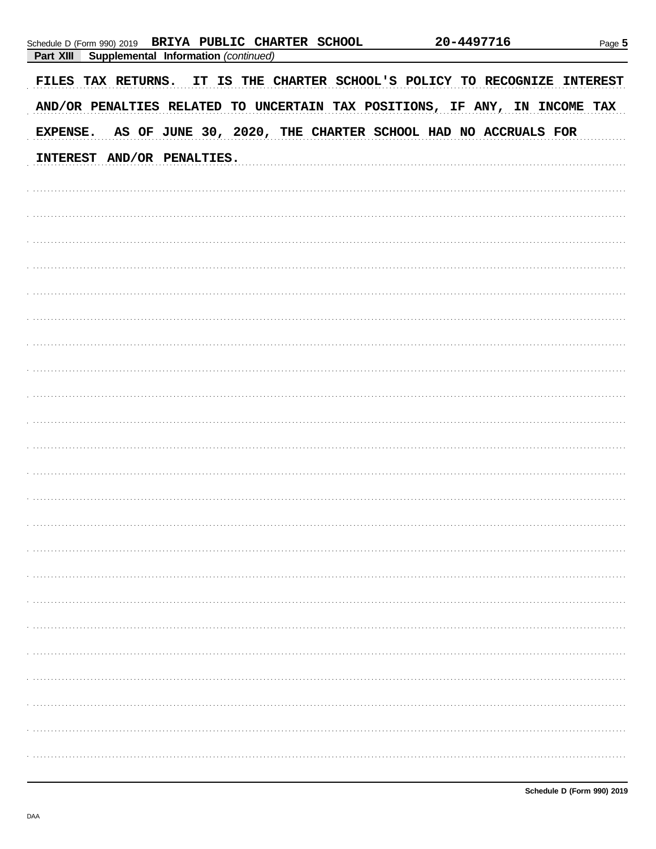| Schedule D (Form 990) 2019 BRIYA PUBLIC CHARTER SCHOOL                         | 20-4497716                                              | Page 5 |
|--------------------------------------------------------------------------------|---------------------------------------------------------|--------|
| Part XIII<br>Supplemental Information (continued)                              |                                                         |        |
| FILES TAX RETURNS.                                                             | IT IS THE CHARTER SCHOOL'S POLICY TO RECOGNIZE INTEREST |        |
| AND/OR PENALTIES RELATED TO UNCERTAIN TAX POSITIONS, IF ANY, IN INCOME TAX     |                                                         |        |
| AS OF JUNE 30, 2020, THE CHARTER SCHOOL HAD NO ACCRUALS FOR<br><b>EXPENSE.</b> |                                                         |        |
| INTEREST AND/OR PENALTIES.                                                     |                                                         |        |
|                                                                                |                                                         |        |
|                                                                                |                                                         |        |
|                                                                                |                                                         |        |
|                                                                                |                                                         |        |
|                                                                                |                                                         |        |
|                                                                                |                                                         |        |
|                                                                                |                                                         |        |
|                                                                                |                                                         |        |
|                                                                                |                                                         |        |
|                                                                                |                                                         |        |
|                                                                                |                                                         |        |
|                                                                                |                                                         |        |
|                                                                                |                                                         |        |
|                                                                                |                                                         |        |
|                                                                                |                                                         |        |
|                                                                                |                                                         |        |
|                                                                                |                                                         |        |
|                                                                                |                                                         |        |
|                                                                                |                                                         |        |
|                                                                                |                                                         |        |
|                                                                                |                                                         |        |
|                                                                                |                                                         |        |
|                                                                                |                                                         |        |
|                                                                                |                                                         |        |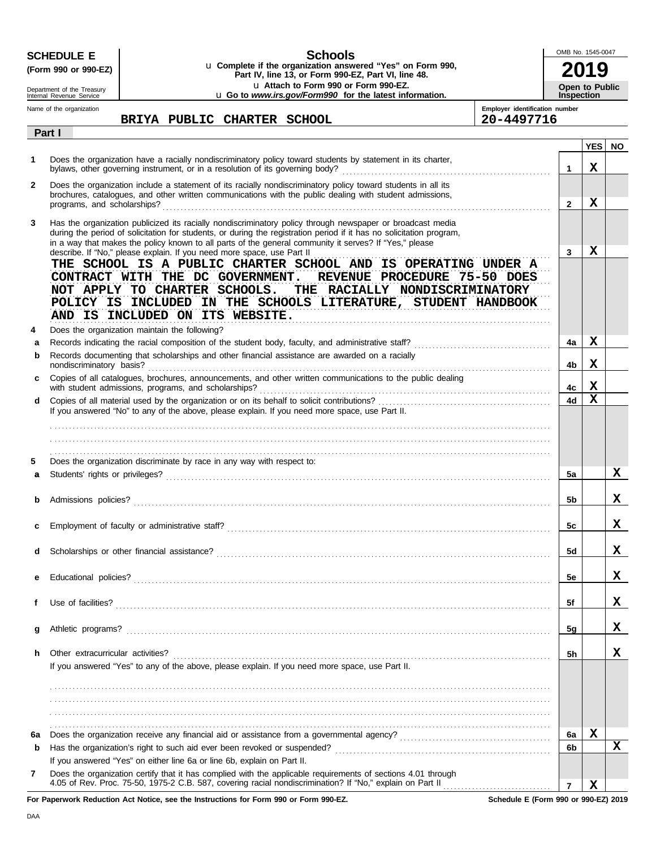|        | <b>Schools</b><br>SCHEDULE E                                                                                     |                                                                                                                                                                                                                                                                                                                                                                                   |                                | OMB No. 1545-0047            |             |           |  |  |  |
|--------|------------------------------------------------------------------------------------------------------------------|-----------------------------------------------------------------------------------------------------------------------------------------------------------------------------------------------------------------------------------------------------------------------------------------------------------------------------------------------------------------------------------|--------------------------------|------------------------------|-------------|-----------|--|--|--|
|        | (Form 990 or 990-EZ)                                                                                             | u Complete if the organization answered "Yes" on Form 990,<br>Part IV, line 13, or Form 990-EZ, Part VI, line 48.                                                                                                                                                                                                                                                                 |                                |                              | 2019        |           |  |  |  |
|        | Department of the Treasury<br>Internal Revenue Service                                                           | La Attach to Form 990 or Form 990-EZ.<br>u Go to www.irs.gov/Form990 for the latest information.                                                                                                                                                                                                                                                                                  |                                | Open to Public<br>Inspection |             |           |  |  |  |
|        | Name of the organization                                                                                         |                                                                                                                                                                                                                                                                                                                                                                                   | Employer identification number |                              |             |           |  |  |  |
|        | Part I                                                                                                           | BRIYA PUBLIC CHARTER SCHOOL                                                                                                                                                                                                                                                                                                                                                       | 20-4497716                     |                              |             |           |  |  |  |
|        |                                                                                                                  |                                                                                                                                                                                                                                                                                                                                                                                   |                                |                              | <b>YES</b>  | <b>NO</b> |  |  |  |
| 1      |                                                                                                                  | Does the organization have a racially nondiscriminatory policy toward students by statement in its charter,                                                                                                                                                                                                                                                                       |                                | $\overline{1}$               | X           |           |  |  |  |
| 2      | programs, and scholarships?                                                                                      | Does the organization include a statement of its racially nondiscriminatory policy toward students in all its<br>brochures, catalogues, and other written communications with the public dealing with student admissions,                                                                                                                                                         |                                | $\mathbf{2}$                 | X           |           |  |  |  |
| 3      |                                                                                                                  | Has the organization publicized its racially nondiscriminatory policy through newspaper or broadcast media<br>during the period of solicitation for students, or during the registration period if it has no solicitation program,<br>in a way that makes the policy known to all parts of the general community it serves? If "Yes," please                                      |                                |                              |             |           |  |  |  |
|        |                                                                                                                  | describe. If "No," please explain. If you need more space, use Part II<br>THE SCHOOL IS A PUBLIC CHARTER SCHOOL AND IS OPERATING UNDER A<br>CONTRACT WITH THE DC GOVERNMENT.<br>REVENUE PROCEDURE 75-50 DOES<br>NOT APPLY TO CHARTER SCHOOLS. THE RACIALLY NONDISCRIMINATORY<br>POLICY IS INCLUDED IN THE SCHOOLS LITERATURE, STUDENT HANDBOOK<br>AND IS INCLUDED ON ITS WEBSITE. |                                | 3                            | X           |           |  |  |  |
| 4      |                                                                                                                  | Does the organization maintain the following?                                                                                                                                                                                                                                                                                                                                     |                                |                              |             |           |  |  |  |
| а      |                                                                                                                  |                                                                                                                                                                                                                                                                                                                                                                                   |                                | 4a                           | х           |           |  |  |  |
| b<br>C | nondiscriminatory basis?                                                                                         | Records documenting that scholarships and other financial assistance are awarded on a racially                                                                                                                                                                                                                                                                                    |                                | 4b                           | x           |           |  |  |  |
|        | Copies of all catalogues, brochures, announcements, and other written communications to the public dealing<br>4c |                                                                                                                                                                                                                                                                                                                                                                                   |                                |                              |             |           |  |  |  |
| d      |                                                                                                                  | If you answered "No" to any of the above, please explain. If you need more space, use Part II.                                                                                                                                                                                                                                                                                    |                                | 4d                           | $\mathbf x$ |           |  |  |  |
| 5<br>a |                                                                                                                  | Does the organization discriminate by race in any way with respect to:                                                                                                                                                                                                                                                                                                            |                                | 5a                           |             | x         |  |  |  |
| b      |                                                                                                                  |                                                                                                                                                                                                                                                                                                                                                                                   |                                | 5b                           |             | х         |  |  |  |
|        |                                                                                                                  |                                                                                                                                                                                                                                                                                                                                                                                   |                                | 5 <sub>c</sub>               |             | X         |  |  |  |
| d      |                                                                                                                  |                                                                                                                                                                                                                                                                                                                                                                                   |                                | 5d                           |             | X         |  |  |  |
| е      |                                                                                                                  |                                                                                                                                                                                                                                                                                                                                                                                   |                                | 5е                           |             | х         |  |  |  |
| f      |                                                                                                                  |                                                                                                                                                                                                                                                                                                                                                                                   |                                | 5f                           |             | X         |  |  |  |
| g      |                                                                                                                  |                                                                                                                                                                                                                                                                                                                                                                                   |                                | 5g                           |             | х         |  |  |  |
| h.     | Other extracurricular activities?                                                                                | If you answered "Yes" to any of the above, please explain. If you need more space, use Part II.                                                                                                                                                                                                                                                                                   |                                | 5h                           |             | х         |  |  |  |
|        |                                                                                                                  |                                                                                                                                                                                                                                                                                                                                                                                   |                                |                              |             |           |  |  |  |
| 6a     |                                                                                                                  |                                                                                                                                                                                                                                                                                                                                                                                   |                                | 6a                           | X           |           |  |  |  |
| b      |                                                                                                                  |                                                                                                                                                                                                                                                                                                                                                                                   |                                | 6b                           |             | X         |  |  |  |
| 7      |                                                                                                                  | If you answered "Yes" on either line 6a or line 6b, explain on Part II.<br>Does the organization certify that it has complied with the applicable requirements of sections 4.01 through                                                                                                                                                                                           |                                |                              |             |           |  |  |  |
|        |                                                                                                                  |                                                                                                                                                                                                                                                                                                                                                                                   |                                | $\overline{7}$               | х           |           |  |  |  |

**For Paperwork Reduction Act Notice, see the Instructions for Form 990 or Form 990-EZ.**

**Schedule E (Form 990 or 990-EZ) 2019**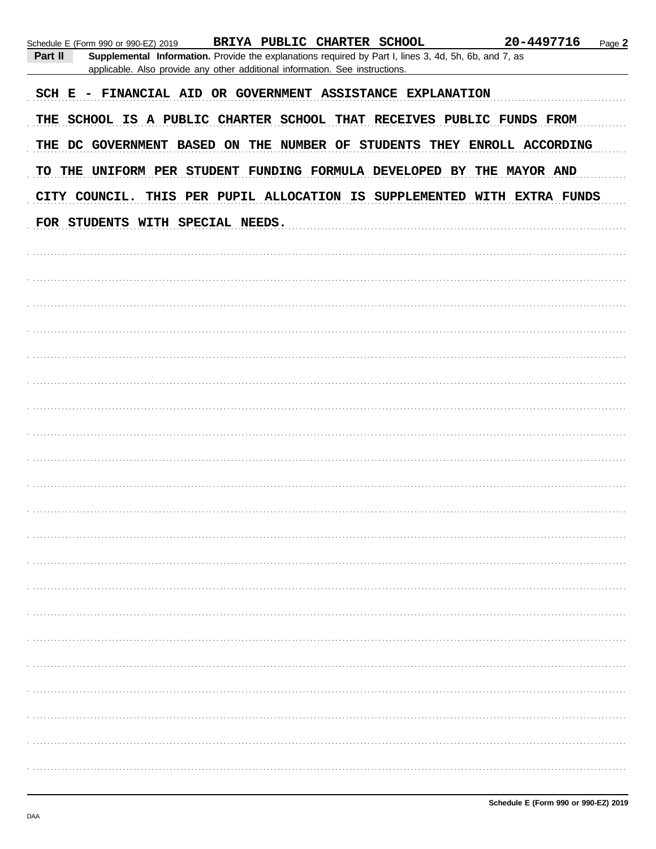|         | Schedule E (Form 990 or 990-EZ) 2019                                                                                                                                                  | BRIYA PUBLIC CHARTER SCHOOL |  | 20-4497716                                                               | Page 2 |
|---------|---------------------------------------------------------------------------------------------------------------------------------------------------------------------------------------|-----------------------------|--|--------------------------------------------------------------------------|--------|
| Part II | Supplemental Information. Provide the explanations required by Part I, lines 3, 4d, 5h, 6b, and 7, as<br>applicable. Also provide any other additional information. See instructions. |                             |  |                                                                          |        |
|         | SCH E - FINANCIAL AID OR GOVERNMENT ASSISTANCE EXPLANATION                                                                                                                            |                             |  |                                                                          |        |
|         | THE SCHOOL IS A PUBLIC CHARTER SCHOOL THAT RECEIVES PUBLIC FUNDS FROM                                                                                                                 |                             |  |                                                                          |        |
|         |                                                                                                                                                                                       |                             |  | THE DC GOVERNMENT BASED ON THE NUMBER OF STUDENTS THEY ENROLL ACCORDING  |        |
|         | TO THE UNIFORM PER STUDENT FUNDING FORMULA DEVELOPED BY THE MAYOR AND                                                                                                                 |                             |  |                                                                          |        |
|         |                                                                                                                                                                                       |                             |  | CITY COUNCIL. THIS PER PUPIL ALLOCATION IS SUPPLEMENTED WITH EXTRA FUNDS |        |
|         | FOR STUDENTS WITH SPECIAL NEEDS.                                                                                                                                                      |                             |  |                                                                          |        |
|         |                                                                                                                                                                                       |                             |  |                                                                          |        |
|         |                                                                                                                                                                                       |                             |  |                                                                          |        |
|         |                                                                                                                                                                                       |                             |  |                                                                          |        |
|         |                                                                                                                                                                                       |                             |  |                                                                          |        |
|         |                                                                                                                                                                                       |                             |  |                                                                          |        |
|         |                                                                                                                                                                                       |                             |  |                                                                          |        |
|         |                                                                                                                                                                                       |                             |  |                                                                          |        |
|         |                                                                                                                                                                                       |                             |  |                                                                          |        |
|         |                                                                                                                                                                                       |                             |  |                                                                          |        |
|         |                                                                                                                                                                                       |                             |  |                                                                          |        |
|         |                                                                                                                                                                                       |                             |  |                                                                          |        |
|         |                                                                                                                                                                                       |                             |  |                                                                          |        |
|         |                                                                                                                                                                                       |                             |  |                                                                          |        |
|         |                                                                                                                                                                                       |                             |  |                                                                          |        |
|         |                                                                                                                                                                                       |                             |  |                                                                          |        |
|         |                                                                                                                                                                                       |                             |  |                                                                          |        |
|         |                                                                                                                                                                                       |                             |  |                                                                          |        |
|         |                                                                                                                                                                                       |                             |  |                                                                          |        |
|         |                                                                                                                                                                                       |                             |  |                                                                          |        |
|         |                                                                                                                                                                                       |                             |  |                                                                          |        |
|         |                                                                                                                                                                                       |                             |  |                                                                          |        |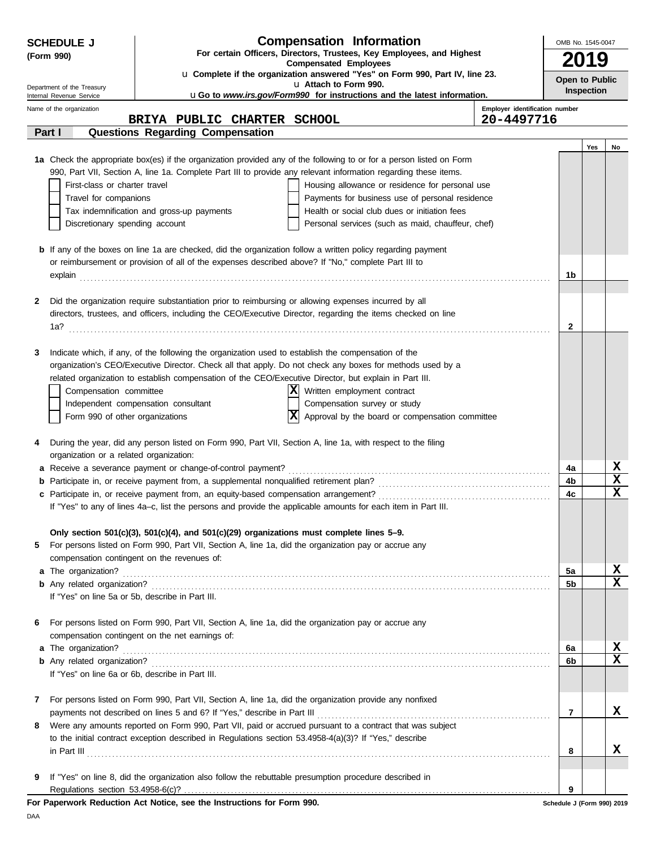| <b>Compensation Information</b><br><b>SCHEDULE J</b> |                                                                                                                                                                                                                                         | OMB No. 1545-0047            |     |             |  |  |
|------------------------------------------------------|-----------------------------------------------------------------------------------------------------------------------------------------------------------------------------------------------------------------------------------------|------------------------------|-----|-------------|--|--|
| (Form 990)                                           | For certain Officers, Directors, Trustees, Key Employees, and Highest                                                                                                                                                                   | 2019                         |     |             |  |  |
|                                                      | <b>Compensated Employees</b><br>u Complete if the organization answered "Yes" on Form 990, Part IV, line 23.                                                                                                                            |                              |     |             |  |  |
| Department of the Treasury                           | u Attach to Form 990.<br>uGo to www.irs.gov/Form990 for instructions and the latest information.                                                                                                                                        | Open to Public<br>Inspection |     |             |  |  |
| Internal Revenue Service<br>Name of the organization | Employer identification number                                                                                                                                                                                                          |                              |     |             |  |  |
|                                                      | 20-4497716<br>BRIYA PUBLIC CHARTER SCHOOL                                                                                                                                                                                               |                              |     |             |  |  |
| Part I                                               | Questions Regarding Compensation                                                                                                                                                                                                        |                              |     |             |  |  |
|                                                      |                                                                                                                                                                                                                                         |                              | Yes | No          |  |  |
|                                                      | 1a Check the appropriate box(es) if the organization provided any of the following to or for a person listed on Form<br>990, Part VII, Section A, line 1a. Complete Part III to provide any relevant information regarding these items. |                              |     |             |  |  |
|                                                      | First-class or charter travel<br>Housing allowance or residence for personal use                                                                                                                                                        |                              |     |             |  |  |
| Travel for companions                                | Payments for business use of personal residence                                                                                                                                                                                         |                              |     |             |  |  |
|                                                      | Tax indemnification and gross-up payments<br>Health or social club dues or initiation fees                                                                                                                                              |                              |     |             |  |  |
|                                                      | Discretionary spending account<br>Personal services (such as maid, chauffeur, chef)                                                                                                                                                     |                              |     |             |  |  |
|                                                      | <b>b</b> If any of the boxes on line 1a are checked, did the organization follow a written policy regarding payment                                                                                                                     |                              |     |             |  |  |
|                                                      | or reimbursement or provision of all of the expenses described above? If "No," complete Part III to                                                                                                                                     |                              |     |             |  |  |
|                                                      |                                                                                                                                                                                                                                         | 1b                           |     |             |  |  |
|                                                      |                                                                                                                                                                                                                                         |                              |     |             |  |  |
| 2                                                    | Did the organization require substantiation prior to reimbursing or allowing expenses incurred by all<br>directors, trustees, and officers, including the CEO/Executive Director, regarding the items checked on line                   |                              |     |             |  |  |
|                                                      |                                                                                                                                                                                                                                         | $\mathbf{2}$                 |     |             |  |  |
|                                                      |                                                                                                                                                                                                                                         |                              |     |             |  |  |
| 3                                                    | Indicate which, if any, of the following the organization used to establish the compensation of the                                                                                                                                     |                              |     |             |  |  |
|                                                      | organization's CEO/Executive Director. Check all that apply. Do not check any boxes for methods used by a                                                                                                                               |                              |     |             |  |  |
|                                                      | related organization to establish compensation of the CEO/Executive Director, but explain in Part III.<br>Compensation committee<br>Written employment contract<br>ΙXΙ                                                                  |                              |     |             |  |  |
|                                                      | Compensation survey or study<br>Independent compensation consultant                                                                                                                                                                     |                              |     |             |  |  |
|                                                      | x <br>Approval by the board or compensation committee<br>Form 990 of other organizations                                                                                                                                                |                              |     |             |  |  |
|                                                      |                                                                                                                                                                                                                                         |                              |     |             |  |  |
| 4                                                    | During the year, did any person listed on Form 990, Part VII, Section A, line 1a, with respect to the filing<br>organization or a related organization:                                                                                 |                              |     |             |  |  |
|                                                      |                                                                                                                                                                                                                                         | 4a                           |     | х           |  |  |
|                                                      |                                                                                                                                                                                                                                         | 4b                           |     | $\mathbf x$ |  |  |
|                                                      |                                                                                                                                                                                                                                         | 4c                           |     | $\mathbf x$ |  |  |
|                                                      | If "Yes" to any of lines 4a-c, list the persons and provide the applicable amounts for each item in Part III.                                                                                                                           |                              |     |             |  |  |
|                                                      | Only section $501(c)(3)$ , $501(c)(4)$ , and $501(c)(29)$ organizations must complete lines $5-9$ .                                                                                                                                     |                              |     |             |  |  |
| 5                                                    | For persons listed on Form 990, Part VII, Section A, line 1a, did the organization pay or accrue any                                                                                                                                    |                              |     |             |  |  |
|                                                      | compensation contingent on the revenues of:                                                                                                                                                                                             |                              |     |             |  |  |
|                                                      |                                                                                                                                                                                                                                         | 5a                           |     | х           |  |  |
|                                                      |                                                                                                                                                                                                                                         | 5b                           |     | $\mathbf x$ |  |  |
|                                                      | If "Yes" on line 5a or 5b, describe in Part III.                                                                                                                                                                                        |                              |     |             |  |  |
| 6                                                    | For persons listed on Form 990, Part VII, Section A, line 1a, did the organization pay or accrue any                                                                                                                                    |                              |     |             |  |  |
|                                                      | compensation contingent on the net earnings of:                                                                                                                                                                                         |                              |     |             |  |  |
|                                                      |                                                                                                                                                                                                                                         | 6a                           |     | х           |  |  |
|                                                      |                                                                                                                                                                                                                                         | 6b                           |     | $\mathbf x$ |  |  |
|                                                      | If "Yes" on line 6a or 6b, describe in Part III.                                                                                                                                                                                        |                              |     |             |  |  |
| 7                                                    | For persons listed on Form 990, Part VII, Section A, line 1a, did the organization provide any nonfixed                                                                                                                                 |                              |     |             |  |  |
|                                                      |                                                                                                                                                                                                                                         | 7                            |     | X           |  |  |
| 8                                                    | Were any amounts reported on Form 990, Part VII, paid or accrued pursuant to a contract that was subject                                                                                                                                |                              |     |             |  |  |
|                                                      | to the initial contract exception described in Regulations section 53.4958-4(a)(3)? If "Yes," describe                                                                                                                                  |                              |     |             |  |  |
|                                                      | in Part III <b>Mark 1998 Mark 2014 Mark 2014 Mark 2014 Mark 2014 Mark 2014 Mark 2014 Mark 2014 Mark 2014 Mark 2014 Mark 2014 Mark 2014 Mark 2014 Mark 2014 Mark 2014 Mark 2014 Mark 2014 Mark </b>                                      | 8                            |     | X           |  |  |
| 9                                                    | If "Yes" on line 8, did the organization also follow the rebuttable presumption procedure described in                                                                                                                                  |                              |     |             |  |  |
|                                                      |                                                                                                                                                                                                                                         | 9                            |     |             |  |  |
|                                                      | For Paperwork Reduction Act Notice, see the Instructions for Form 990.                                                                                                                                                                  | Schedule J (Form 990) 2019   |     |             |  |  |

DAA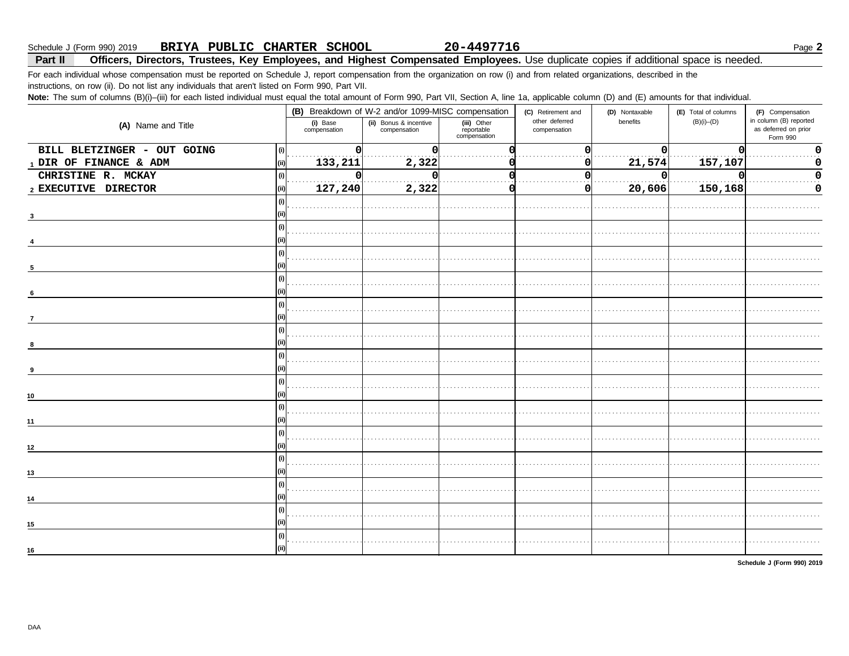#### Schedule J (Form 990) 2019 BRIYA PUBLIC CHARTER SCHOOL

Part II Officers, Directors, Trustees, Key Employees, and Highest Compensated Employees. Use duplicate copies if additional space is needed.

For each individual whose compensation must be reported on Schedule J, report compensation from the organization on row (i) and from related organizations, described in the instructions, on row (ii). Do not list any individuals that aren't listed on Form 990, Part VII.

Note: The sum of columns (B)(i)-(iii) for each listed individual must equal the total amount of Form 990, Part VII, Section A, line 1a, applicable column (D) and (E) amounts for that individual.

|                             |          |                          | (B) Breakdown of W-2 and/or 1099-MISC compensation |                                           | (C) Retirement and             | (D) Nontaxable | (E) Total of columns | (F) Compensation                                           |  |  |
|-----------------------------|----------|--------------------------|----------------------------------------------------|-------------------------------------------|--------------------------------|----------------|----------------------|------------------------------------------------------------|--|--|
| (A) Name and Title          |          | (i) Base<br>compensation | (ii) Bonus & incentive<br>compensation             | (iii) Other<br>reportable<br>compensation | other deferred<br>compensation | benefits       | $(B)(i)$ – $(D)$     | in column (B) reported<br>as deferred on prior<br>Form 990 |  |  |
| BILL BLETZINGER - OUT GOING | (i)      | ŋ                        | $\Omega$<br>.                                      |                                           |                                |                |                      | n                                                          |  |  |
| 1 DIR OF FINANCE & ADM      | (ii)     | 133,211                  | 2,322                                              |                                           |                                | 21,574         | 157,107              |                                                            |  |  |
| CHRISTINE R. MCKAY          | (i)      | ŋ                        | $\overline{0}$                                     |                                           |                                | $\Omega$       |                      |                                                            |  |  |
| 2 EXECUTIVE DIRECTOR        | (ii)     | 127,240                  | 2,322                                              |                                           | 0                              | 20,606         | 150,168              | 0                                                          |  |  |
|                             | (i)      |                          |                                                    |                                           |                                |                |                      |                                                            |  |  |
| 3                           |          |                          |                                                    |                                           |                                |                |                      |                                                            |  |  |
|                             | (i)      |                          |                                                    |                                           |                                |                |                      |                                                            |  |  |
|                             |          |                          |                                                    |                                           |                                |                |                      |                                                            |  |  |
|                             | (i)      |                          |                                                    |                                           |                                |                |                      |                                                            |  |  |
| 5                           |          |                          |                                                    |                                           |                                |                |                      |                                                            |  |  |
|                             | $\omega$ |                          |                                                    |                                           |                                |                |                      |                                                            |  |  |
| 6                           |          |                          |                                                    |                                           |                                |                |                      |                                                            |  |  |
|                             | (i)      |                          |                                                    |                                           |                                |                |                      |                                                            |  |  |
| $\overline{7}$              |          |                          |                                                    |                                           |                                |                |                      |                                                            |  |  |
|                             | (i)      |                          |                                                    |                                           |                                |                |                      |                                                            |  |  |
|                             |          |                          |                                                    |                                           |                                |                |                      |                                                            |  |  |
|                             | (i)      |                          |                                                    |                                           |                                |                |                      |                                                            |  |  |
| 9                           |          |                          |                                                    |                                           |                                |                |                      |                                                            |  |  |
|                             | (i)      |                          |                                                    |                                           |                                |                |                      |                                                            |  |  |
| 10                          |          |                          |                                                    |                                           |                                |                |                      |                                                            |  |  |
|                             | (i)      |                          |                                                    |                                           |                                |                |                      |                                                            |  |  |
| 11                          |          |                          |                                                    |                                           |                                |                |                      |                                                            |  |  |
|                             | (i)      |                          |                                                    |                                           |                                |                |                      |                                                            |  |  |
| $12$                        |          |                          |                                                    |                                           |                                |                |                      |                                                            |  |  |
|                             | (i)      |                          |                                                    |                                           |                                |                |                      |                                                            |  |  |
| 13                          |          |                          |                                                    |                                           |                                |                |                      |                                                            |  |  |
|                             | (i)      |                          |                                                    |                                           |                                |                |                      |                                                            |  |  |
| 14                          |          |                          |                                                    |                                           |                                |                |                      |                                                            |  |  |
|                             | (i)      |                          |                                                    |                                           |                                |                |                      |                                                            |  |  |
| 15                          |          |                          |                                                    |                                           |                                |                |                      |                                                            |  |  |
|                             | (i)      |                          |                                                    |                                           |                                |                |                      |                                                            |  |  |
| 16                          |          |                          |                                                    |                                           |                                |                |                      |                                                            |  |  |
|                             |          |                          |                                                    |                                           |                                |                |                      |                                                            |  |  |

Schedule J (Form 990) 2019

20-4497716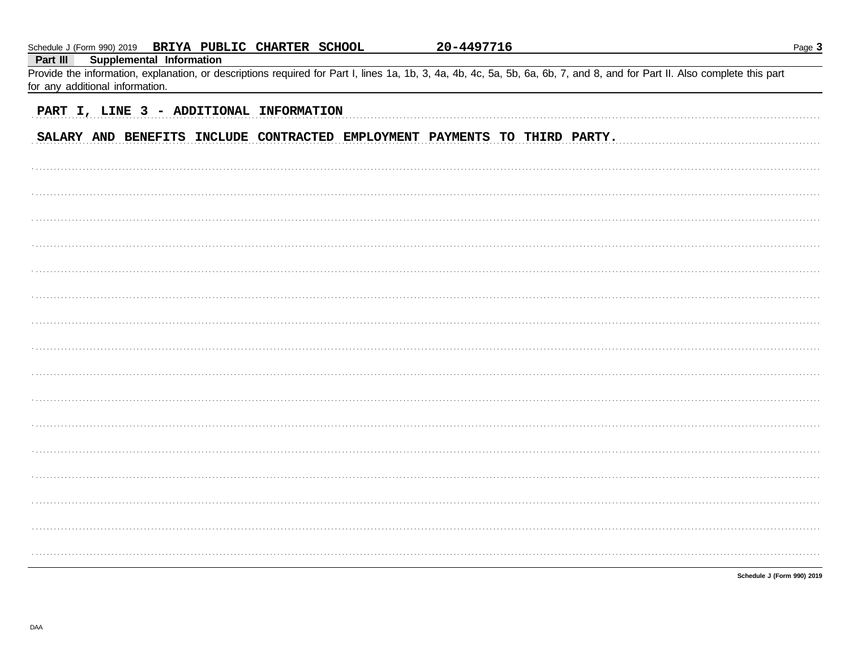| Schedule J (Form 990) 2019 BRIYA PUBLIC CHARTER SCHOOL                         | 20-4497716                                                                                                                                                                 | Page 3                     |
|--------------------------------------------------------------------------------|----------------------------------------------------------------------------------------------------------------------------------------------------------------------------|----------------------------|
| <b>Supplemental Information</b><br>Part III<br>for any additional information. | Provide the information, explanation, or descriptions required for Part I, lines 1a, 1b, 3, 4a, 4b, 4c, 5a, 5b, 6a, 6b, 7, and 8, and for Part II. Also complete this part |                            |
| PART I, LINE 3 - ADDITIONAL INFORMATION                                        |                                                                                                                                                                            |                            |
| SALARY AND BENEFITS INCLUDE CONTRACTED EMPLOYMENT PAYMENTS TO THIRD PARTY.     |                                                                                                                                                                            |                            |
|                                                                                |                                                                                                                                                                            |                            |
|                                                                                |                                                                                                                                                                            |                            |
|                                                                                |                                                                                                                                                                            |                            |
|                                                                                |                                                                                                                                                                            |                            |
|                                                                                |                                                                                                                                                                            |                            |
|                                                                                |                                                                                                                                                                            |                            |
|                                                                                |                                                                                                                                                                            |                            |
|                                                                                |                                                                                                                                                                            |                            |
|                                                                                |                                                                                                                                                                            |                            |
|                                                                                |                                                                                                                                                                            |                            |
|                                                                                |                                                                                                                                                                            |                            |
|                                                                                |                                                                                                                                                                            |                            |
|                                                                                |                                                                                                                                                                            |                            |
|                                                                                |                                                                                                                                                                            |                            |
|                                                                                |                                                                                                                                                                            |                            |
|                                                                                |                                                                                                                                                                            | Schedule J (Form 990) 2019 |

DAA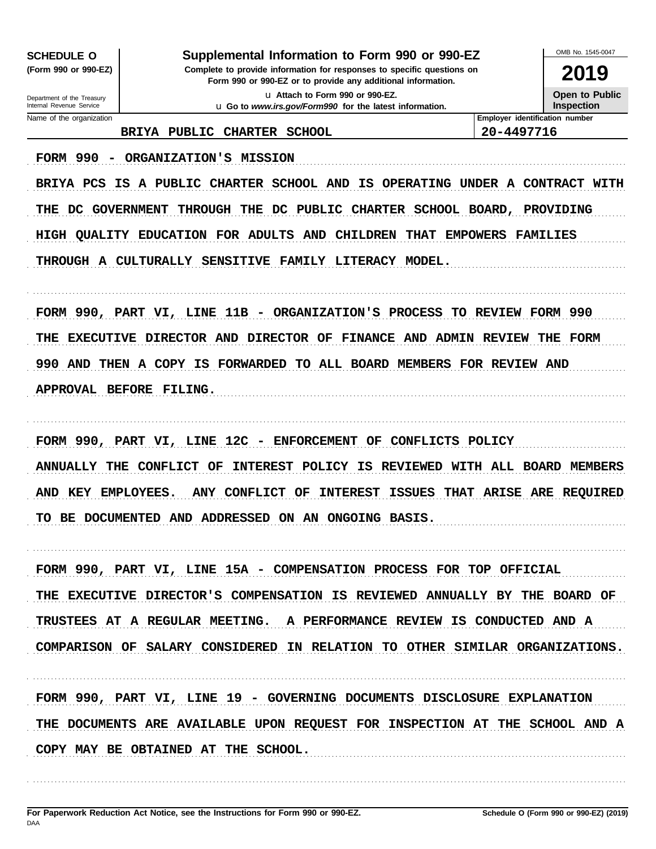**SCHEDULE O** (Form 990 or 990-EZ)

## Supplemental Information to Form 990 or 990-EZ

Complete to provide information for responses to specific questions on Form 990 or 990-EZ or to provide any additional information. u Attach to Form 990 or 990-EZ.

u Go to www.irs.gov/Form990 for the latest information.

OMB No 1545-0047 2019

Open to Public

Inspection

Department of the Treasury Internal Revenue Service Name of the organization

BRIYA PUBLIC CHARTER SCHOOL

Employer identification number 20-4497716

FORM 990 - ORGANIZATION'S MISSION

BRIYA PCS IS A PUBLIC CHARTER SCHOOL AND IS OPERATING UNDER A CONTRACT WITH THE DC GOVERNMENT THROUGH THE DC PUBLIC CHARTER SCHOOL BOARD, PROVIDING HIGH QUALITY EDUCATION FOR ADULTS AND CHILDREN THAT EMPOWERS FAMILIES THROUGH A CULTURALLY SENSITIVE FAMILY LITERACY MODEL.

FORM 990, PART VI, LINE 11B - ORGANIZATION'S PROCESS TO REVIEW FORM 990 THE EXECUTIVE DIRECTOR AND DIRECTOR OF FINANCE AND ADMIN REVIEW THE FORM 990 AND THEN A COPY IS FORWARDED TO ALL BOARD MEMBERS FOR REVIEW AND APPROVAL BEFORE FILING.

FORM 990, PART VI, LINE 12C - ENFORCEMENT OF CONFLICTS POLICY ANNUALLY THE CONFLICT OF INTEREST POLICY IS REVIEWED WITH ALL BOARD MEMBERS AND KEY EMPLOYEES. ANY CONFLICT OF INTEREST ISSUES THAT ARISE ARE REQUIRED TO BE DOCUMENTED AND ADDRESSED ON AN ONGOING BASIS.

FORM 990, PART VI, LINE 15A - COMPENSATION PROCESS FOR TOP OFFICIAL THE EXECUTIVE DIRECTOR'S COMPENSATION IS REVIEWED ANNUALLY BY THE BOARD OF TRUSTEES AT A REGULAR MEETING. A PERFORMANCE REVIEW IS CONDUCTED AND A COMPARISON OF SALARY CONSIDERED IN RELATION TO OTHER SIMILAR ORGANIZATIONS.

FORM 990, PART VI, LINE 19 - GOVERNING DOCUMENTS DISCLOSURE EXPLANATION THE DOCUMENTS ARE AVAILABLE UPON REQUEST FOR INSPECTION AT THE SCHOOL AND A COPY MAY BE OBTAINED AT THE SCHOOL.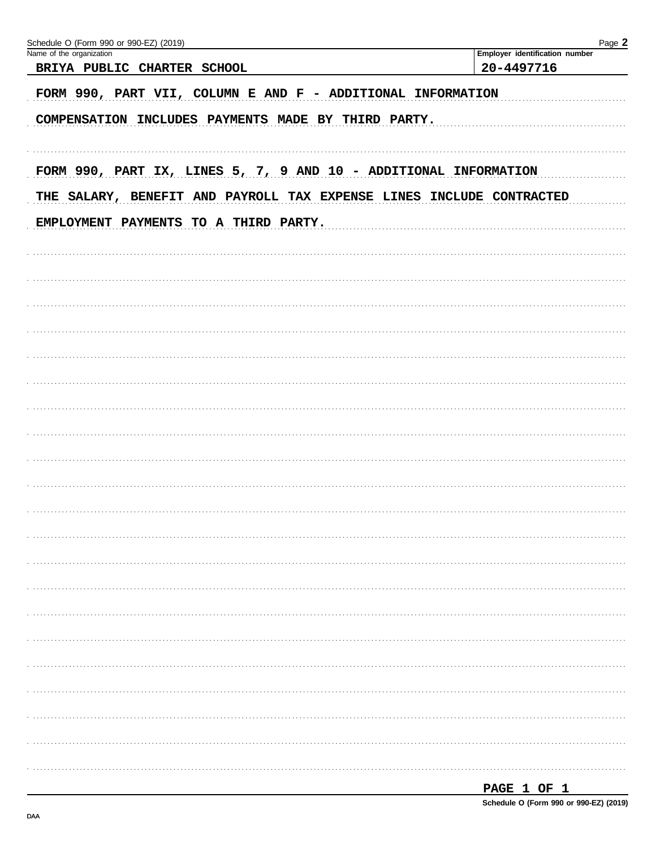| Schedule O (Form 990 or 990-EZ) (2019)<br>Name of the organization   | Page 2<br>Employer identification number |
|----------------------------------------------------------------------|------------------------------------------|
| BRIYA PUBLIC CHARTER SCHOOL                                          | 20-4497716                               |
| FORM 990, PART VII, COLUMN E AND F - ADDITIONAL INFORMATION          |                                          |
| COMPENSATION INCLUDES PAYMENTS MADE BY THIRD PARTY.                  |                                          |
| FORM 990, PART IX, LINES 5, 7, 9 AND 10 - ADDITIONAL INFORMATION     |                                          |
| THE SALARY, BENEFIT AND PAYROLL TAX EXPENSE LINES INCLUDE CONTRACTED |                                          |
| EMPLOYMENT PAYMENTS TO A THIRD PARTY.                                |                                          |
|                                                                      |                                          |
|                                                                      |                                          |
|                                                                      |                                          |
|                                                                      |                                          |
|                                                                      |                                          |
|                                                                      |                                          |
|                                                                      |                                          |
|                                                                      |                                          |
|                                                                      |                                          |
|                                                                      |                                          |
|                                                                      |                                          |
|                                                                      |                                          |
|                                                                      |                                          |
|                                                                      |                                          |
|                                                                      |                                          |
|                                                                      |                                          |
|                                                                      |                                          |
|                                                                      |                                          |
|                                                                      |                                          |
|                                                                      |                                          |

| ٠<br>---<br>______ |  |  |
|--------------------|--|--|
|                    |  |  |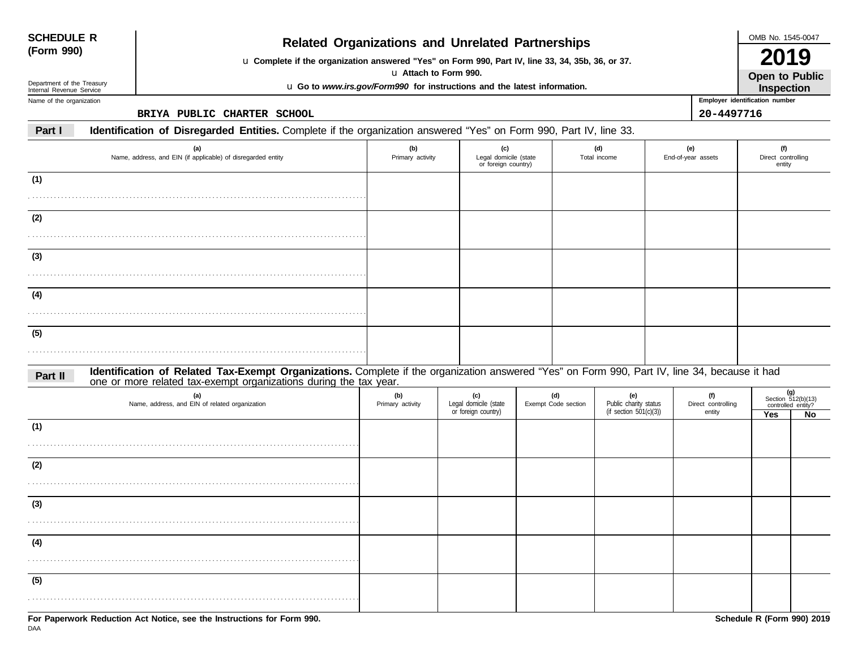| SCHEDULE R |  |  |
|------------|--|--|
| (Form 990) |  |  |

# **(Form 990) Related Organizations and Unrelated Partnerships**

u **Complete if the organization answered "Yes" on Form 990, Part IV, line 33, 34, 35b, 36, or 37.**

u **Attach to Form 990.**

u **Go to** *www.irs.gov/Form990* **for instructions and the latest information.**

Department of the Treasury Internal Revenue Service Name of the organization

**BRIYA PUBLIC CHARTER SCHOOL 20-4497716**

## **Part I Identification of Disregarded Entities.** Complete if the organization answered "Yes" on Form 990, Part IV, line 33.

|         | (a)<br>Name, address, and EIN (if applicable) of disregarded entity                                                                                                                                                | (b)<br>Primary activity |  | (c)<br>Legal domicile (state<br>or foreign country) |  |                            | (d)<br>Total income                                       | (e)<br>End-of-year assets           | (f)<br>Direct controlling<br>entity |                                                                |
|---------|--------------------------------------------------------------------------------------------------------------------------------------------------------------------------------------------------------------------|-------------------------|--|-----------------------------------------------------|--|----------------------------|-----------------------------------------------------------|-------------------------------------|-------------------------------------|----------------------------------------------------------------|
| (1)     |                                                                                                                                                                                                                    |                         |  |                                                     |  |                            |                                                           |                                     |                                     |                                                                |
| (2)     |                                                                                                                                                                                                                    |                         |  |                                                     |  |                            |                                                           |                                     |                                     |                                                                |
| (3)     |                                                                                                                                                                                                                    |                         |  |                                                     |  |                            |                                                           |                                     |                                     |                                                                |
| (4)     |                                                                                                                                                                                                                    |                         |  |                                                     |  |                            |                                                           |                                     |                                     |                                                                |
| (5)     |                                                                                                                                                                                                                    |                         |  |                                                     |  |                            |                                                           |                                     |                                     |                                                                |
| Part II | Identification of Related Tax-Exempt Organizations. Complete if the organization answered "Yes" on Form 990, Part IV, line 34, because it had<br>one or more related tax-exempt organizations during the tax year. |                         |  |                                                     |  |                            |                                                           |                                     |                                     |                                                                |
|         | (a)<br>Name, address, and EIN of related organization                                                                                                                                                              | (b)<br>Primary activity |  | (c)<br>Legal domicile (state<br>or foreign country) |  | (d)<br>Exempt Code section | (e)<br>Public charity status<br>(if section $501(c)(3)$ ) | (f)<br>Direct controlling<br>entity | <b>Yes</b>                          | (g)<br>Section $512(b)(13)$<br>controlled entity?<br><b>No</b> |
| (1)     |                                                                                                                                                                                                                    |                         |  |                                                     |  |                            |                                                           |                                     |                                     |                                                                |
| (2)     |                                                                                                                                                                                                                    |                         |  |                                                     |  |                            |                                                           |                                     |                                     |                                                                |
| (3)     |                                                                                                                                                                                                                    |                         |  |                                                     |  |                            |                                                           |                                     |                                     |                                                                |

**Employer identification number**

**Inspection**

OMB No. 1545-0047

**2019**

**For Paperwork Reduction Act Notice, see the Instructions for Form 990. Schedule R (Form 990) 2019**

. . . . . . . . . . . . . . . . . . . . . . . . . . . . . . . . . . . . . . . . . . . . . . . . . . . . . . . . . . . . . . . . . . . . . . . . . . . . . . . . . . . . . . . . . . . .

. . . . . . . . . . . . . . . . . . . . . . . . . . . . . . . . . . . . . . . . . . . . . . . . . . . . . . . . . . . . . . . . . . . . . . . . . . . . . . . . . . . . . . . . . . . .

DAA

**(5)**

**(4)**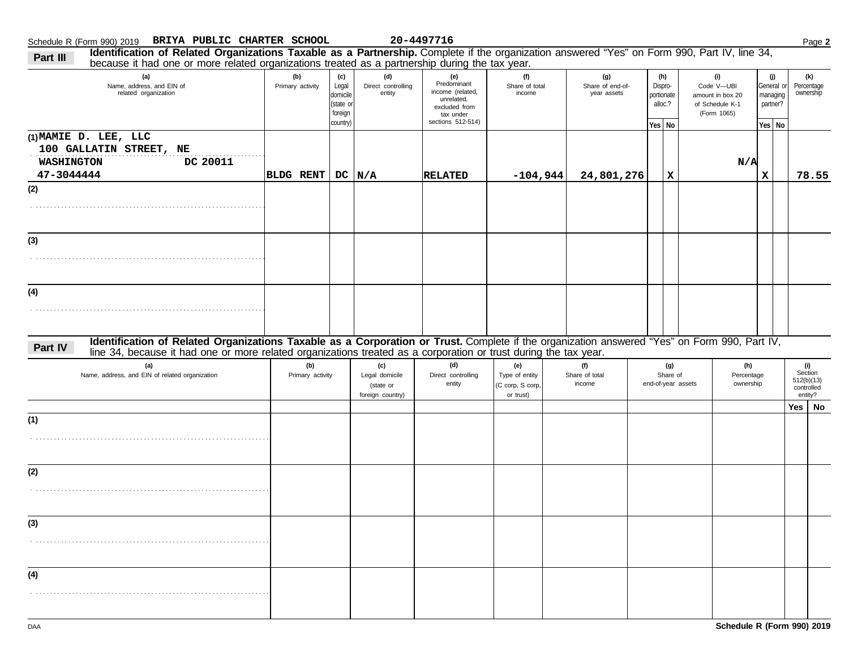### Schedule R (Form 990) 2019 Page **2 BRIYA PUBLIC CHARTER SCHOOL 20-4497716**

| Identification of Related Organizations Taxable as a Partnership. Complete if the organization answered "Yes" on Form 990, Part IV, line 34,<br>Part III<br>because it had one or more related organizations treated as a partnership during the tax year.                  |                         |                                                              |                                                        |                                                                                                         |                                                        |                                        |                                                   |                    |                                                                         |                                                     |                                                       |       |
|-----------------------------------------------------------------------------------------------------------------------------------------------------------------------------------------------------------------------------------------------------------------------------|-------------------------|--------------------------------------------------------------|--------------------------------------------------------|---------------------------------------------------------------------------------------------------------|--------------------------------------------------------|----------------------------------------|---------------------------------------------------|--------------------|-------------------------------------------------------------------------|-----------------------------------------------------|-------------------------------------------------------|-------|
| (a)<br>Name, address, and EIN of<br>related organization                                                                                                                                                                                                                    | (b)<br>Primary activity | (c)<br>Legal<br>domicile<br>(state or<br>foreign<br>country) | (d)<br>Direct controlling<br>entity                    | (e)<br>Predominant<br>income (related,<br>unrelated,<br>excluded from<br>tax under<br>sections 512-514) | (f)<br>Share of total<br>income                        | (g)<br>Share of end-of-<br>year assets | (h)<br>Dispro-<br>portionate<br>alloc.?<br>Yes No |                    | (i)<br>Code V-UBI<br>amount in box 20<br>of Schedule K-1<br>(Form 1065) | (j)<br>General or<br>managing<br>partner?<br>Yes No | (k)<br>Percentage<br>ownership                        |       |
| (1) MAMIE D. LEE, LLC<br>100 GALLATIN STREET, NE<br>DC 20011<br><b>WASHINGTON</b><br>47-3044444                                                                                                                                                                             | <b>BLDG RENT</b>        |                                                              | $DC$ $N/A$                                             | <b>RELATED</b>                                                                                          | $-104,944$                                             | 24,801,276                             | x                                                 |                    | N/A                                                                     | $\mathbf x$                                         |                                                       | 78.55 |
| (2)                                                                                                                                                                                                                                                                         |                         |                                                              |                                                        |                                                                                                         |                                                        |                                        |                                                   |                    |                                                                         |                                                     |                                                       |       |
| (3)                                                                                                                                                                                                                                                                         |                         |                                                              |                                                        |                                                                                                         |                                                        |                                        |                                                   |                    |                                                                         |                                                     |                                                       |       |
| (4)                                                                                                                                                                                                                                                                         |                         |                                                              |                                                        |                                                                                                         |                                                        |                                        |                                                   |                    |                                                                         |                                                     |                                                       |       |
| Identification of Related Organizations Taxable as a Corporation or Trust. Complete if the organization answered "Yes" on Form 990, Part IV,<br>Part IV<br>line 34, because it had one or more related organizations treated as a corporation or trust during the tax year. |                         |                                                              |                                                        |                                                                                                         |                                                        |                                        |                                                   |                    |                                                                         |                                                     |                                                       |       |
| (a)<br>Name, address, and EIN of related organization                                                                                                                                                                                                                       | (b)<br>Primary activity |                                                              | (c)<br>Legal domicile<br>(state or<br>foreign country) | (d)<br>Direct controlling<br>entity                                                                     | (e)<br>Type of entity<br>(C corp, S corp,<br>or trust) | (f)<br>Share of total<br>income        | (g)<br>Share of                                   | end-of-year assets | (h)<br>Percentage<br>ownership                                          |                                                     | (i)<br>Section<br>512(b)(13)<br>controlled<br>entity? |       |
| (1)                                                                                                                                                                                                                                                                         |                         |                                                              |                                                        |                                                                                                         |                                                        |                                        |                                                   |                    |                                                                         |                                                     | Yes   No                                              |       |
|                                                                                                                                                                                                                                                                             |                         |                                                              |                                                        |                                                                                                         |                                                        |                                        |                                                   |                    |                                                                         |                                                     |                                                       |       |
| (2)                                                                                                                                                                                                                                                                         |                         |                                                              |                                                        |                                                                                                         |                                                        |                                        |                                                   |                    |                                                                         |                                                     |                                                       |       |
| (3)                                                                                                                                                                                                                                                                         |                         |                                                              |                                                        |                                                                                                         |                                                        |                                        |                                                   |                    |                                                                         |                                                     |                                                       |       |
| (4)<br>$\frac{1}{2}$ . The contract of the contract of the contract of the contract of the contract of the contract of the contract of the contract of the contract of the contract of the contract of the contract of the contract of t                                    |                         |                                                              |                                                        |                                                                                                         |                                                        |                                        |                                                   |                    |                                                                         |                                                     |                                                       |       |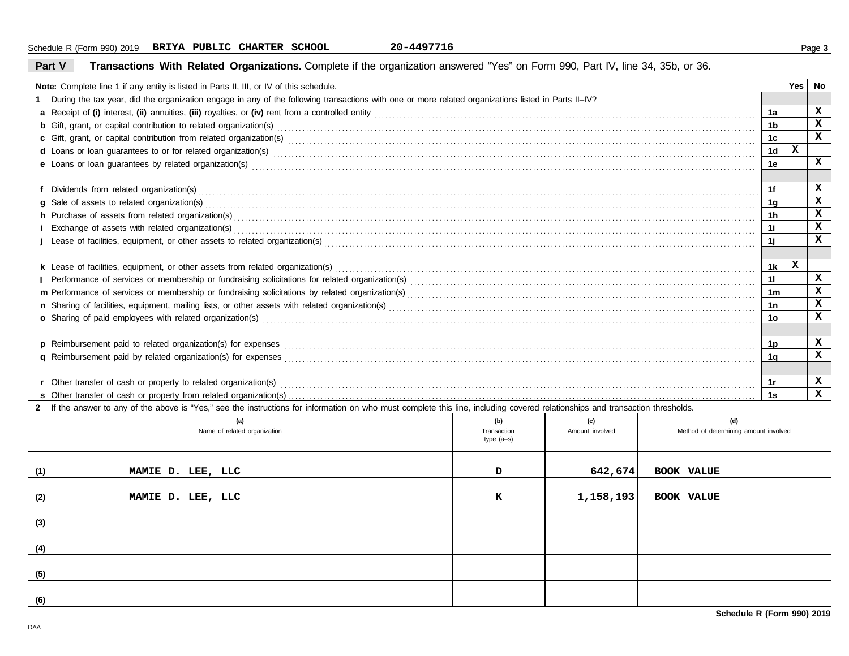## **Part V Transactions With Related Organizations.** Complete if the organization answered "Yes" on Form 990, Part IV, line 34, 35b, or 36.

| Note: Complete line 1 if any entity is listed in Parts II, III, or IV of this schedule.                                                                                        |   |         |                   |                |  |              |  |  |  |  |
|--------------------------------------------------------------------------------------------------------------------------------------------------------------------------------|---|---------|-------------------|----------------|--|--------------|--|--|--|--|
| 1 During the tax year, did the organization engage in any of the following transactions with one or more related organizations listed in Parts II-IV?                          |   |         |                   |                |  |              |  |  |  |  |
|                                                                                                                                                                                |   |         |                   | 1a             |  | $\mathbf{x}$ |  |  |  |  |
|                                                                                                                                                                                |   |         |                   |                |  |              |  |  |  |  |
|                                                                                                                                                                                |   |         |                   |                |  |              |  |  |  |  |
| d Loans or loan guarantees to or for related organization(s) encourance contains an according to the container                                                                 |   |         |                   |                |  |              |  |  |  |  |
|                                                                                                                                                                                |   |         |                   |                |  |              |  |  |  |  |
|                                                                                                                                                                                |   |         |                   |                |  |              |  |  |  |  |
|                                                                                                                                                                                |   |         |                   |                |  |              |  |  |  |  |
|                                                                                                                                                                                |   |         |                   |                |  |              |  |  |  |  |
|                                                                                                                                                                                |   |         |                   |                |  |              |  |  |  |  |
|                                                                                                                                                                                |   |         |                   | 11             |  | $\mathbf{x}$ |  |  |  |  |
|                                                                                                                                                                                |   |         |                   | 1j             |  | X            |  |  |  |  |
|                                                                                                                                                                                |   |         |                   |                |  |              |  |  |  |  |
|                                                                                                                                                                                |   |         |                   |                |  |              |  |  |  |  |
|                                                                                                                                                                                |   |         |                   |                |  |              |  |  |  |  |
|                                                                                                                                                                                |   |         |                   |                |  |              |  |  |  |  |
|                                                                                                                                                                                |   |         |                   |                |  |              |  |  |  |  |
| o Sharing of paid employees with related organization(s) encourance contains an account of the state of the state organization(s)                                              |   |         |                   | 10             |  | x            |  |  |  |  |
|                                                                                                                                                                                |   |         |                   |                |  | x            |  |  |  |  |
|                                                                                                                                                                                |   |         |                   |                |  |              |  |  |  |  |
|                                                                                                                                                                                |   |         |                   | 1 <sub>q</sub> |  | x            |  |  |  |  |
|                                                                                                                                                                                |   |         |                   |                |  | x            |  |  |  |  |
|                                                                                                                                                                                |   |         |                   |                |  |              |  |  |  |  |
| 1s                                                                                                                                                                             |   |         |                   |                |  |              |  |  |  |  |
| 2 If the answer to any of the above is "Yes," see the instructions for information on who must complete this line, including covered relationships and transaction thresholds. |   |         |                   |                |  |              |  |  |  |  |
| (a)<br>(d)<br>(b)<br>(c)<br>Name of related organization<br>Amount involved<br>Method of determining amount involved<br>Transaction<br>type $(a-s)$                            |   |         |                   |                |  |              |  |  |  |  |
| (1)<br>MAMIE D. LEE, LLC                                                                                                                                                       | D | 642,674 | <b>BOOK VALUE</b> |                |  |              |  |  |  |  |
|                                                                                                                                                                                |   |         |                   |                |  |              |  |  |  |  |
| MAMIE D. LEE, LLC<br>к<br>1,158,193<br><b>BOOK VALUE</b>                                                                                                                       |   |         |                   |                |  |              |  |  |  |  |
| (3)                                                                                                                                                                            |   |         |                   |                |  |              |  |  |  |  |
|                                                                                                                                                                                |   |         |                   |                |  |              |  |  |  |  |

**(4)**

**(5)**

**(6)**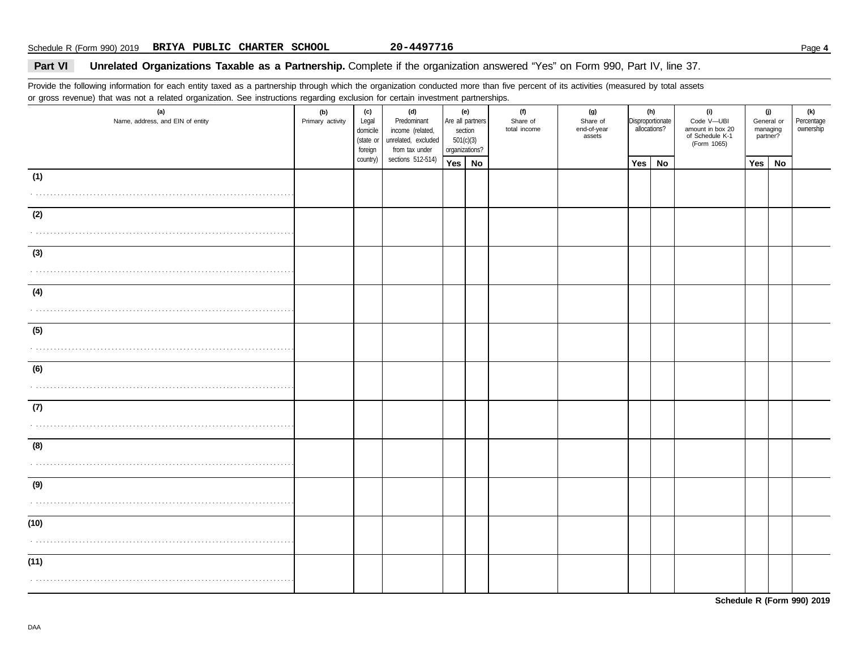## Part VI Unrelated Organizations Taxable as a Partnership. Complete if the organization answered "Yes" on Form 990, Part IV, line 37.

Provide the following information for each entity taxed as a partnership through which the organization conducted more than five percent of its activities (measured by total assets or gross revenue) that was not a related organization. See instructions regarding exclusion for certain investment partnerships.

| $\frac{1}{2}$ . $\frac{1}{2}$ . $\frac{1}{2}$ . $\frac{1}{2}$ . $\frac{1}{2}$ . $\frac{1}{2}$ . $\frac{1}{2}$ . $\frac{1}{2}$ . $\frac{1}{2}$ . $\frac{1}{2}$<br>(a)<br>Name, address, and EIN of entity | <br>(b)<br>(c)<br>Primary activity<br>Legal<br>domicile<br>(state or<br>foreign |          | $\cdot$ .<br>(d)<br>Predominant<br>income (related,<br>unrelated, excluded<br>from tax under | contain introduction, partnerously or<br>(e)<br>Are all partners<br>section<br>501(c)(3)<br>organizations? |  | (f)<br>Share of<br>total income | (g)<br>Share of<br>end-of-year<br>assets | (h)<br>Disproportionate<br>allocations? |    | (i)<br>Code V-UBI<br>amount in box 20<br>of Schedule K-1<br>(Form 1065) | (j)<br>General or<br>managing<br>partner? |    | (k)<br>Percentage<br>ownership |
|----------------------------------------------------------------------------------------------------------------------------------------------------------------------------------------------------------|---------------------------------------------------------------------------------|----------|----------------------------------------------------------------------------------------------|------------------------------------------------------------------------------------------------------------|--|---------------------------------|------------------------------------------|-----------------------------------------|----|-------------------------------------------------------------------------|-------------------------------------------|----|--------------------------------|
|                                                                                                                                                                                                          |                                                                                 | country) | sections 512-514)                                                                            | Yes   No                                                                                                   |  |                                 |                                          | Yes                                     | No |                                                                         | Yes                                       | No |                                |
| (1)                                                                                                                                                                                                      |                                                                                 |          |                                                                                              |                                                                                                            |  |                                 |                                          |                                         |    |                                                                         |                                           |    |                                |
| (2)                                                                                                                                                                                                      |                                                                                 |          |                                                                                              |                                                                                                            |  |                                 |                                          |                                         |    |                                                                         |                                           |    |                                |
| (3)                                                                                                                                                                                                      |                                                                                 |          |                                                                                              |                                                                                                            |  |                                 |                                          |                                         |    |                                                                         |                                           |    |                                |
| (4)                                                                                                                                                                                                      |                                                                                 |          |                                                                                              |                                                                                                            |  |                                 |                                          |                                         |    |                                                                         |                                           |    |                                |
| (5)                                                                                                                                                                                                      |                                                                                 |          |                                                                                              |                                                                                                            |  |                                 |                                          |                                         |    |                                                                         |                                           |    |                                |
| (6)                                                                                                                                                                                                      |                                                                                 |          |                                                                                              |                                                                                                            |  |                                 |                                          |                                         |    |                                                                         |                                           |    |                                |
| (7)                                                                                                                                                                                                      |                                                                                 |          |                                                                                              |                                                                                                            |  |                                 |                                          |                                         |    |                                                                         |                                           |    |                                |
| (8)                                                                                                                                                                                                      |                                                                                 |          |                                                                                              |                                                                                                            |  |                                 |                                          |                                         |    |                                                                         |                                           |    |                                |
| (9)                                                                                                                                                                                                      |                                                                                 |          |                                                                                              |                                                                                                            |  |                                 |                                          |                                         |    |                                                                         |                                           |    |                                |
| (10)                                                                                                                                                                                                     |                                                                                 |          |                                                                                              |                                                                                                            |  |                                 |                                          |                                         |    |                                                                         |                                           |    |                                |
| (11)                                                                                                                                                                                                     |                                                                                 |          |                                                                                              |                                                                                                            |  |                                 |                                          |                                         |    |                                                                         |                                           |    |                                |

**Schedule R (Form 990) 2019**

DAA